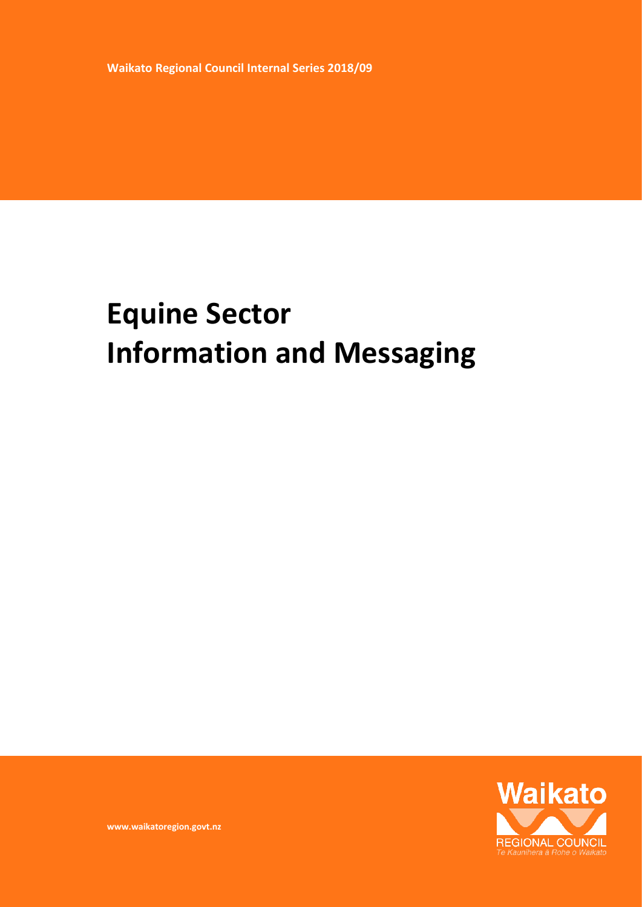**Waikato Regional Council Internal Series 2018/09**

# **Equine Sector Information and Messaging**



**www.waikatoregion.govt.nz**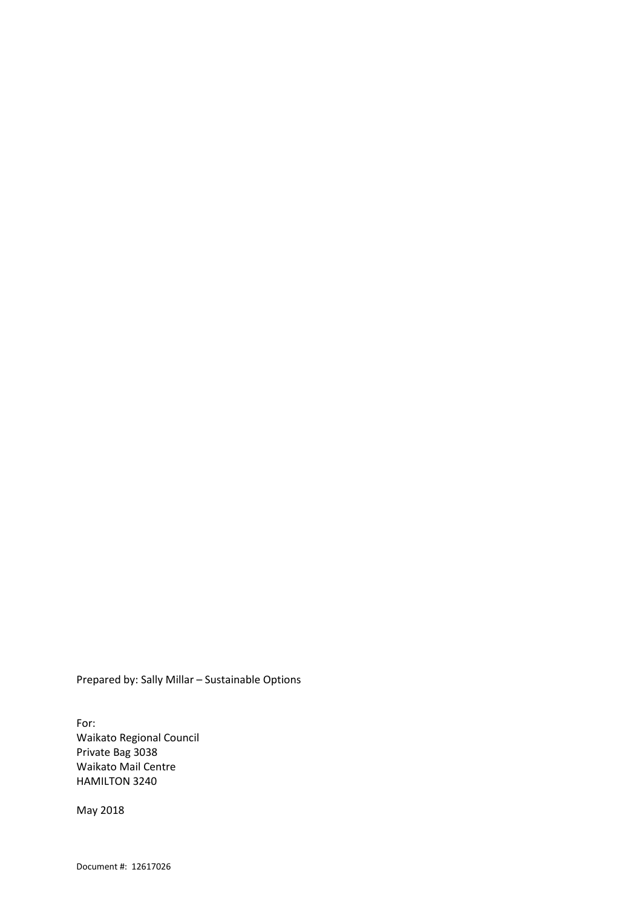Prepared by: Sally Millar – Sustainable Options

For: Waikato Regional Council Private Bag 3038 Waikato Mail Centre HAMILTON 3240

May 2018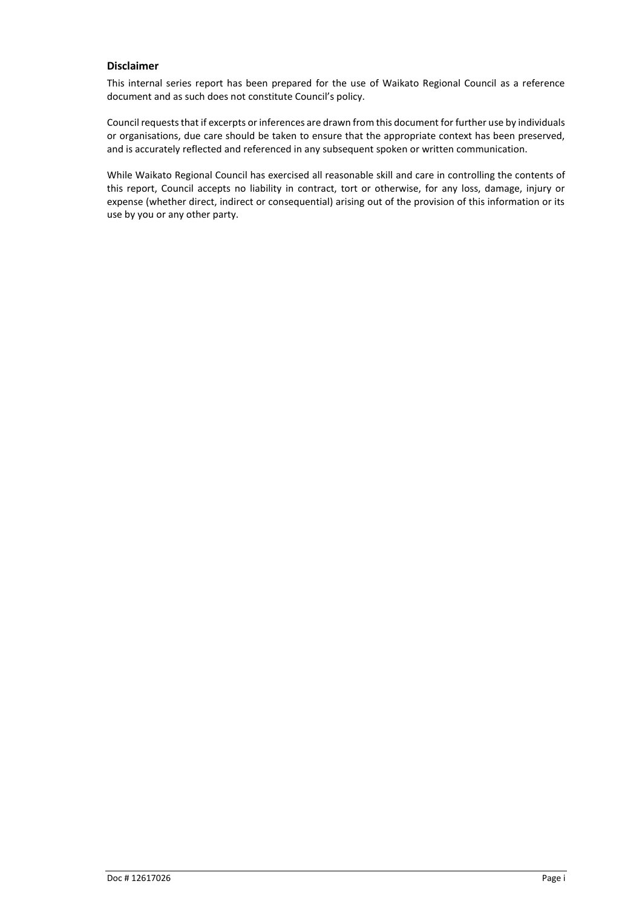#### **Disclaimer**

This internal series report has been prepared for the use of Waikato Regional Council as a reference document and as such does not constitute Council's policy.

Council requests that if excerpts or inferences are drawn from this document for further use by individuals or organisations, due care should be taken to ensure that the appropriate context has been preserved, and is accurately reflected and referenced in any subsequent spoken or written communication.

While Waikato Regional Council has exercised all reasonable skill and care in controlling the contents of this report, Council accepts no liability in contract, tort or otherwise, for any loss, damage, injury or expense (whether direct, indirect or consequential) arising out of the provision of this information or its use by you or any other party.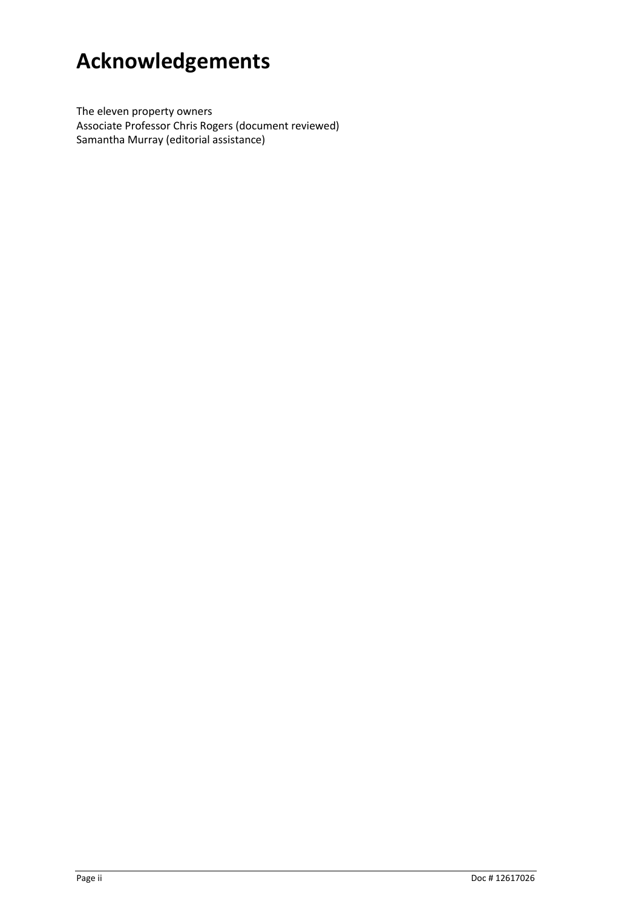## **Acknowledgements**

The eleven property owners Associate Professor Chris Rogers (document reviewed) Samantha Murray (editorial assistance)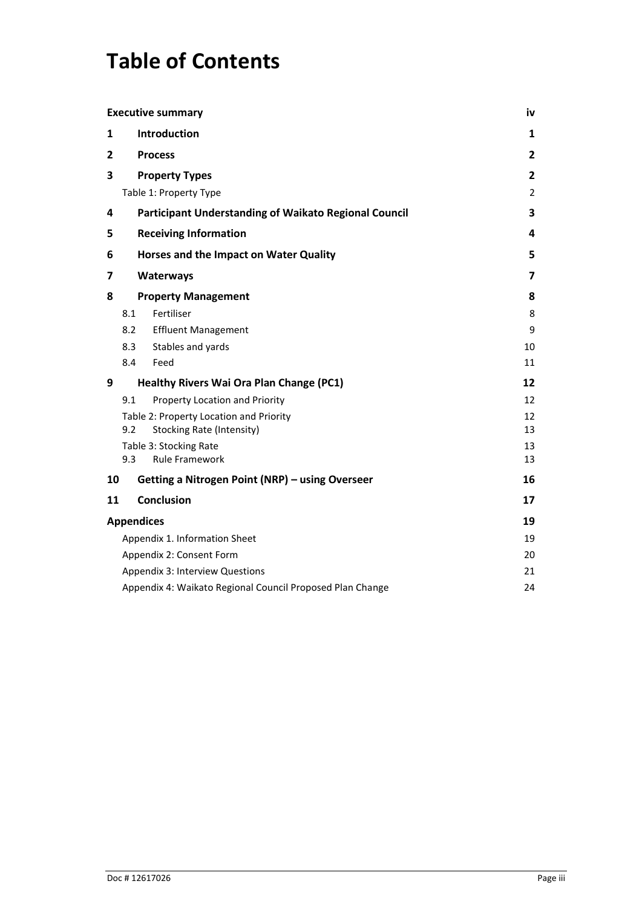## **Table of Contents**

|    |                                                                 | <b>Executive summary</b>                               | iv                      |  |
|----|-----------------------------------------------------------------|--------------------------------------------------------|-------------------------|--|
| 1  | Introduction<br>1                                               |                                                        |                         |  |
| 2  | $\mathbf{2}$<br><b>Process</b>                                  |                                                        |                         |  |
| 3  |                                                                 | <b>Property Types</b>                                  | 2                       |  |
|    |                                                                 | Table 1: Property Type                                 | $\overline{2}$          |  |
| 4  |                                                                 | Participant Understanding of Waikato Regional Council  | 3                       |  |
| 5  |                                                                 | <b>Receiving Information</b>                           | 4                       |  |
| 6  |                                                                 | Horses and the Impact on Water Quality                 | 5                       |  |
| 7  |                                                                 | Waterways                                              | $\overline{\mathbf{z}}$ |  |
| 8  |                                                                 | <b>Property Management</b>                             | 8                       |  |
|    | 8.1                                                             | Fertiliser                                             | 8                       |  |
|    | 8.2                                                             | <b>Effluent Management</b>                             | 9                       |  |
|    | 8.3                                                             | Stables and yards                                      | 10                      |  |
|    | 8.4                                                             | Feed                                                   | 11                      |  |
| 9  |                                                                 | <b>Healthy Rivers Wai Ora Plan Change (PC1)</b>        | 12                      |  |
|    | 9.1                                                             | Property Location and Priority                         | 12                      |  |
|    |                                                                 | Table 2: Property Location and Priority                | 12                      |  |
|    | 9.2                                                             | <b>Stocking Rate (Intensity)</b>                       | 13                      |  |
|    |                                                                 | Table 3: Stocking Rate                                 | 13                      |  |
|    | 9.3                                                             | <b>Rule Framework</b>                                  | 13                      |  |
| 10 |                                                                 | <b>Getting a Nitrogen Point (NRP) - using Overseer</b> | 16                      |  |
| 11 |                                                                 | <b>Conclusion</b>                                      | 17                      |  |
|    | <b>Appendices</b>                                               |                                                        | 19                      |  |
|    |                                                                 | Appendix 1. Information Sheet                          | 19                      |  |
|    |                                                                 | Appendix 2: Consent Form                               | 20                      |  |
|    |                                                                 | Appendix 3: Interview Questions                        | 21                      |  |
|    | Appendix 4: Waikato Regional Council Proposed Plan Change<br>24 |                                                        |                         |  |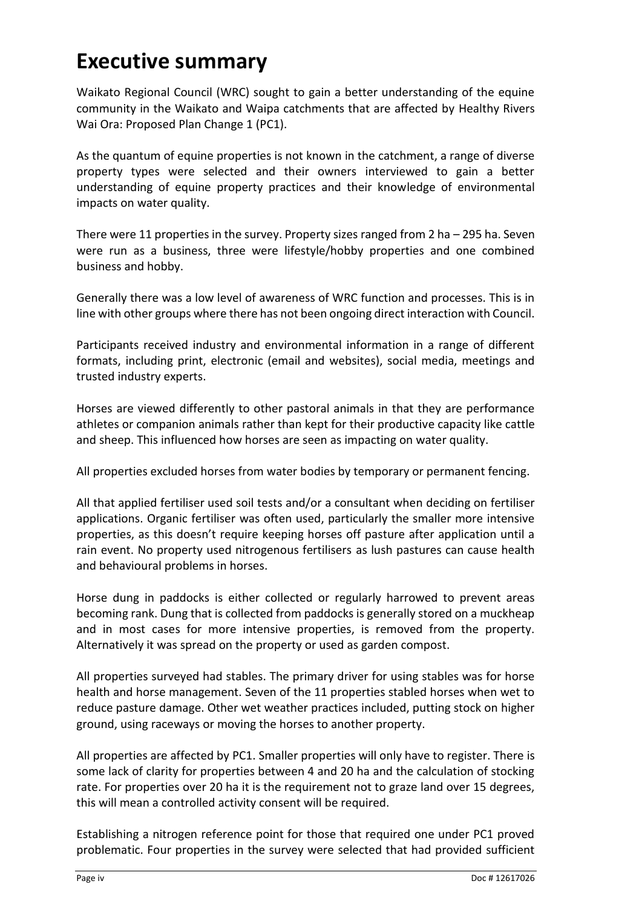## <span id="page-5-0"></span>**Executive summary**

Waikato Regional Council (WRC) sought to gain a better understanding of the equine community in the Waikato and Waipa catchments that are affected by Healthy Rivers Wai Ora: Proposed Plan Change 1 (PC1).

As the quantum of equine properties is not known in the catchment, a range of diverse property types were selected and their owners interviewed to gain a better understanding of equine property practices and their knowledge of environmental impacts on water quality.

There were 11 properties in the survey. Property sizes ranged from 2 ha – 295 ha. Seven were run as a business, three were lifestyle/hobby properties and one combined business and hobby.

Generally there was a low level of awareness of WRC function and processes. This is in line with other groups where there has not been ongoing direct interaction with Council.

Participants received industry and environmental information in a range of different formats, including print, electronic (email and websites), social media, meetings and trusted industry experts.

Horses are viewed differently to other pastoral animals in that they are performance athletes or companion animals rather than kept for their productive capacity like cattle and sheep. This influenced how horses are seen as impacting on water quality.

All properties excluded horses from water bodies by temporary or permanent fencing.

All that applied fertiliser used soil tests and/or a consultant when deciding on fertiliser applications. Organic fertiliser was often used, particularly the smaller more intensive properties, as this doesn't require keeping horses off pasture after application until a rain event. No property used nitrogenous fertilisers as lush pastures can cause health and behavioural problems in horses.

Horse dung in paddocks is either collected or regularly harrowed to prevent areas becoming rank. Dung that is collected from paddocks is generally stored on a muckheap and in most cases for more intensive properties, is removed from the property. Alternatively it was spread on the property or used as garden compost.

All properties surveyed had stables. The primary driver for using stables was for horse health and horse management. Seven of the 11 properties stabled horses when wet to reduce pasture damage. Other wet weather practices included, putting stock on higher ground, using raceways or moving the horses to another property.

All properties are affected by PC1. Smaller properties will only have to register. There is some lack of clarity for properties between 4 and 20 ha and the calculation of stocking rate. For properties over 20 ha it is the requirement not to graze land over 15 degrees, this will mean a controlled activity consent will be required.

Establishing a nitrogen reference point for those that required one under PC1 proved problematic. Four properties in the survey were selected that had provided sufficient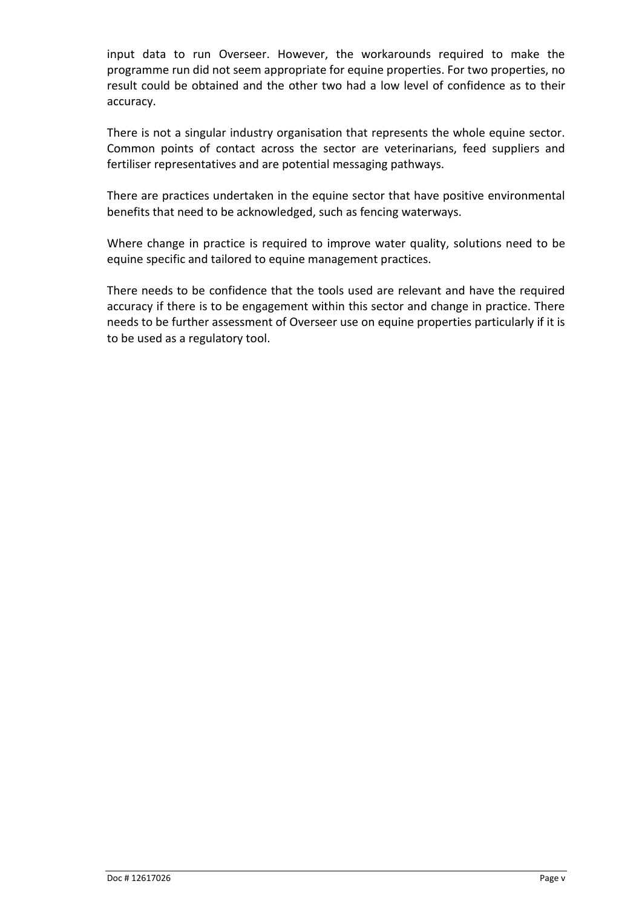input data to run Overseer. However, the workarounds required to make the programme run did not seem appropriate for equine properties. For two properties, no result could be obtained and the other two had a low level of confidence as to their accuracy.

There is not a singular industry organisation that represents the whole equine sector. Common points of contact across the sector are veterinarians, feed suppliers and fertiliser representatives and are potential messaging pathways.

There are practices undertaken in the equine sector that have positive environmental benefits that need to be acknowledged, such as fencing waterways.

Where change in practice is required to improve water quality, solutions need to be equine specific and tailored to equine management practices.

There needs to be confidence that the tools used are relevant and have the required accuracy if there is to be engagement within this sector and change in practice. There needs to be further assessment of Overseer use on equine properties particularly if it is to be used as a regulatory tool.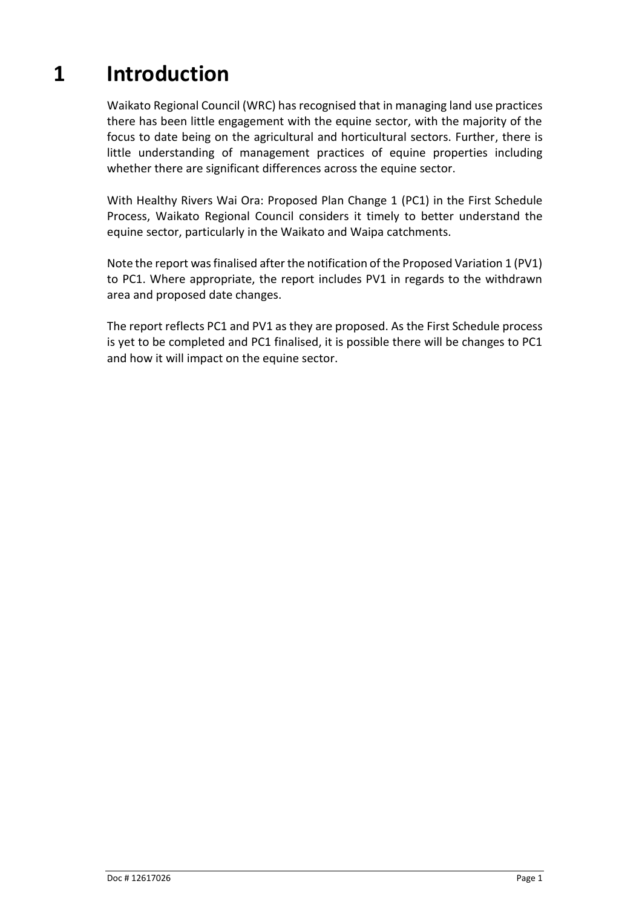## **1 Introduction**

<span id="page-8-0"></span>Waikato Regional Council (WRC) has recognised that in managing land use practices there has been little engagement with the equine sector, with the majority of the focus to date being on the agricultural and horticultural sectors. Further, there is little understanding of management practices of equine properties including whether there are significant differences across the equine sector.

With Healthy Rivers Wai Ora: Proposed Plan Change 1 (PC1) in the First Schedule Process, Waikato Regional Council considers it timely to better understand the equine sector, particularly in the Waikato and Waipa catchments.

Note the report was finalised after the notification of the Proposed Variation 1 (PV1) to PC1. Where appropriate, the report includes PV1 in regards to the withdrawn area and proposed date changes.

The report reflects PC1 and PV1 as they are proposed. As the First Schedule process is yet to be completed and PC1 finalised, it is possible there will be changes to PC1 and how it will impact on the equine sector.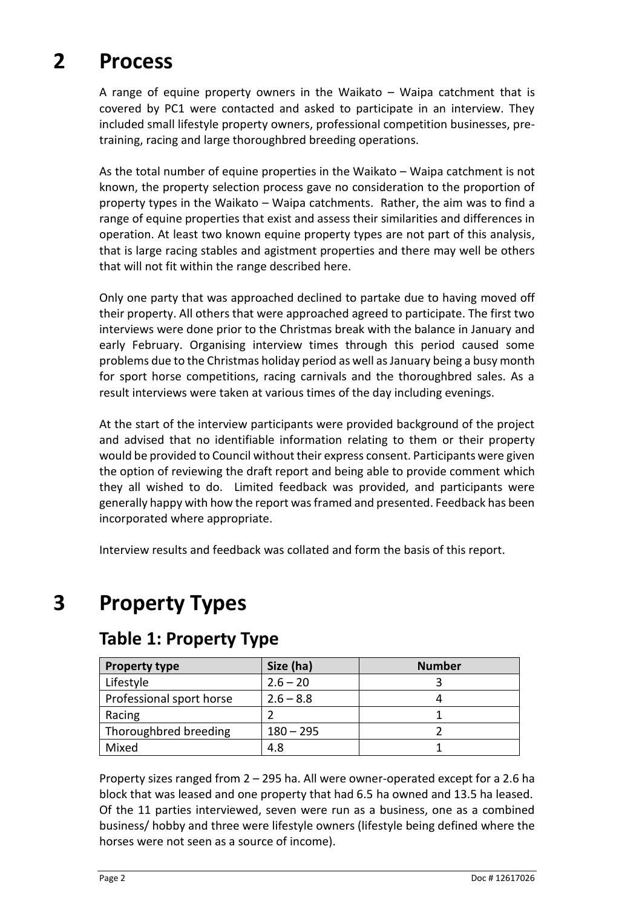## **2 Process**

<span id="page-9-0"></span>A range of equine property owners in the Waikato – Waipa catchment that is covered by PC1 were contacted and asked to participate in an interview. They included small lifestyle property owners, professional competition businesses, pretraining, racing and large thoroughbred breeding operations.

As the total number of equine properties in the Waikato – Waipa catchment is not known, the property selection process gave no consideration to the proportion of property types in the Waikato – Waipa catchments. Rather, the aim was to find a range of equine properties that exist and assess their similarities and differences in operation. At least two known equine property types are not part of this analysis, that is large racing stables and agistment properties and there may well be others that will not fit within the range described here.

Only one party that was approached declined to partake due to having moved off their property. All others that were approached agreed to participate. The first two interviews were done prior to the Christmas break with the balance in January and early February. Organising interview times through this period caused some problems due to the Christmas holiday period as well as January being a busy month for sport horse competitions, racing carnivals and the thoroughbred sales. As a result interviews were taken at various times of the day including evenings.

At the start of the interview participants were provided background of the project and advised that no identifiable information relating to them or their property would be provided to Council without their express consent. Participants were given the option of reviewing the draft report and being able to provide comment which they all wished to do. Limited feedback was provided, and participants were generally happy with how the report was framed and presented. Feedback has been incorporated where appropriate.

<span id="page-9-1"></span>Interview results and feedback was collated and form the basis of this report.

## **3 Property Types**

| <b>Property type</b>     | Size (ha)   | <b>Number</b> |
|--------------------------|-------------|---------------|
| Lifestyle                | $2.6 - 20$  |               |
| Professional sport horse | $2.6 - 8.8$ |               |
| Racing                   |             |               |
| Thoroughbred breeding    | $180 - 295$ |               |
| Mixed                    | 4.8         |               |

### <span id="page-9-2"></span>**Table 1: Property Type**

Property sizes ranged from 2 – 295 ha. All were owner-operated except for a 2.6 ha block that was leased and one property that had 6.5 ha owned and 13.5 ha leased. Of the 11 parties interviewed, seven were run as a business, one as a combined business/ hobby and three were lifestyle owners (lifestyle being defined where the horses were not seen as a source of income).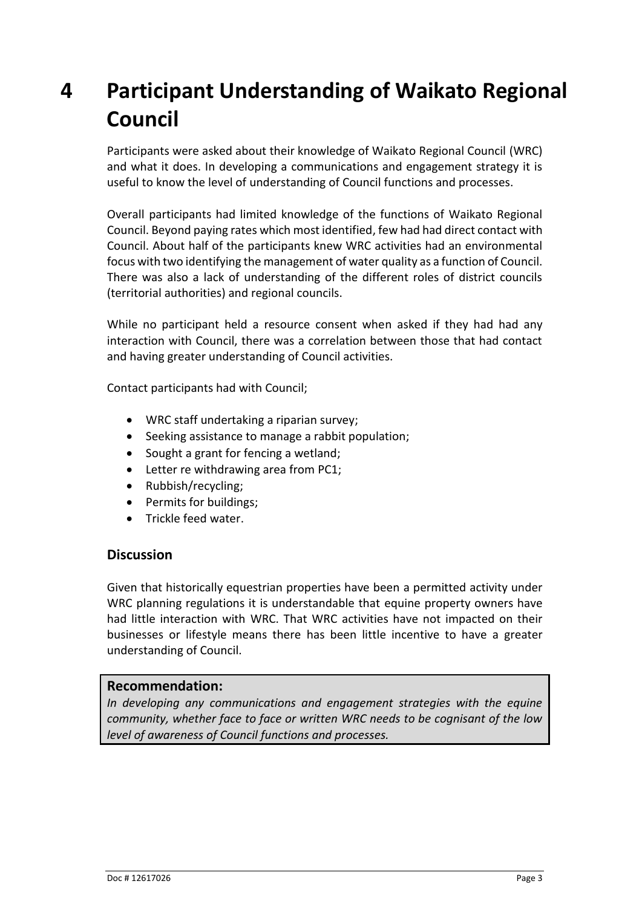## <span id="page-10-0"></span>**4 Participant Understanding of Waikato Regional Council**

Participants were asked about their knowledge of Waikato Regional Council (WRC) and what it does. In developing a communications and engagement strategy it is useful to know the level of understanding of Council functions and processes.

Overall participants had limited knowledge of the functions of Waikato Regional Council. Beyond paying rates which most identified, few had had direct contact with Council. About half of the participants knew WRC activities had an environmental focus with two identifying the management of water quality as a function of Council. There was also a lack of understanding of the different roles of district councils (territorial authorities) and regional councils.

While no participant held a resource consent when asked if they had had any interaction with Council, there was a correlation between those that had contact and having greater understanding of Council activities.

Contact participants had with Council;

- WRC staff undertaking a riparian survey;
- Seeking assistance to manage a rabbit population;
- Sought a grant for fencing a wetland;
- Letter re withdrawing area from PC1;
- Rubbish/recycling;
- Permits for buildings;
- Trickle feed water.

#### **Discussion**

Given that historically equestrian properties have been a permitted activity under WRC planning regulations it is understandable that equine property owners have had little interaction with WRC. That WRC activities have not impacted on their businesses or lifestyle means there has been little incentive to have a greater understanding of Council.

#### **Recommendation:**

*In developing any communications and engagement strategies with the equine community, whether face to face or written WRC needs to be cognisant of the low level of awareness of Council functions and processes.*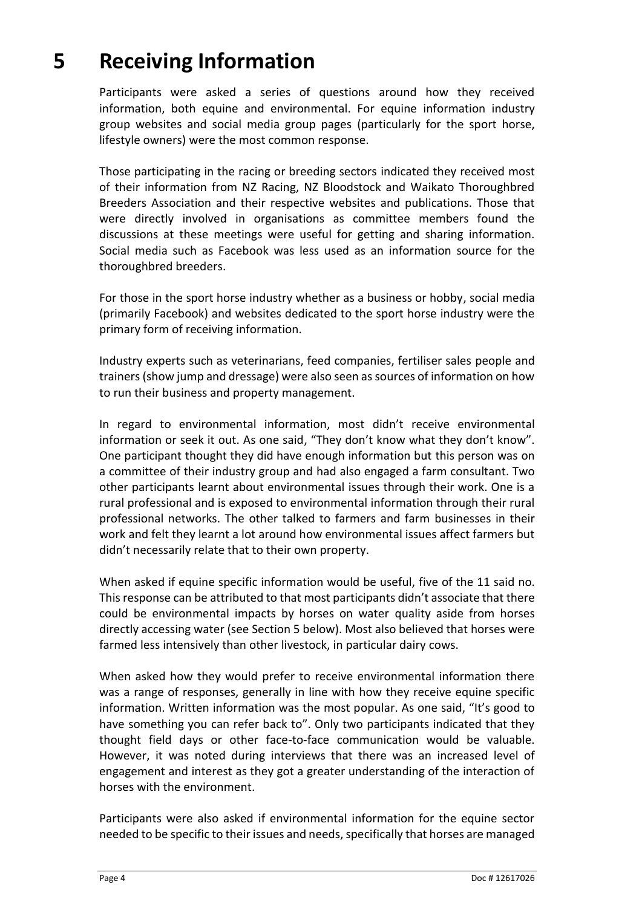## **5 Receiving Information**

<span id="page-11-0"></span>Participants were asked a series of questions around how they received information, both equine and environmental. For equine information industry group websites and social media group pages (particularly for the sport horse, lifestyle owners) were the most common response.

Those participating in the racing or breeding sectors indicated they received most of their information from NZ Racing, NZ Bloodstock and Waikato Thoroughbred Breeders Association and their respective websites and publications. Those that were directly involved in organisations as committee members found the discussions at these meetings were useful for getting and sharing information. Social media such as Facebook was less used as an information source for the thoroughbred breeders.

For those in the sport horse industry whether as a business or hobby, social media (primarily Facebook) and websites dedicated to the sport horse industry were the primary form of receiving information.

Industry experts such as veterinarians, feed companies, fertiliser sales people and trainers (show jump and dressage) were also seen as sources of information on how to run their business and property management.

In regard to environmental information, most didn't receive environmental information or seek it out. As one said, "They don't know what they don't know". One participant thought they did have enough information but this person was on a committee of their industry group and had also engaged a farm consultant. Two other participants learnt about environmental issues through their work. One is a rural professional and is exposed to environmental information through their rural professional networks. The other talked to farmers and farm businesses in their work and felt they learnt a lot around how environmental issues affect farmers but didn't necessarily relate that to their own property.

When asked if equine specific information would be useful, five of the 11 said no. This response can be attributed to that most participants didn't associate that there could be environmental impacts by horses on water quality aside from horses directly accessing water (see Section 5 below). Most also believed that horses were farmed less intensively than other livestock, in particular dairy cows.

When asked how they would prefer to receive environmental information there was a range of responses, generally in line with how they receive equine specific information. Written information was the most popular. As one said, "It's good to have something you can refer back to". Only two participants indicated that they thought field days or other face-to-face communication would be valuable. However, it was noted during interviews that there was an increased level of engagement and interest as they got a greater understanding of the interaction of horses with the environment.

Participants were also asked if environmental information for the equine sector needed to be specific to their issues and needs, specifically that horses are managed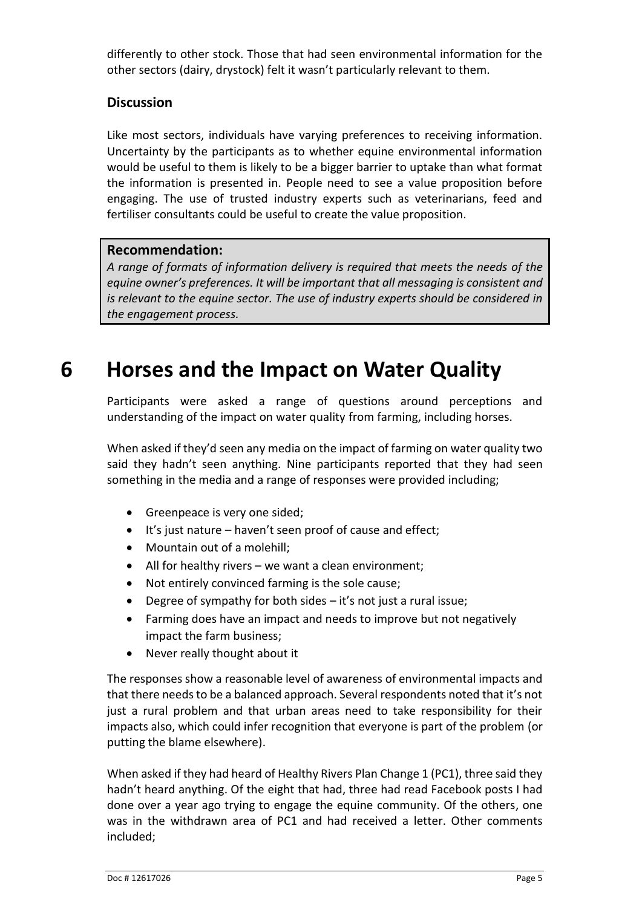differently to other stock. Those that had seen environmental information for the other sectors (dairy, drystock) felt it wasn't particularly relevant to them.

### **Discussion**

Like most sectors, individuals have varying preferences to receiving information. Uncertainty by the participants as to whether equine environmental information would be useful to them is likely to be a bigger barrier to uptake than what format the information is presented in. People need to see a value proposition before engaging. The use of trusted industry experts such as veterinarians, feed and fertiliser consultants could be useful to create the value proposition.

#### **Recommendation:**

*A range of formats of information delivery is required that meets the needs of the equine owner's preferences. It will be important that all messaging is consistent and is relevant to the equine sector. The use of industry experts should be considered in the engagement process.* 

## **6 Horses and the Impact on Water Quality**

<span id="page-12-0"></span>Participants were asked a range of questions around perceptions and understanding of the impact on water quality from farming, including horses.

When asked if they'd seen any media on the impact of farming on water quality two said they hadn't seen anything. Nine participants reported that they had seen something in the media and a range of responses were provided including;

- Greenpeace is very one sided;
- It's just nature haven't seen proof of cause and effect;
- Mountain out of a molehill;
- All for healthy rivers we want a clean environment:
- Not entirely convinced farming is the sole cause;
- Degree of sympathy for both sides it's not just a rural issue;
- Farming does have an impact and needs to improve but not negatively impact the farm business;
- Never really thought about it

The responses show a reasonable level of awareness of environmental impacts and that there needs to be a balanced approach. Several respondents noted that it's not just a rural problem and that urban areas need to take responsibility for their impacts also, which could infer recognition that everyone is part of the problem (or putting the blame elsewhere).

When asked if they had heard of Healthy Rivers Plan Change 1 (PC1), three said they hadn't heard anything. Of the eight that had, three had read Facebook posts I had done over a year ago trying to engage the equine community. Of the others, one was in the withdrawn area of PC1 and had received a letter. Other comments included;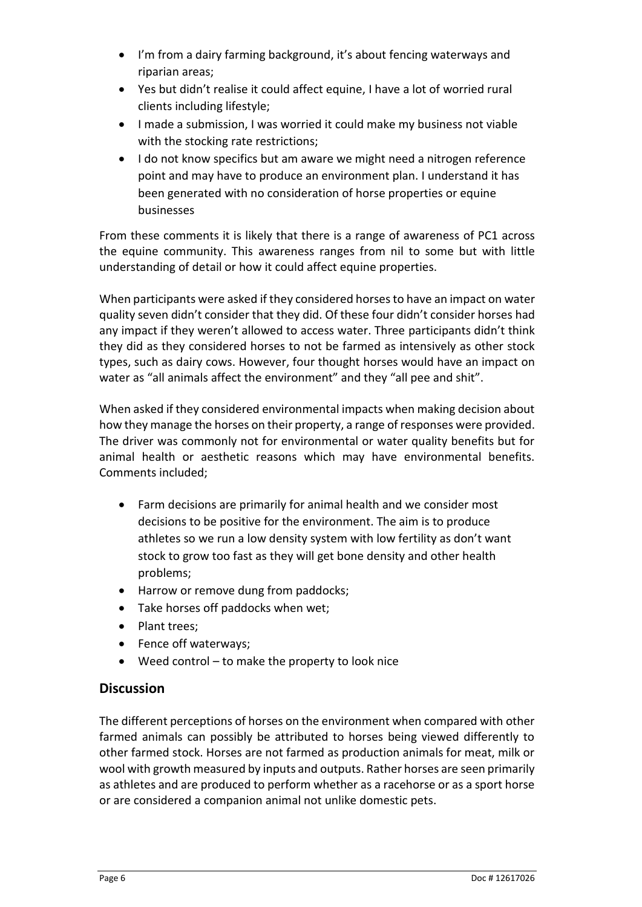- I'm from a dairy farming background, it's about fencing waterways and riparian areas;
- Yes but didn't realise it could affect equine, I have a lot of worried rural clients including lifestyle;
- I made a submission, I was worried it could make my business not viable with the stocking rate restrictions;
- I do not know specifics but am aware we might need a nitrogen reference point and may have to produce an environment plan. I understand it has been generated with no consideration of horse properties or equine businesses

From these comments it is likely that there is a range of awareness of PC1 across the equine community. This awareness ranges from nil to some but with little understanding of detail or how it could affect equine properties.

When participants were asked if they considered horses to have an impact on water quality seven didn't consider that they did. Of these four didn't consider horses had any impact if they weren't allowed to access water. Three participants didn't think they did as they considered horses to not be farmed as intensively as other stock types, such as dairy cows. However, four thought horses would have an impact on water as "all animals affect the environment" and they "all pee and shit".

When asked if they considered environmental impacts when making decision about how they manage the horses on their property, a range of responses were provided. The driver was commonly not for environmental or water quality benefits but for animal health or aesthetic reasons which may have environmental benefits. Comments included;

- Farm decisions are primarily for animal health and we consider most decisions to be positive for the environment. The aim is to produce athletes so we run a low density system with low fertility as don't want stock to grow too fast as they will get bone density and other health problems;
- Harrow or remove dung from paddocks;
- Take horses off paddocks when wet;
- Plant trees;
- Fence off waterways;
- Weed control to make the property to look nice

### **Discussion**

The different perceptions of horses on the environment when compared with other farmed animals can possibly be attributed to horses being viewed differently to other farmed stock. Horses are not farmed as production animals for meat, milk or wool with growth measured by inputs and outputs. Rather horses are seen primarily as athletes and are produced to perform whether as a racehorse or as a sport horse or are considered a companion animal not unlike domestic pets.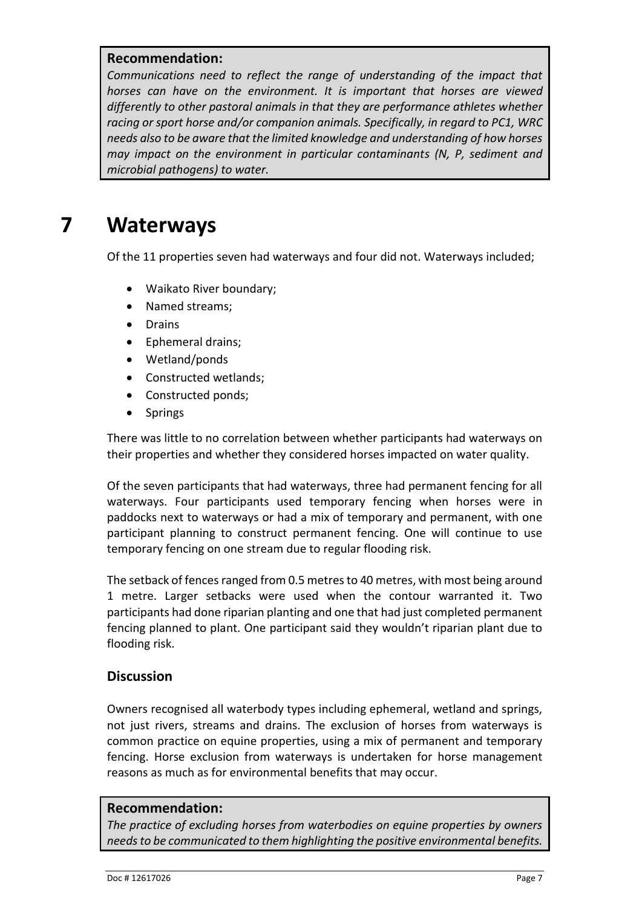#### **Recommendation:**

*Communications need to reflect the range of understanding of the impact that horses can have on the environment. It is important that horses are viewed differently to other pastoral animals in that they are performance athletes whether racing or sport horse and/or companion animals. Specifically, in regard to PC1, WRC needs also to be aware that the limited knowledge and understanding of how horses may impact on the environment in particular contaminants (N, P, sediment and microbial pathogens) to water.*

## **7 Waterways**

<span id="page-14-0"></span>Of the 11 properties seven had waterways and four did not. Waterways included;

- Waikato River boundary;
- Named streams;
- Drains
- Ephemeral drains;
- Wetland/ponds
- Constructed wetlands;
- Constructed ponds;
- Springs

There was little to no correlation between whether participants had waterways on their properties and whether they considered horses impacted on water quality.

Of the seven participants that had waterways, three had permanent fencing for all waterways. Four participants used temporary fencing when horses were in paddocks next to waterways or had a mix of temporary and permanent, with one participant planning to construct permanent fencing. One will continue to use temporary fencing on one stream due to regular flooding risk.

The setback of fences ranged from 0.5 metres to 40 metres, with most being around 1 metre. Larger setbacks were used when the contour warranted it. Two participants had done riparian planting and one that had just completed permanent fencing planned to plant. One participant said they wouldn't riparian plant due to flooding risk.

#### **Discussion**

Owners recognised all waterbody types including ephemeral, wetland and springs, not just rivers, streams and drains. The exclusion of horses from waterways is common practice on equine properties, using a mix of permanent and temporary fencing. Horse exclusion from waterways is undertaken for horse management reasons as much as for environmental benefits that may occur.

#### **Recommendation:**

*The practice of excluding horses from waterbodies on equine properties by owners needs to be communicated to them highlighting the positive environmental benefits.*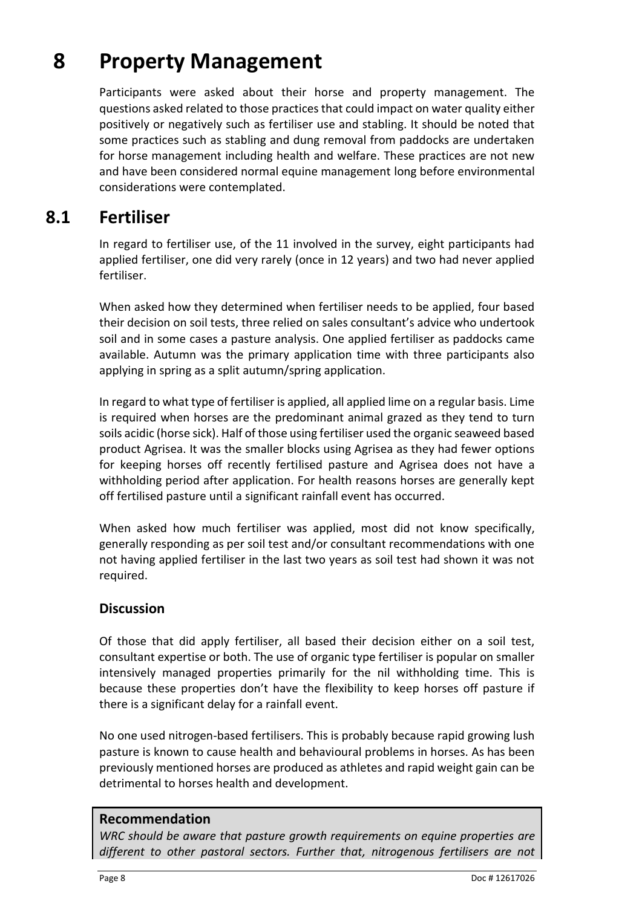## **8 Property Management**

<span id="page-15-0"></span>Participants were asked about their horse and property management. The questions asked related to those practices that could impact on water quality either positively or negatively such as fertiliser use and stabling. It should be noted that some practices such as stabling and dung removal from paddocks are undertaken for horse management including health and welfare. These practices are not new and have been considered normal equine management long before environmental considerations were contemplated.

### **8.1 Fertiliser**

<span id="page-15-1"></span>In regard to fertiliser use, of the 11 involved in the survey, eight participants had applied fertiliser, one did very rarely (once in 12 years) and two had never applied fertiliser.

When asked how they determined when fertiliser needs to be applied, four based their decision on soil tests, three relied on sales consultant's advice who undertook soil and in some cases a pasture analysis. One applied fertiliser as paddocks came available. Autumn was the primary application time with three participants also applying in spring as a split autumn/spring application.

In regard to what type of fertiliser is applied, all applied lime on a regular basis. Lime is required when horses are the predominant animal grazed as they tend to turn soils acidic (horse sick). Half of those using fertiliser used the organic seaweed based product Agrisea. It was the smaller blocks using Agrisea as they had fewer options for keeping horses off recently fertilised pasture and Agrisea does not have a withholding period after application. For health reasons horses are generally kept off fertilised pasture until a significant rainfall event has occurred.

When asked how much fertiliser was applied, most did not know specifically, generally responding as per soil test and/or consultant recommendations with one not having applied fertiliser in the last two years as soil test had shown it was not required.

#### **Discussion**

Of those that did apply fertiliser, all based their decision either on a soil test, consultant expertise or both. The use of organic type fertiliser is popular on smaller intensively managed properties primarily for the nil withholding time. This is because these properties don't have the flexibility to keep horses off pasture if there is a significant delay for a rainfall event.

No one used nitrogen-based fertilisers. This is probably because rapid growing lush pasture is known to cause health and behavioural problems in horses. As has been previously mentioned horses are produced as athletes and rapid weight gain can be detrimental to horses health and development.

#### **Recommendation**

*WRC should be aware that pasture growth requirements on equine properties are different to other pastoral sectors. Further that, nitrogenous fertilisers are not*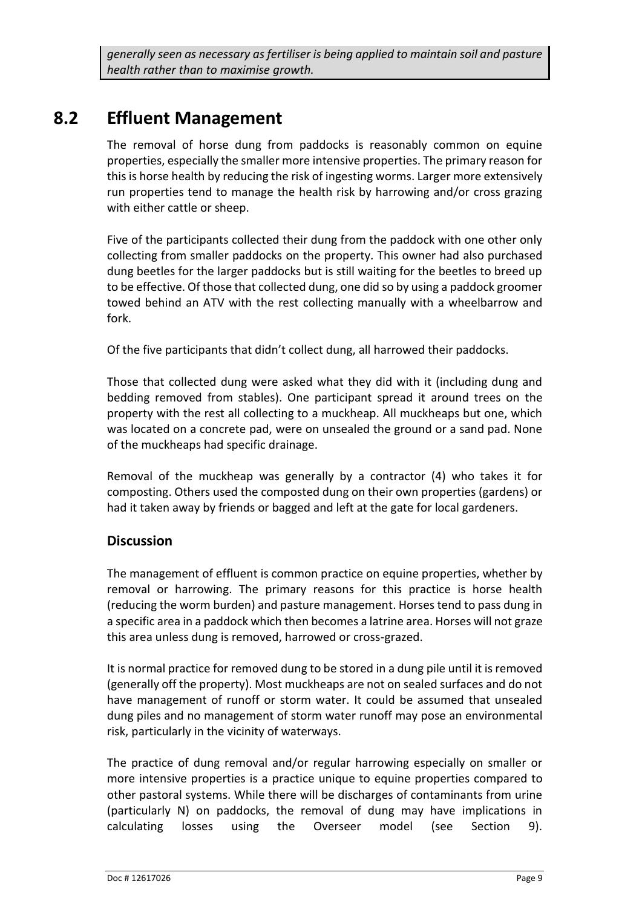*generally seen as necessary as fertiliser is being applied to maintain soil and pasture health rather than to maximise growth.* 

### **8.2 Effluent Management**

<span id="page-16-0"></span>The removal of horse dung from paddocks is reasonably common on equine properties, especially the smaller more intensive properties. The primary reason for this is horse health by reducing the risk of ingesting worms. Larger more extensively run properties tend to manage the health risk by harrowing and/or cross grazing with either cattle or sheep.

Five of the participants collected their dung from the paddock with one other only collecting from smaller paddocks on the property. This owner had also purchased dung beetles for the larger paddocks but is still waiting for the beetles to breed up to be effective. Of those that collected dung, one did so by using a paddock groomer towed behind an ATV with the rest collecting manually with a wheelbarrow and fork.

Of the five participants that didn't collect dung, all harrowed their paddocks.

Those that collected dung were asked what they did with it (including dung and bedding removed from stables). One participant spread it around trees on the property with the rest all collecting to a muckheap. All muckheaps but one, which was located on a concrete pad, were on unsealed the ground or a sand pad. None of the muckheaps had specific drainage.

Removal of the muckheap was generally by a contractor (4) who takes it for composting. Others used the composted dung on their own properties (gardens) or had it taken away by friends or bagged and left at the gate for local gardeners.

### **Discussion**

The management of effluent is common practice on equine properties, whether by removal or harrowing. The primary reasons for this practice is horse health (reducing the worm burden) and pasture management. Horses tend to pass dung in a specific area in a paddock which then becomes a latrine area. Horses will not graze this area unless dung is removed, harrowed or cross-grazed.

It is normal practice for removed dung to be stored in a dung pile until it is removed (generally off the property). Most muckheaps are not on sealed surfaces and do not have management of runoff or storm water. It could be assumed that unsealed dung piles and no management of storm water runoff may pose an environmental risk, particularly in the vicinity of waterways.

The practice of dung removal and/or regular harrowing especially on smaller or more intensive properties is a practice unique to equine properties compared to other pastoral systems. While there will be discharges of contaminants from urine (particularly N) on paddocks, the removal of dung may have implications in calculating losses using the Overseer model (see Section 9).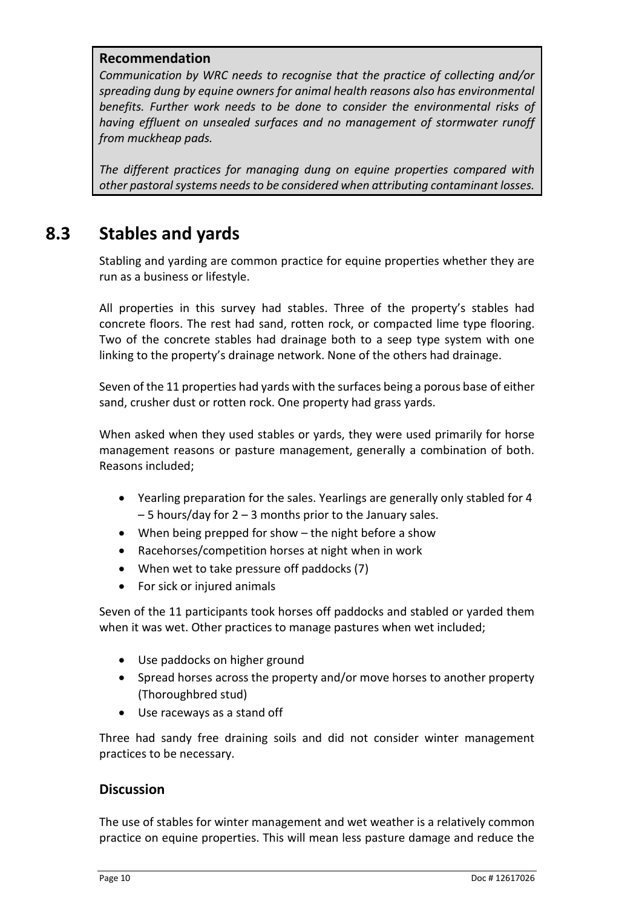#### **Recommendation**

*Communication by WRC needs to recognise that the practice of collecting and/or spreading dung by equine owners for animal health reasons also has environmental benefits. Further work needs to be done to consider the environmental risks of having effluent on unsealed surfaces and no management of stormwater runoff from muckheap pads.* 

*The different practices for managing dung on equine properties compared with other pastoral systems needs to be considered when attributing contaminant losses.* 

### **8.3 Stables and yards**

<span id="page-17-0"></span>Stabling and yarding are common practice for equine properties whether they are run as a business or lifestyle.

All properties in this survey had stables. Three of the property's stables had concrete floors. The rest had sand, rotten rock, or compacted lime type flooring. Two of the concrete stables had drainage both to a seep type system with one linking to the property's drainage network. None of the others had drainage.

Seven of the 11 properties had yards with the surfaces being a porous base of either sand, crusher dust or rotten rock. One property had grass yards.

When asked when they used stables or yards, they were used primarily for horse management reasons or pasture management, generally a combination of both. Reasons included;

- Yearling preparation for the sales. Yearlings are generally only stabled for 4  $-5$  hours/day for 2 – 3 months prior to the January sales.
- When being prepped for show the night before a show
- Racehorses/competition horses at night when in work
- When wet to take pressure off paddocks (7)
- For sick or injured animals

Seven of the 11 participants took horses off paddocks and stabled or yarded them when it was wet. Other practices to manage pastures when wet included;

- Use paddocks on higher ground
- Spread horses across the property and/or move horses to another property (Thoroughbred stud)
- Use raceways as a stand off

Three had sandy free draining soils and did not consider winter management practices to be necessary.

#### **Discussion**

The use of stables for winter management and wet weather is a relatively common practice on equine properties. This will mean less pasture damage and reduce the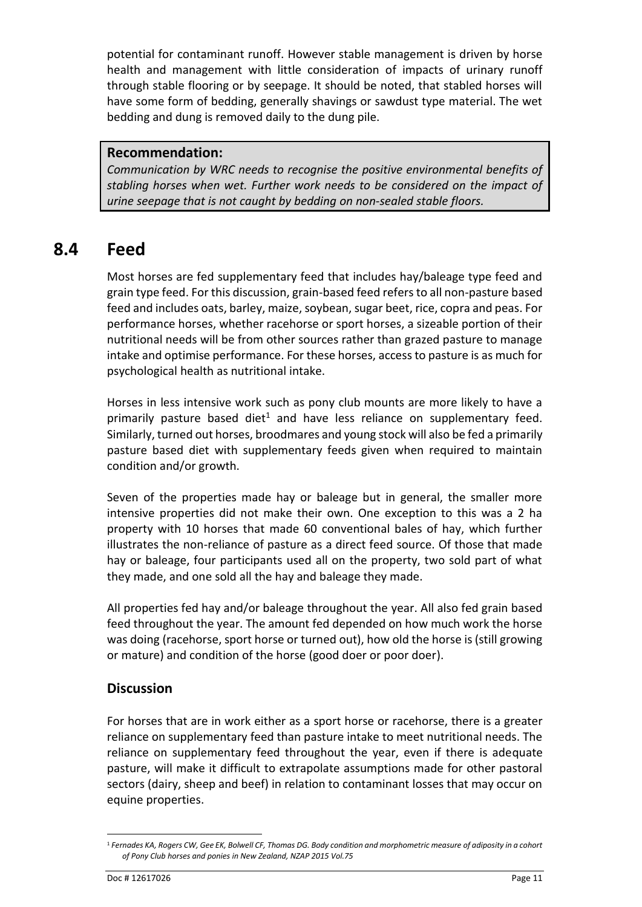potential for contaminant runoff. However stable management is driven by horse health and management with little consideration of impacts of urinary runoff through stable flooring or by seepage. It should be noted, that stabled horses will have some form of bedding, generally shavings or sawdust type material. The wet bedding and dung is removed daily to the dung pile.

#### **Recommendation:**

*Communication by WRC needs to recognise the positive environmental benefits of stabling horses when wet. Further work needs to be considered on the impact of urine seepage that is not caught by bedding on non-sealed stable floors.* 

### **8.4 Feed**

<span id="page-18-0"></span>Most horses are fed supplementary feed that includes hay/baleage type feed and grain type feed. For this discussion, grain-based feed refers to all non-pasture based feed and includes oats, barley, maize, soybean, sugar beet, rice, copra and peas. For performance horses, whether racehorse or sport horses, a sizeable portion of their nutritional needs will be from other sources rather than grazed pasture to manage intake and optimise performance. For these horses, access to pasture is as much for psychological health as nutritional intake.

Horses in less intensive work such as pony club mounts are more likely to have a primarily pasture based diet<sup>1</sup> and have less reliance on supplementary feed. Similarly, turned out horses, broodmares and young stock will also be fed a primarily pasture based diet with supplementary feeds given when required to maintain condition and/or growth.

Seven of the properties made hay or baleage but in general, the smaller more intensive properties did not make their own. One exception to this was a 2 ha property with 10 horses that made 60 conventional bales of hay, which further illustrates the non-reliance of pasture as a direct feed source. Of those that made hay or baleage, four participants used all on the property, two sold part of what they made, and one sold all the hay and baleage they made.

All properties fed hay and/or baleage throughout the year. All also fed grain based feed throughout the year. The amount fed depended on how much work the horse was doing (racehorse, sport horse or turned out), how old the horse is (still growing or mature) and condition of the horse (good doer or poor doer).

#### **Discussion**

For horses that are in work either as a sport horse or racehorse, there is a greater reliance on supplementary feed than pasture intake to meet nutritional needs. The reliance on supplementary feed throughout the year, even if there is adequate pasture, will make it difficult to extrapolate assumptions made for other pastoral sectors (dairy, sheep and beef) in relation to contaminant losses that may occur on equine properties.

 $\overline{a}$ 

<sup>1</sup> *Fernades KA, Rogers CW, Gee EK, Bolwell CF, Thomas DG. Body condition and morphometric measure of adiposity in a cohort of Pony Club horses and ponies in New Zealand, NZAP 2015 Vol.75*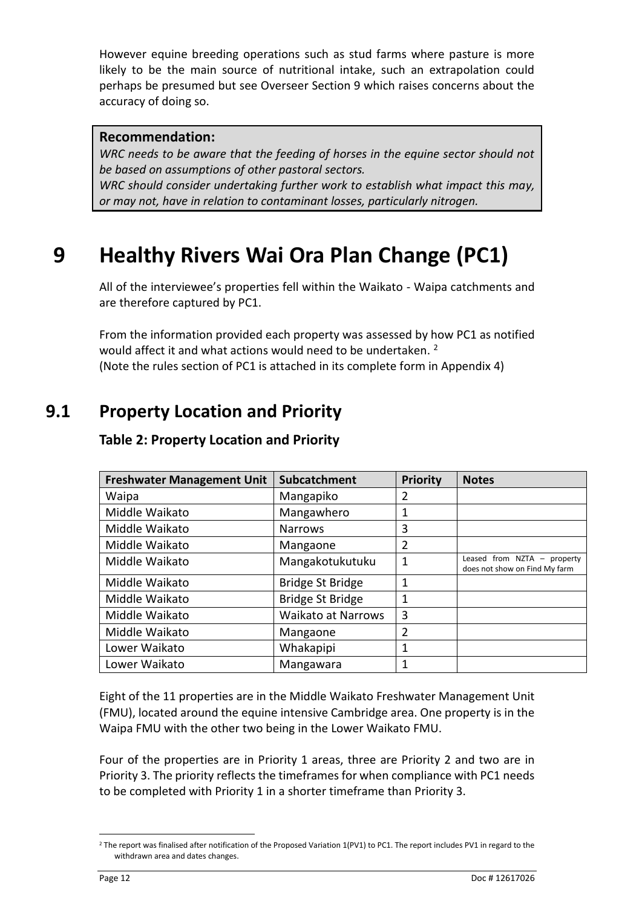However equine breeding operations such as stud farms where pasture is more likely to be the main source of nutritional intake, such an extrapolation could perhaps be presumed but see Overseer Section 9 which raises concerns about the accuracy of doing so.

#### **Recommendation:**

WRC needs to be aware that the feeding of horses in the equine sector should not *be based on assumptions of other pastoral sectors. WRC should consider undertaking further work to establish what impact this may,* 

<span id="page-19-0"></span>*or may not, have in relation to contaminant losses, particularly nitrogen.* 

## **9 Healthy Rivers Wai Ora Plan Change (PC1)**

All of the interviewee's properties fell within the Waikato - Waipa catchments and are therefore captured by PC1.

From the information provided each property was assessed by how PC1 as notified would affect it and what actions would need to be undertaken.<sup>2</sup> (Note the rules section of PC1 is attached in its complete form in Appendix 4)

## **9.1 Property Location and Priority**

| <b>Freshwater Management Unit</b> | Subcatchment              | <b>Priority</b> | <b>Notes</b>                                                   |
|-----------------------------------|---------------------------|-----------------|----------------------------------------------------------------|
| Waipa                             | Mangapiko                 | 2               |                                                                |
| Middle Waikato                    | Mangawhero                | 1               |                                                                |
| Middle Waikato                    | <b>Narrows</b>            | 3               |                                                                |
| Middle Waikato                    | Mangaone                  | 2               |                                                                |
| Middle Waikato                    | Mangakotukutuku           | 1               | Leased from $NZTA$ – property<br>does not show on Find My farm |
| Middle Waikato                    | Bridge St Bridge          | 1               |                                                                |
| Middle Waikato                    | <b>Bridge St Bridge</b>   | 1               |                                                                |
| Middle Waikato                    | <b>Waikato at Narrows</b> | 3               |                                                                |
| Middle Waikato                    | Mangaone                  | $\overline{2}$  |                                                                |
| Lower Waikato                     | Whakapipi                 | 1               |                                                                |
| Lower Waikato                     | Mangawara                 | 1               |                                                                |

### <span id="page-19-2"></span><span id="page-19-1"></span>**Table 2: Property Location and Priority**

Eight of the 11 properties are in the Middle Waikato Freshwater Management Unit (FMU), located around the equine intensive Cambridge area. One property is in the Waipa FMU with the other two being in the Lower Waikato FMU.

Four of the properties are in Priority 1 areas, three are Priority 2 and two are in Priority 3. The priority reflects the timeframes for when compliance with PC1 needs to be completed with Priority 1 in a shorter timeframe than Priority 3.

 $\overline{\phantom{a}}$ <sup>2</sup> The report was finalised after notification of the Proposed Variation 1(PV1) to PC1. The report includes PV1 in regard to the withdrawn area and dates changes.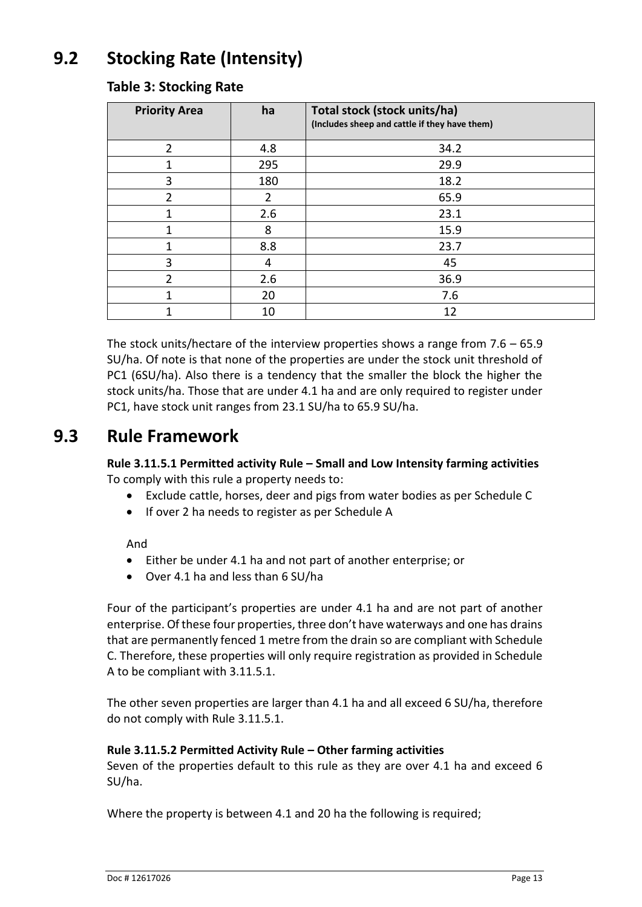## **9.2 Stocking Rate (Intensity)**

| <b>Priority Area</b> | ha             | Total stock (stock units/ha)<br>(Includes sheep and cattle if they have them) |
|----------------------|----------------|-------------------------------------------------------------------------------|
| $\overline{2}$       | 4.8            | 34.2                                                                          |
|                      | 295            | 29.9                                                                          |
| 3                    | 180            | 18.2                                                                          |
| 2                    | $\overline{2}$ | 65.9                                                                          |
|                      | 2.6            | 23.1                                                                          |
|                      | 8              | 15.9                                                                          |
|                      | 8.8            | 23.7                                                                          |
| 3                    | 4              | 45                                                                            |
| 2                    | 2.6            | 36.9                                                                          |
|                      | 20             | 7.6                                                                           |
|                      | 10             | 12                                                                            |

### <span id="page-20-1"></span><span id="page-20-0"></span>**Table 3: Stocking Rate**

The stock units/hectare of the interview properties shows a range from 7.6 – 65.9 SU/ha. Of note is that none of the properties are under the stock unit threshold of PC1 (6SU/ha). Also there is a tendency that the smaller the block the higher the stock units/ha. Those that are under 4.1 ha and are only required to register under PC1, have stock unit ranges from 23.1 SU/ha to 65.9 SU/ha.

### **9.3 Rule Framework**

<span id="page-20-2"></span>**Rule 3.11.5.1 Permitted activity Rule – Small and Low Intensity farming activities** To comply with this rule a property needs to:

- Exclude cattle, horses, deer and pigs from water bodies as per Schedule C
- If over 2 ha needs to register as per Schedule A

And

- Either be under 4.1 ha and not part of another enterprise; or
- Over 4.1 ha and less than 6 SU/ha

Four of the participant's properties are under 4.1 ha and are not part of another enterprise. Of these four properties, three don't have waterways and one has drains that are permanently fenced 1 metre from the drain so are compliant with Schedule C. Therefore, these properties will only require registration as provided in Schedule A to be compliant with 3.11.5.1.

The other seven properties are larger than 4.1 ha and all exceed 6 SU/ha, therefore do not comply with Rule 3.11.5.1.

#### **Rule 3.11.5.2 Permitted Activity Rule – Other farming activities**

Seven of the properties default to this rule as they are over 4.1 ha and exceed 6 SU/ha.

Where the property is between 4.1 and 20 ha the following is required;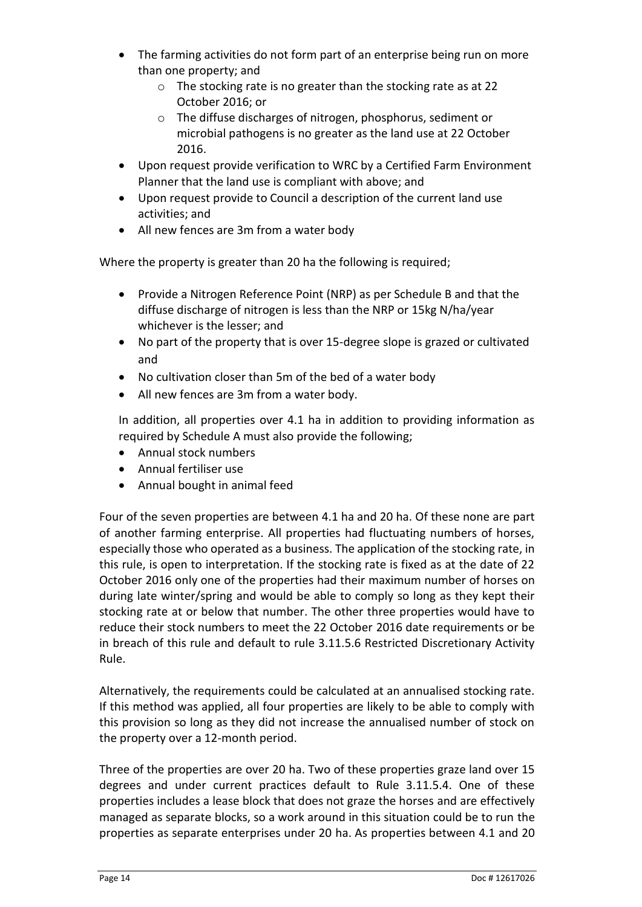- The farming activities do not form part of an enterprise being run on more than one property; and
	- o The stocking rate is no greater than the stocking rate as at 22 October 2016; or
	- o The diffuse discharges of nitrogen, phosphorus, sediment or microbial pathogens is no greater as the land use at 22 October 2016.
- Upon request provide verification to WRC by a Certified Farm Environment Planner that the land use is compliant with above; and
- Upon request provide to Council a description of the current land use activities; and
- All new fences are 3m from a water body

Where the property is greater than 20 ha the following is required;

- Provide a Nitrogen Reference Point (NRP) as per Schedule B and that the diffuse discharge of nitrogen is less than the NRP or 15kg N/ha/year whichever is the lesser; and
- No part of the property that is over 15-degree slope is grazed or cultivated and
- No cultivation closer than 5m of the bed of a water body
- All new fences are 3m from a water body.

In addition, all properties over 4.1 ha in addition to providing information as required by Schedule A must also provide the following;

- Annual stock numbers
- Annual fertiliser use
- Annual bought in animal feed

Four of the seven properties are between 4.1 ha and 20 ha. Of these none are part of another farming enterprise. All properties had fluctuating numbers of horses, especially those who operated as a business. The application of the stocking rate, in this rule, is open to interpretation. If the stocking rate is fixed as at the date of 22 October 2016 only one of the properties had their maximum number of horses on during late winter/spring and would be able to comply so long as they kept their stocking rate at or below that number. The other three properties would have to reduce their stock numbers to meet the 22 October 2016 date requirements or be in breach of this rule and default to rule 3.11.5.6 Restricted Discretionary Activity Rule.

Alternatively, the requirements could be calculated at an annualised stocking rate. If this method was applied, all four properties are likely to be able to comply with this provision so long as they did not increase the annualised number of stock on the property over a 12-month period.

Three of the properties are over 20 ha. Two of these properties graze land over 15 degrees and under current practices default to Rule 3.11.5.4. One of these properties includes a lease block that does not graze the horses and are effectively managed as separate blocks, so a work around in this situation could be to run the properties as separate enterprises under 20 ha. As properties between 4.1 and 20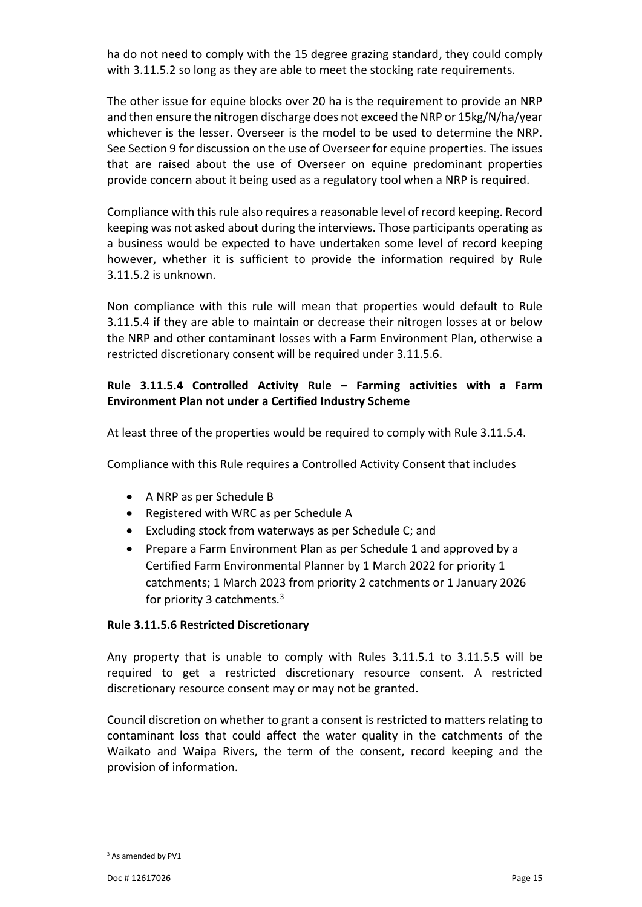ha do not need to comply with the 15 degree grazing standard, they could comply with 3.11.5.2 so long as they are able to meet the stocking rate requirements.

The other issue for equine blocks over 20 ha is the requirement to provide an NRP and then ensure the nitrogen discharge does not exceed the NRP or 15kg/N/ha/year whichever is the lesser. Overseer is the model to be used to determine the NRP. See Section 9 for discussion on the use of Overseer for equine properties. The issues that are raised about the use of Overseer on equine predominant properties provide concern about it being used as a regulatory tool when a NRP is required.

Compliance with this rule also requires a reasonable level of record keeping. Record keeping was not asked about during the interviews. Those participants operating as a business would be expected to have undertaken some level of record keeping however, whether it is sufficient to provide the information required by Rule 3.11.5.2 is unknown.

Non compliance with this rule will mean that properties would default to Rule 3.11.5.4 if they are able to maintain or decrease their nitrogen losses at or below the NRP and other contaminant losses with a Farm Environment Plan, otherwise a restricted discretionary consent will be required under 3.11.5.6.

#### **Rule 3.11.5.4 Controlled Activity Rule – Farming activities with a Farm Environment Plan not under a Certified Industry Scheme**

At least three of the properties would be required to comply with Rule 3.11.5.4.

Compliance with this Rule requires a Controlled Activity Consent that includes

- A NRP as per Schedule B
- Registered with WRC as per Schedule A
- Excluding stock from waterways as per Schedule C; and
- Prepare a Farm Environment Plan as per Schedule 1 and approved by a Certified Farm Environmental Planner by 1 March 2022 for priority 1 catchments; 1 March 2023 from priority 2 catchments or 1 January 2026 for priority 3 catchments.<sup>3</sup>

#### **Rule 3.11.5.6 Restricted Discretionary**

Any property that is unable to comply with Rules 3.11.5.1 to 3.11.5.5 will be required to get a restricted discretionary resource consent. A restricted discretionary resource consent may or may not be granted.

Council discretion on whether to grant a consent is restricted to matters relating to contaminant loss that could affect the water quality in the catchments of the Waikato and Waipa Rivers, the term of the consent, record keeping and the provision of information.

 $\ddot{\phantom{a}}$ 

<sup>&</sup>lt;sup>3</sup> As amended by PV1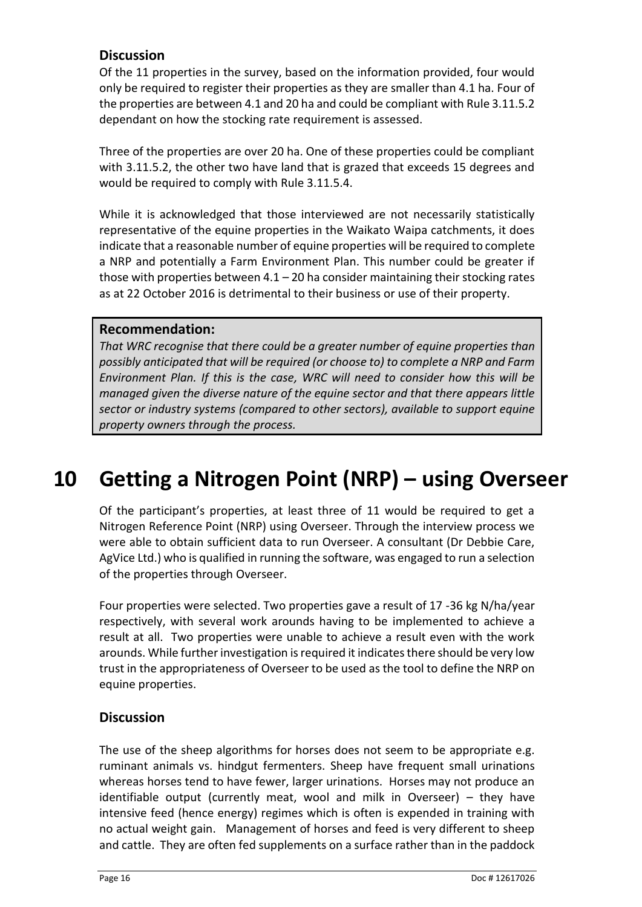### **Discussion**

Of the 11 properties in the survey, based on the information provided, four would only be required to register their properties as they are smaller than 4.1 ha. Four of the properties are between 4.1 and 20 ha and could be compliant with Rule 3.11.5.2 dependant on how the stocking rate requirement is assessed.

Three of the properties are over 20 ha. One of these properties could be compliant with 3.11.5.2, the other two have land that is grazed that exceeds 15 degrees and would be required to comply with Rule 3.11.5.4.

While it is acknowledged that those interviewed are not necessarily statistically representative of the equine properties in the Waikato Waipa catchments, it does indicate that a reasonable number of equine properties will be required to complete a NRP and potentially a Farm Environment Plan. This number could be greater if those with properties between  $4.1 - 20$  ha consider maintaining their stocking rates as at 22 October 2016 is detrimental to their business or use of their property.

#### **Recommendation:**

*That WRC recognise that there could be a greater number of equine properties than possibly anticipated that will be required (or choose to) to complete a NRP and Farm Environment Plan. If this is the case, WRC will need to consider how this will be managed given the diverse nature of the equine sector and that there appears little sector or industry systems (compared to other sectors), available to support equine property owners through the process.* 

## <span id="page-23-0"></span>**10 Getting a Nitrogen Point (NRP) – using Overseer**

Of the participant's properties, at least three of 11 would be required to get a Nitrogen Reference Point (NRP) using Overseer. Through the interview process we were able to obtain sufficient data to run Overseer. A consultant (Dr Debbie Care, AgVice Ltd.) who is qualified in running the software, was engaged to run a selection of the properties through Overseer.

Four properties were selected. Two properties gave a result of 17 -36 kg N/ha/year respectively, with several work arounds having to be implemented to achieve a result at all. Two properties were unable to achieve a result even with the work arounds. While further investigation is required it indicates there should be very low trust in the appropriateness of Overseer to be used as the tool to define the NRP on equine properties.

#### **Discussion**

The use of the sheep algorithms for horses does not seem to be appropriate e.g. ruminant animals vs. hindgut fermenters. Sheep have frequent small urinations whereas horses tend to have fewer, larger urinations. Horses may not produce an identifiable output (currently meat, wool and milk in Overseer) – they have intensive feed (hence energy) regimes which is often is expended in training with no actual weight gain. Management of horses and feed is very different to sheep and cattle. They are often fed supplements on a surface rather than in the paddock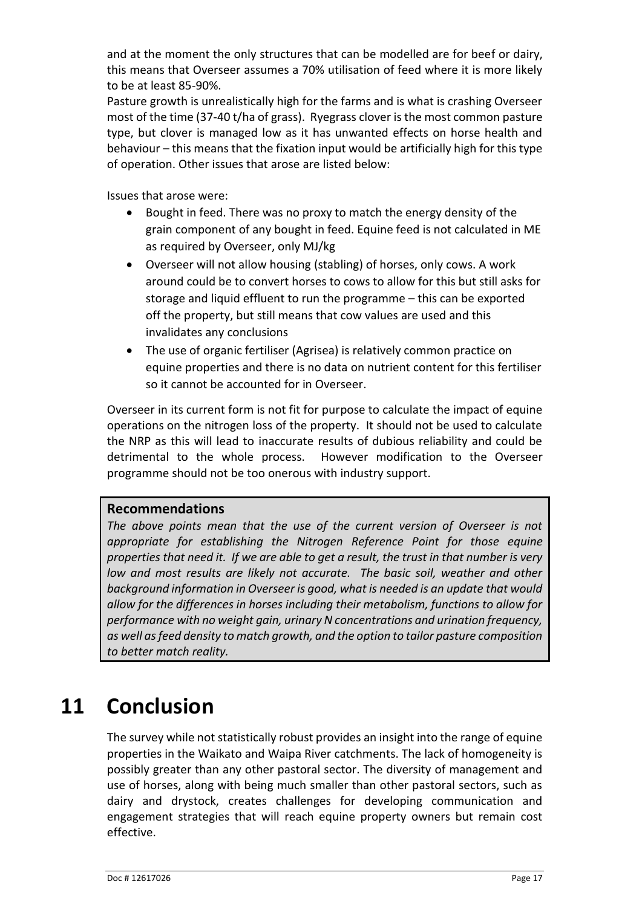and at the moment the only structures that can be modelled are for beef or dairy, this means that Overseer assumes a 70% utilisation of feed where it is more likely to be at least 85-90%.

Pasture growth is unrealistically high for the farms and is what is crashing Overseer most of the time (37-40 t/ha of grass). Ryegrass clover is the most common pasture type, but clover is managed low as it has unwanted effects on horse health and behaviour – this means that the fixation input would be artificially high for this type of operation. Other issues that arose are listed below:

Issues that arose were:

- Bought in feed. There was no proxy to match the energy density of the grain component of any bought in feed. Equine feed is not calculated in ME as required by Overseer, only MJ/kg
- Overseer will not allow housing (stabling) of horses, only cows. A work around could be to convert horses to cows to allow for this but still asks for storage and liquid effluent to run the programme – this can be exported off the property, but still means that cow values are used and this invalidates any conclusions
- The use of organic fertiliser (Agrisea) is relatively common practice on equine properties and there is no data on nutrient content for this fertiliser so it cannot be accounted for in Overseer.

Overseer in its current form is not fit for purpose to calculate the impact of equine operations on the nitrogen loss of the property. It should not be used to calculate the NRP as this will lead to inaccurate results of dubious reliability and could be detrimental to the whole process. However modification to the Overseer programme should not be too onerous with industry support.

#### **Recommendations**

*The above points mean that the use of the current version of Overseer is not appropriate for establishing the Nitrogen Reference Point for those equine properties that need it. If we are able to get a result, the trust in that number is very low and most results are likely not accurate. The basic soil, weather and other background information in Overseer is good, what is needed is an update that would allow for the differences in horses including their metabolism, functions to allow for performance with no weight gain, urinary N concentrations and urination frequency, as well asfeed density to match growth, and the option to tailor pasture composition to better match reality.*

## <span id="page-24-0"></span>**11 Conclusion**

The survey while not statistically robust provides an insight into the range of equine properties in the Waikato and Waipa River catchments. The lack of homogeneity is possibly greater than any other pastoral sector. The diversity of management and use of horses, along with being much smaller than other pastoral sectors, such as dairy and drystock, creates challenges for developing communication and engagement strategies that will reach equine property owners but remain cost effective.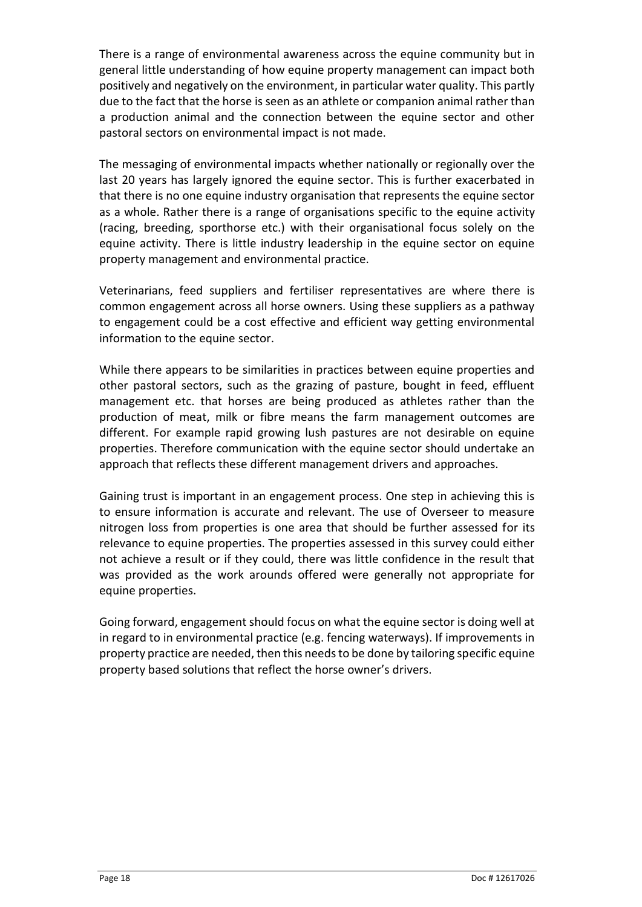There is a range of environmental awareness across the equine community but in general little understanding of how equine property management can impact both positively and negatively on the environment, in particular water quality. This partly due to the fact that the horse is seen as an athlete or companion animal rather than a production animal and the connection between the equine sector and other pastoral sectors on environmental impact is not made.

The messaging of environmental impacts whether nationally or regionally over the last 20 years has largely ignored the equine sector. This is further exacerbated in that there is no one equine industry organisation that represents the equine sector as a whole. Rather there is a range of organisations specific to the equine activity (racing, breeding, sporthorse etc.) with their organisational focus solely on the equine activity. There is little industry leadership in the equine sector on equine property management and environmental practice.

Veterinarians, feed suppliers and fertiliser representatives are where there is common engagement across all horse owners. Using these suppliers as a pathway to engagement could be a cost effective and efficient way getting environmental information to the equine sector.

While there appears to be similarities in practices between equine properties and other pastoral sectors, such as the grazing of pasture, bought in feed, effluent management etc. that horses are being produced as athletes rather than the production of meat, milk or fibre means the farm management outcomes are different. For example rapid growing lush pastures are not desirable on equine properties. Therefore communication with the equine sector should undertake an approach that reflects these different management drivers and approaches.

Gaining trust is important in an engagement process. One step in achieving this is to ensure information is accurate and relevant. The use of Overseer to measure nitrogen loss from properties is one area that should be further assessed for its relevance to equine properties. The properties assessed in this survey could either not achieve a result or if they could, there was little confidence in the result that was provided as the work arounds offered were generally not appropriate for equine properties.

Going forward, engagement should focus on what the equine sector is doing well at in regard to in environmental practice (e.g. fencing waterways). If improvements in property practice are needed, then this needs to be done by tailoring specific equine property based solutions that reflect the horse owner's drivers.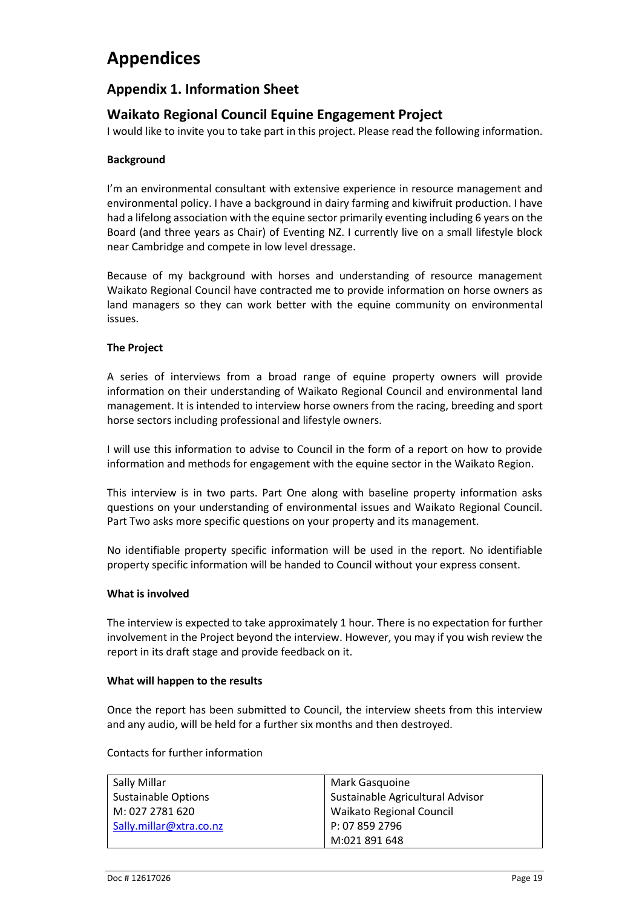### <span id="page-26-0"></span>**Appendices**

#### <span id="page-26-1"></span>**Appendix 1. Information Sheet**

#### **Waikato Regional Council Equine Engagement Project**

I would like to invite you to take part in this project. Please read the following information.

#### **Background**

I'm an environmental consultant with extensive experience in resource management and environmental policy. I have a background in dairy farming and kiwifruit production. I have had a lifelong association with the equine sector primarily eventing including 6 years on the Board (and three years as Chair) of Eventing NZ. I currently live on a small lifestyle block near Cambridge and compete in low level dressage.

Because of my background with horses and understanding of resource management Waikato Regional Council have contracted me to provide information on horse owners as land managers so they can work better with the equine community on environmental issues.

#### **The Project**

A series of interviews from a broad range of equine property owners will provide information on their understanding of Waikato Regional Council and environmental land management. It is intended to interview horse owners from the racing, breeding and sport horse sectors including professional and lifestyle owners.

I will use this information to advise to Council in the form of a report on how to provide information and methods for engagement with the equine sector in the Waikato Region.

This interview is in two parts. Part One along with baseline property information asks questions on your understanding of environmental issues and Waikato Regional Council. Part Two asks more specific questions on your property and its management.

No identifiable property specific information will be used in the report. No identifiable property specific information will be handed to Council without your express consent.

#### **What is involved**

The interview is expected to take approximately 1 hour. There is no expectation for further involvement in the Project beyond the interview. However, you may if you wish review the report in its draft stage and provide feedback on it.

#### **What will happen to the results**

Once the report has been submitted to Council, the interview sheets from this interview and any audio, will be held for a further six months and then destroyed.

#### Contacts for further information

| Sally Millar            | Mark Gasguoine                   |
|-------------------------|----------------------------------|
| Sustainable Options     | Sustainable Agricultural Advisor |
| M: 027 2781 620         | <b>Waikato Regional Council</b>  |
| Sally.millar@xtra.co.nz | P: 07 859 2796                   |
|                         | M:021 891 648                    |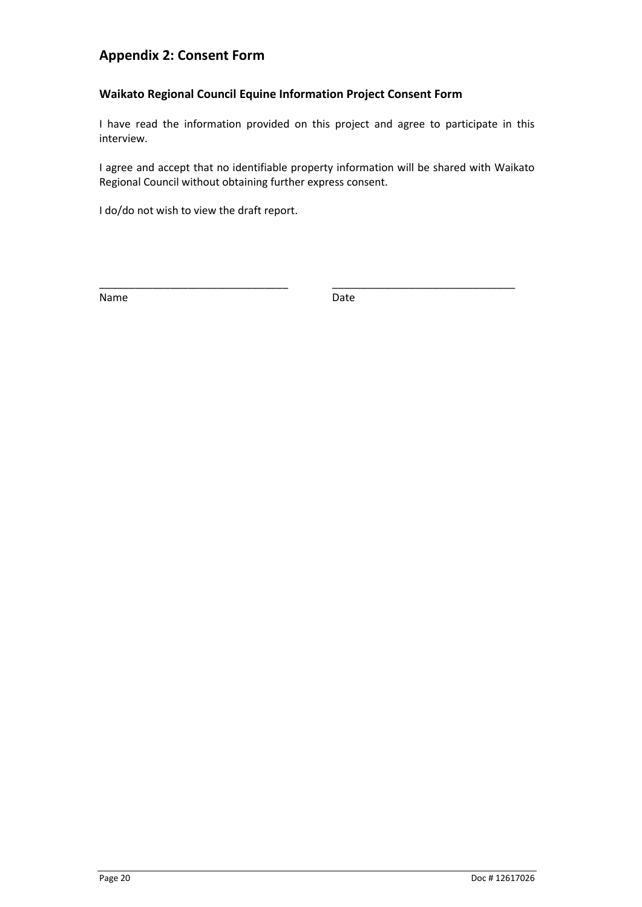### <span id="page-27-0"></span>**Appendix 2: Consent Form**

#### **Waikato Regional Council Equine Information Project Consent Form**

I have read the information provided on this project and agree to participate in this interview.

I agree and accept that no identifiable property information will be shared with Waikato Regional Council without obtaining further express consent.

\_\_\_\_\_\_\_\_\_\_\_\_\_\_\_\_\_\_\_\_\_\_\_\_\_\_\_\_\_\_\_\_ \_\_\_\_\_\_\_\_\_\_\_\_\_\_\_\_\_\_\_\_\_\_\_\_\_\_\_\_\_\_\_

I do/do not wish to view the draft report.

Name **Name** Date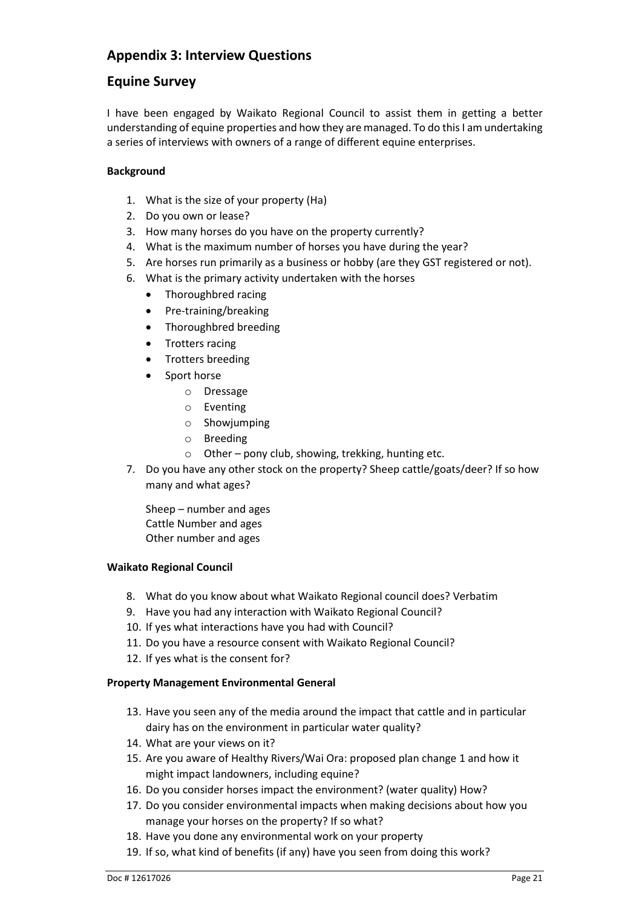### <span id="page-28-0"></span>**Appendix 3: Interview Questions**

#### **Equine Survey**

I have been engaged by Waikato Regional Council to assist them in getting a better understanding of equine properties and how they are managed. To do this I am undertaking a series of interviews with owners of a range of different equine enterprises.

#### **Background**

- 1. What is the size of your property (Ha)
- 2. Do you own or lease?
- 3. How many horses do you have on the property currently?
- 4. What is the maximum number of horses you have during the year?
- 5. Are horses run primarily as a business or hobby (are they GST registered or not).
- 6. What is the primary activity undertaken with the horses
	- Thoroughbred racing
	- Pre-training/breaking
	- Thoroughbred breeding
	- Trotters racing
	- Trotters breeding
	- Sport horse
		- o Dressage
		- o Eventing
		- o Showjumping
		- o Breeding
		- $\circ$  Other pony club, showing, trekking, hunting etc.
- 7. Do you have any other stock on the property? Sheep cattle/goats/deer? If so how many and what ages?

Sheep – number and ages Cattle Number and ages Other number and ages

#### **Waikato Regional Council**

- 8. What do you know about what Waikato Regional council does? Verbatim
- 9. Have you had any interaction with Waikato Regional Council?
- 10. If yes what interactions have you had with Council?
- 11. Do you have a resource consent with Waikato Regional Council?
- 12. If yes what is the consent for?

#### **Property Management Environmental General**

- 13. Have you seen any of the media around the impact that cattle and in particular dairy has on the environment in particular water quality?
- 14. What are your views on it?
- 15. Are you aware of Healthy Rivers/Wai Ora: proposed plan change 1 and how it might impact landowners, including equine?
- 16. Do you consider horses impact the environment? (water quality) How?
- 17. Do you consider environmental impacts when making decisions about how you manage your horses on the property? If so what?
- 18. Have you done any environmental work on your property
- 19. If so, what kind of benefits (if any) have you seen from doing this work?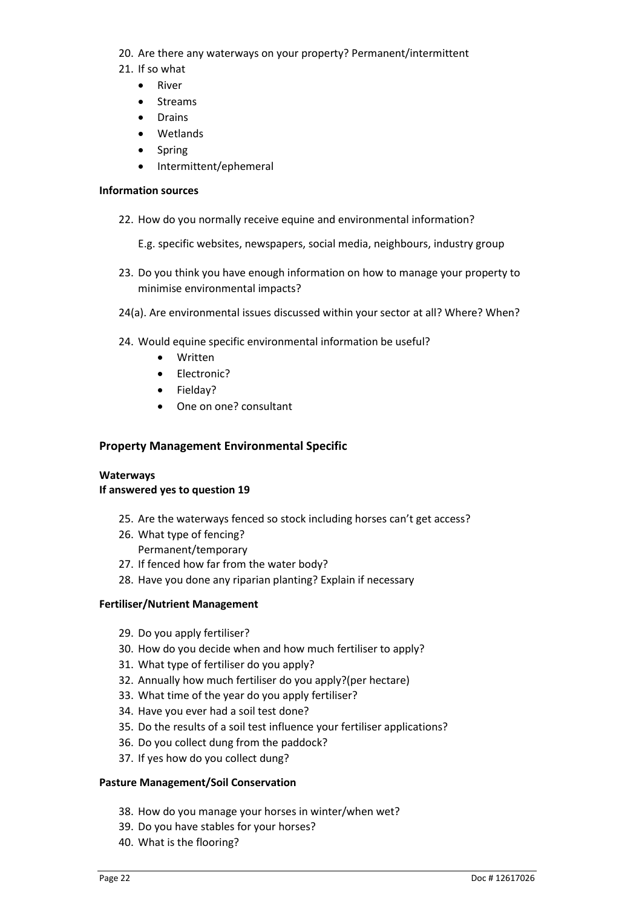- 20. Are there any waterways on your property? Permanent/intermittent
- 21. If so what
	- **River**
	- Streams
	- Drains
	- Wetlands
	- Spring
	- Intermittent/ephemeral

#### **Information sources**

- 22. How do you normally receive equine and environmental information?
	- E.g. specific websites, newspapers, social media, neighbours, industry group
- 23. Do you think you have enough information on how to manage your property to minimise environmental impacts?
- 24(a). Are environmental issues discussed within your sector at all? Where? When?
- 24. Would equine specific environmental information be useful?
	- Written
	- Electronic?
	- Fielday?
	- One on one? consultant

#### **Property Management Environmental Specific**

#### **Waterways**

#### **If answered yes to question 19**

- 25. Are the waterways fenced so stock including horses can't get access?
- 26. What type of fencing? Permanent/temporary
- 27. If fenced how far from the water body?
- 28. Have you done any riparian planting? Explain if necessary

#### **Fertiliser/Nutrient Management**

- 29. Do you apply fertiliser?
- 30. How do you decide when and how much fertiliser to apply?
- 31. What type of fertiliser do you apply?
- 32. Annually how much fertiliser do you apply?(per hectare)
- 33. What time of the year do you apply fertiliser?
- 34. Have you ever had a soil test done?
- 35. Do the results of a soil test influence your fertiliser applications?
- 36. Do you collect dung from the paddock?
- 37. If yes how do you collect dung?

#### **Pasture Management/Soil Conservation**

- 38. How do you manage your horses in winter/when wet?
- 39. Do you have stables for your horses?
- 40. What is the flooring?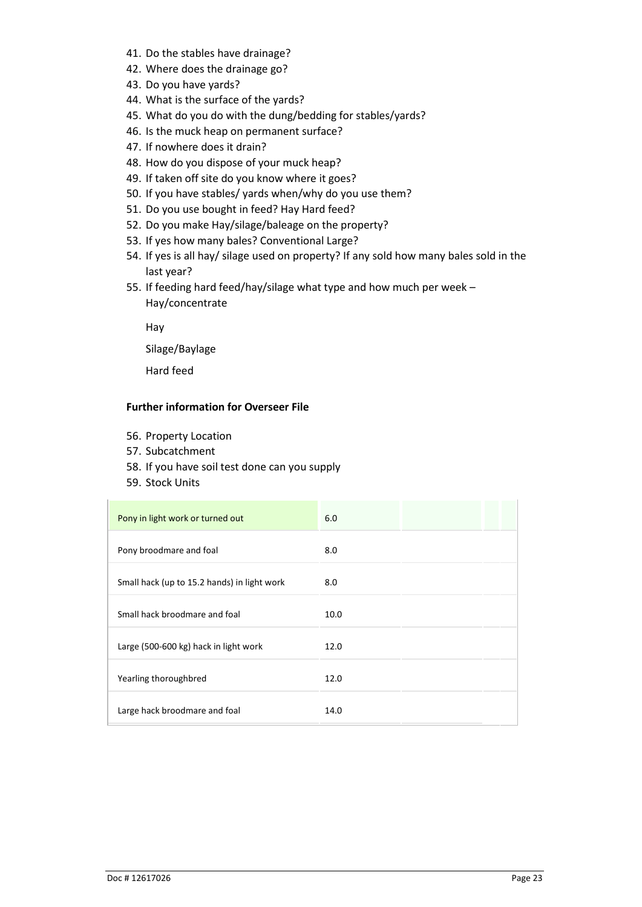- 41. Do the stables have drainage?
- 42. Where does the drainage go?
- 43. Do you have yards?
- 44. What is the surface of the yards?
- 45. What do you do with the dung/bedding for stables/yards?
- 46. Is the muck heap on permanent surface?
- 47. If nowhere does it drain?
- 48. How do you dispose of your muck heap?
- 49. If taken off site do you know where it goes?
- 50. If you have stables/ yards when/why do you use them?
- 51. Do you use bought in feed? Hay Hard feed?
- 52. Do you make Hay/silage/baleage on the property?
- 53. If yes how many bales? Conventional Large?
- 54. If yes is all hay/ silage used on property? If any sold how many bales sold in the last year?
- 55. If feeding hard feed/hay/silage what type and how much per week Hay/concentrate

Hay

Silage/Baylage

Hard feed

#### **Further information for Overseer File**

- 56. Property Location
- 57. Subcatchment
- 58. If you have soil test done can you supply
- 59. Stock Units

| Pony in light work or turned out            | 6.0  |  |
|---------------------------------------------|------|--|
| Pony broodmare and foal                     | 8.0  |  |
| Small hack (up to 15.2 hands) in light work | 8.0  |  |
| Small hack broodmare and foal               | 10.0 |  |
| Large (500-600 kg) hack in light work       | 12.0 |  |
| Yearling thoroughbred                       | 12.0 |  |
| Large hack broodmare and foal               | 14.0 |  |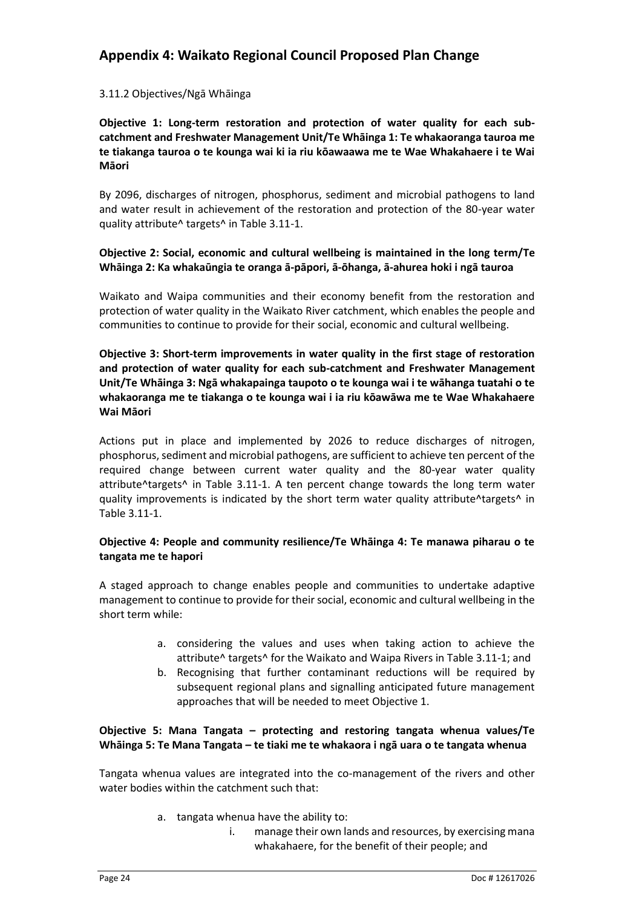### <span id="page-31-0"></span>**Appendix 4: Waikato Regional Council Proposed Plan Change**

#### 3.11.2 Objectives/Ngā Whāinga

**Objective 1: Long-term restoration and protection of water quality for each subcatchment and Freshwater Management Unit/Te Whāinga 1: Te whakaoranga tauroa me te tiakanga tauroa o te kounga wai ki ia riu kōawaawa me te Wae Whakahaere i te Wai Māori**

By 2096, discharges of nitrogen, phosphorus, sediment and microbial pathogens to land and water result in achievement of the restoration and protection of the 80-year water quality attribute^ targets^ in Table 3.11-1.

#### **Objective 2: Social, economic and cultural wellbeing is maintained in the long term/Te Whāinga 2: Ka whakaūngia te oranga ā-pāpori, ā-ōhanga, ā-ahurea hoki i ngā tauroa**

Waikato and Waipa communities and their economy benefit from the restoration and protection of water quality in the Waikato River catchment, which enables the people and communities to continue to provide for their social, economic and cultural wellbeing.

**Objective 3: Short-term improvements in water quality in the first stage of restoration and protection of water quality for each sub-catchment and Freshwater Management Unit/Te Whāinga 3: Ngā whakapainga taupoto o te kounga wai i te wāhanga tuatahi o te whakaoranga me te tiakanga o te kounga wai i ia riu kōawāwa me te Wae Whakahaere Wai Māori**

Actions put in place and implemented by 2026 to reduce discharges of nitrogen, phosphorus, sediment and microbial pathogens, are sufficient to achieve ten percent of the required change between current water quality and the 80-year water quality attribute^targets^ in Table 3.11-1. A ten percent change towards the long term water quality improvements is indicated by the short term water quality attribute^targets^ in Table 3.11-1.

#### **Objective 4: People and community resilience/Te Whāinga 4: Te manawa piharau o te tangata me te hapori**

A staged approach to change enables people and communities to undertake adaptive management to continue to provide for their social, economic and cultural wellbeing in the short term while:

- a. considering the values and uses when taking action to achieve the attribute^ targets^ for the Waikato and Waipa Rivers in Table 3.11-1; and
- b. Recognising that further contaminant reductions will be required by subsequent regional plans and signalling anticipated future management approaches that will be needed to meet Objective 1.

#### **Objective 5: Mana Tangata – protecting and restoring tangata whenua values/Te Whāinga 5: Te Mana Tangata – te tiaki me te whakaora i ngā uara o te tangata whenua**

Tangata whenua values are integrated into the co-management of the rivers and other water bodies within the catchment such that:

- a. tangata whenua have the ability to:
	- i. manage their own lands and resources, by exercising mana whakahaere, for the benefit of their people; and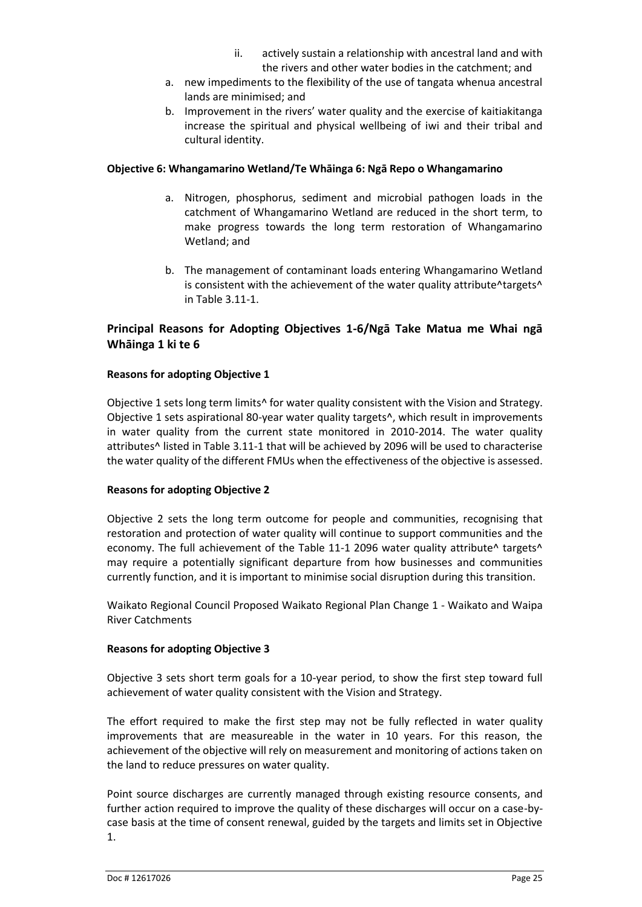- ii. actively sustain a relationship with ancestral land and with the rivers and other water bodies in the catchment; and
- a. new impediments to the flexibility of the use of tangata whenua ancestral lands are minimised; and
- b. Improvement in the rivers' water quality and the exercise of kaitiakitanga increase the spiritual and physical wellbeing of iwi and their tribal and cultural identity.

#### **Objective 6: Whangamarino Wetland/Te Whāinga 6: Ngā Repo o Whangamarino**

- a. Nitrogen, phosphorus, sediment and microbial pathogen loads in the catchment of Whangamarino Wetland are reduced in the short term, to make progress towards the long term restoration of Whangamarino Wetland; and
- b. The management of contaminant loads entering Whangamarino Wetland is consistent with the achievement of the water quality attribute^targets^ in Table 3.11-1.

#### **Principal Reasons for Adopting Objectives 1-6/Ngā Take Matua me Whai ngā Whāinga 1 ki te 6**

#### **Reasons for adopting Objective 1**

Objective 1 sets long term limits<sup>^</sup> for water quality consistent with the Vision and Strategy. Objective 1 sets aspirational 80-year water quality targets^, which result in improvements in water quality from the current state monitored in 2010-2014. The water quality attributes^ listed in Table 3.11-1 that will be achieved by 2096 will be used to characterise the water quality of the different FMUs when the effectiveness of the objective is assessed.

#### **Reasons for adopting Objective 2**

Objective 2 sets the long term outcome for people and communities, recognising that restoration and protection of water quality will continue to support communities and the economy. The full achievement of the Table 11-1 2096 water quality attribute^ targets^ may require a potentially significant departure from how businesses and communities currently function, and it is important to minimise social disruption during this transition.

Waikato Regional Council Proposed Waikato Regional Plan Change 1 - Waikato and Waipa River Catchments

#### **Reasons for adopting Objective 3**

Objective 3 sets short term goals for a 10-year period, to show the first step toward full achievement of water quality consistent with the Vision and Strategy.

The effort required to make the first step may not be fully reflected in water quality improvements that are measureable in the water in 10 years. For this reason, the achievement of the objective will rely on measurement and monitoring of actions taken on the land to reduce pressures on water quality.

Point source discharges are currently managed through existing resource consents, and further action required to improve the quality of these discharges will occur on a case-bycase basis at the time of consent renewal, guided by the targets and limits set in Objective 1.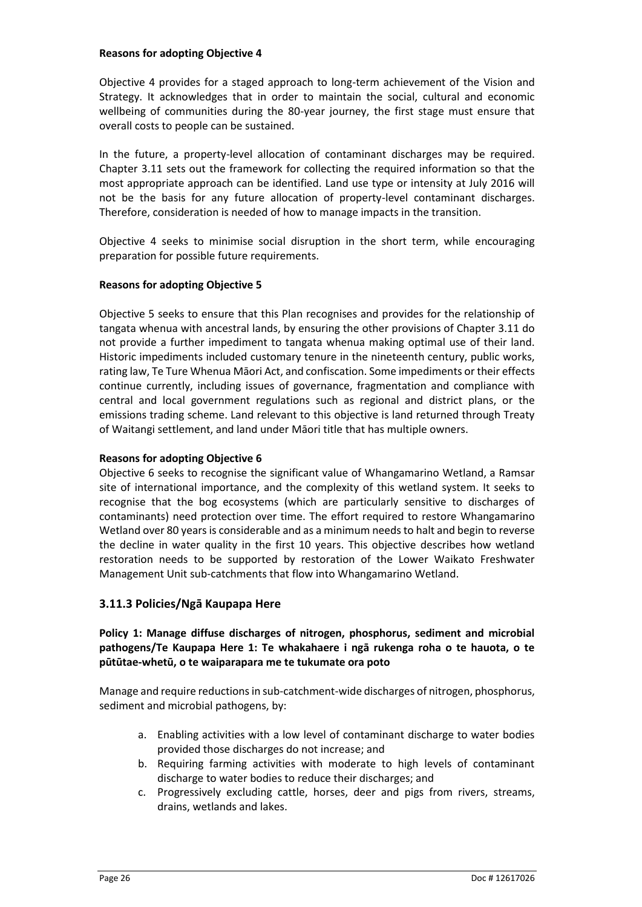#### **Reasons for adopting Objective 4**

Objective 4 provides for a staged approach to long-term achievement of the Vision and Strategy. It acknowledges that in order to maintain the social, cultural and economic wellbeing of communities during the 80-year journey, the first stage must ensure that overall costs to people can be sustained.

In the future, a property-level allocation of contaminant discharges may be required. Chapter 3.11 sets out the framework for collecting the required information so that the most appropriate approach can be identified. Land use type or intensity at July 2016 will not be the basis for any future allocation of property-level contaminant discharges. Therefore, consideration is needed of how to manage impacts in the transition.

Objective 4 seeks to minimise social disruption in the short term, while encouraging preparation for possible future requirements.

#### **Reasons for adopting Objective 5**

Objective 5 seeks to ensure that this Plan recognises and provides for the relationship of tangata whenua with ancestral lands, by ensuring the other provisions of Chapter 3.11 do not provide a further impediment to tangata whenua making optimal use of their land. Historic impediments included customary tenure in the nineteenth century, public works, rating law, Te Ture Whenua Māori Act, and confiscation. Some impediments or their effects continue currently, including issues of governance, fragmentation and compliance with central and local government regulations such as regional and district plans, or the emissions trading scheme. Land relevant to this objective is land returned through Treaty of Waitangi settlement, and land under Māori title that has multiple owners.

#### **Reasons for adopting Objective 6**

Objective 6 seeks to recognise the significant value of Whangamarino Wetland, a Ramsar site of international importance, and the complexity of this wetland system. It seeks to recognise that the bog ecosystems (which are particularly sensitive to discharges of contaminants) need protection over time. The effort required to restore Whangamarino Wetland over 80 years is considerable and as a minimum needs to halt and begin to reverse the decline in water quality in the first 10 years. This objective describes how wetland restoration needs to be supported by restoration of the Lower Waikato Freshwater Management Unit sub-catchments that flow into Whangamarino Wetland.

#### **3.11.3 Policies/Ngā Kaupapa Here**

#### **Policy 1: Manage diffuse discharges of nitrogen, phosphorus, sediment and microbial pathogens/Te Kaupapa Here 1: Te whakahaere i ngā rukenga roha o te hauota, o te pūtūtae-whetū, o te waiparapara me te tukumate ora poto**

Manage and require reductions in sub-catchment-wide discharges of nitrogen, phosphorus, sediment and microbial pathogens, by:

- a. Enabling activities with a low level of contaminant discharge to water bodies provided those discharges do not increase; and
- b. Requiring farming activities with moderate to high levels of contaminant discharge to water bodies to reduce their discharges; and
- c. Progressively excluding cattle, horses, deer and pigs from rivers, streams, drains, wetlands and lakes.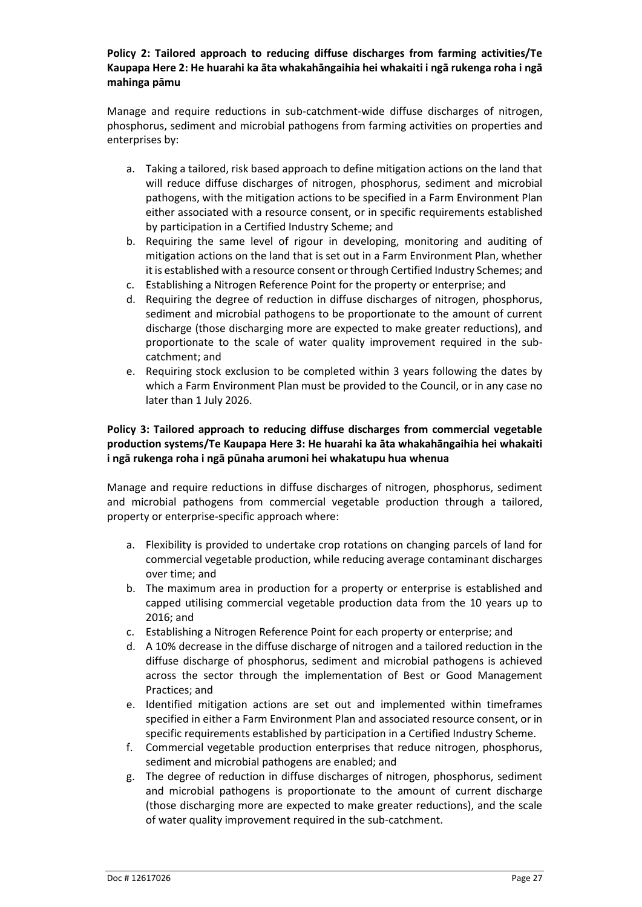#### **Policy 2: Tailored approach to reducing diffuse discharges from farming activities/Te Kaupapa Here 2: He huarahi ka āta whakahāngaihia hei whakaiti i ngā rukenga roha i ngā mahinga pāmu**

Manage and require reductions in sub-catchment-wide diffuse discharges of nitrogen, phosphorus, sediment and microbial pathogens from farming activities on properties and enterprises by:

- a. Taking a tailored, risk based approach to define mitigation actions on the land that will reduce diffuse discharges of nitrogen, phosphorus, sediment and microbial pathogens, with the mitigation actions to be specified in a Farm Environment Plan either associated with a resource consent, or in specific requirements established by participation in a Certified Industry Scheme; and
- b. Requiring the same level of rigour in developing, monitoring and auditing of mitigation actions on the land that is set out in a Farm Environment Plan, whether it is established with a resource consent or through Certified Industry Schemes; and
- c. Establishing a Nitrogen Reference Point for the property or enterprise; and
- d. Requiring the degree of reduction in diffuse discharges of nitrogen, phosphorus, sediment and microbial pathogens to be proportionate to the amount of current discharge (those discharging more are expected to make greater reductions), and proportionate to the scale of water quality improvement required in the subcatchment; and
- e. Requiring stock exclusion to be completed within 3 years following the dates by which a Farm Environment Plan must be provided to the Council, or in any case no later than 1 July 2026.

#### **Policy 3: Tailored approach to reducing diffuse discharges from commercial vegetable production systems/Te Kaupapa Here 3: He huarahi ka āta whakahāngaihia hei whakaiti i ngā rukenga roha i ngā pūnaha arumoni hei whakatupu hua whenua**

Manage and require reductions in diffuse discharges of nitrogen, phosphorus, sediment and microbial pathogens from commercial vegetable production through a tailored, property or enterprise-specific approach where:

- a. Flexibility is provided to undertake crop rotations on changing parcels of land for commercial vegetable production, while reducing average contaminant discharges over time; and
- b. The maximum area in production for a property or enterprise is established and capped utilising commercial vegetable production data from the 10 years up to 2016; and
- c. Establishing a Nitrogen Reference Point for each property or enterprise; and
- d. A 10% decrease in the diffuse discharge of nitrogen and a tailored reduction in the diffuse discharge of phosphorus, sediment and microbial pathogens is achieved across the sector through the implementation of Best or Good Management Practices; and
- e. Identified mitigation actions are set out and implemented within timeframes specified in either a Farm Environment Plan and associated resource consent, or in specific requirements established by participation in a Certified Industry Scheme.
- f. Commercial vegetable production enterprises that reduce nitrogen, phosphorus, sediment and microbial pathogens are enabled; and
- g. The degree of reduction in diffuse discharges of nitrogen, phosphorus, sediment and microbial pathogens is proportionate to the amount of current discharge (those discharging more are expected to make greater reductions), and the scale of water quality improvement required in the sub-catchment.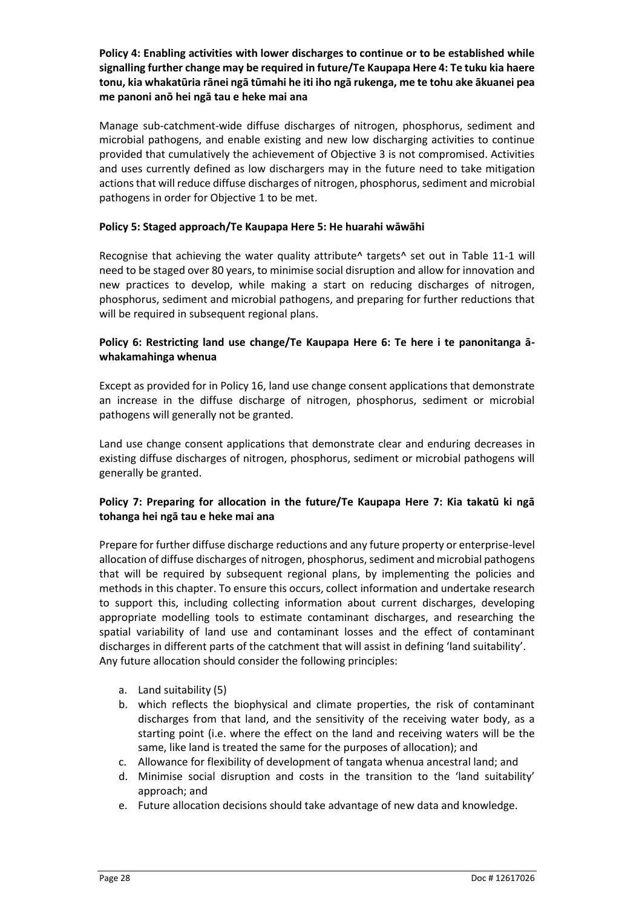**Policy 4: Enabling activities with lower discharges to continue or to be established while signalling further change may be required in future/Te Kaupapa Here 4: Te tuku kia haere tonu, kia whakatūria rānei ngā tūmahi he iti iho ngā rukenga, me te tohu ake ākuanei pea me panoni anō hei ngā tau e heke mai ana**

Manage sub-catchment-wide diffuse discharges of nitrogen, phosphorus, sediment and microbial pathogens, and enable existing and new low discharging activities to continue provided that cumulatively the achievement of Objective 3 is not compromised. Activities and uses currently defined as low dischargers may in the future need to take mitigation actions that will reduce diffuse discharges of nitrogen, phosphorus, sediment and microbial pathogens in order for Objective 1 to be met.

#### **Policy 5: Staged approach/Te Kaupapa Here 5: He huarahi wāwāhi**

Recognise that achieving the water quality attribute^ targets^ set out in Table 11-1 will need to be staged over 80 years, to minimise social disruption and allow for innovation and new practices to develop, while making a start on reducing discharges of nitrogen, phosphorus, sediment and microbial pathogens, and preparing for further reductions that will be required in subsequent regional plans.

#### **Policy 6: Restricting land use change/Te Kaupapa Here 6: Te here i te panonitanga āwhakamahinga whenua**

Except as provided for in Policy 16, land use change consent applications that demonstrate an increase in the diffuse discharge of nitrogen, phosphorus, sediment or microbial pathogens will generally not be granted.

Land use change consent applications that demonstrate clear and enduring decreases in existing diffuse discharges of nitrogen, phosphorus, sediment or microbial pathogens will generally be granted.

#### **Policy 7: Preparing for allocation in the future/Te Kaupapa Here 7: Kia takatū ki ngā tohanga hei ngā tau e heke mai ana**

Prepare for further diffuse discharge reductions and any future property or enterprise-level allocation of diffuse discharges of nitrogen, phosphorus, sediment and microbial pathogens that will be required by subsequent regional plans, by implementing the policies and methods in this chapter. To ensure this occurs, collect information and undertake research to support this, including collecting information about current discharges, developing appropriate modelling tools to estimate contaminant discharges, and researching the spatial variability of land use and contaminant losses and the effect of contaminant discharges in different parts of the catchment that will assist in defining 'land suitability'. Any future allocation should consider the following principles:

- a. Land suitability (5)
- b. which reflects the biophysical and climate properties, the risk of contaminant discharges from that land, and the sensitivity of the receiving water body, as a starting point (i.e. where the effect on the land and receiving waters will be the same, like land is treated the same for the purposes of allocation); and
- c. Allowance for flexibility of development of tangata whenua ancestral land; and
- d. Minimise social disruption and costs in the transition to the 'land suitability' approach; and
- e. Future allocation decisions should take advantage of new data and knowledge.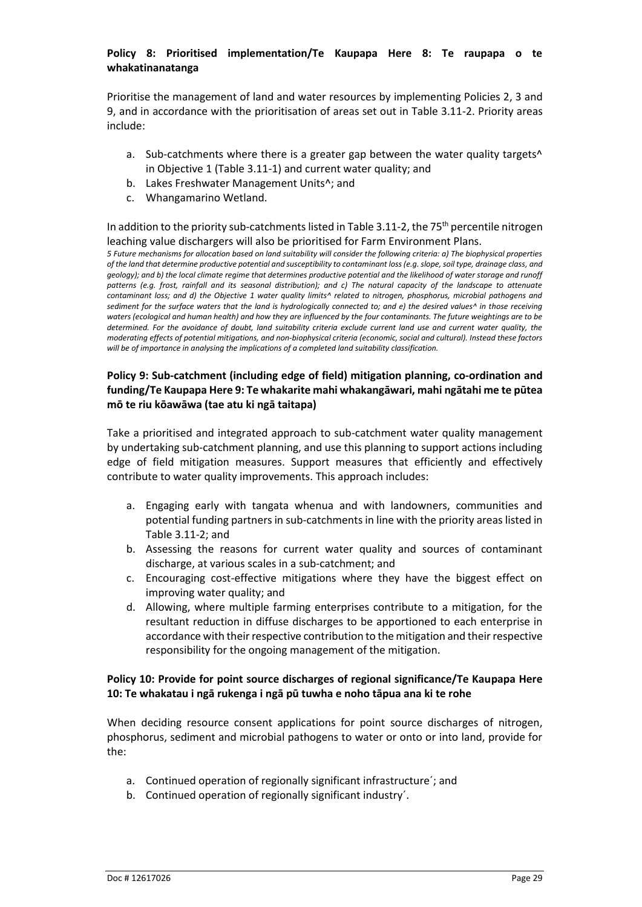#### **Policy 8: Prioritised implementation/Te Kaupapa Here 8: Te raupapa o te whakatinanatanga**

Prioritise the management of land and water resources by implementing Policies 2, 3 and 9, and in accordance with the prioritisation of areas set out in Table 3.11-2. Priority areas include:

- a. Sub-catchments where there is a greater gap between the water quality targets<sup>^</sup> in Objective 1 (Table 3.11-1) and current water quality; and
- b. Lakes Freshwater Management Units^; and
- c. Whangamarino Wetland.

In addition to the priority sub-catchments listed in Table 3.11-2, the 75<sup>th</sup> percentile nitrogen leaching value dischargers will also be prioritised for Farm Environment Plans.

*5 Future mechanisms for allocation based on land suitability will consider the following criteria: a) The biophysical properties of the land that determine productive potential and susceptibility to contaminant loss (e.g. slope, soil type, drainage class, and geology); and b) the local climate regime that determines productive potential and the likelihood of water storage and runoff patterns (e.g. frost, rainfall and its seasonal distribution); and c) The natural capacity of the landscape to attenuate contaminant loss; and d) the Objective 1 water quality limits^ related to nitrogen, phosphorus, microbial pathogens and sediment for the surface waters that the land is hydrologically connected to; and e) the desired values^ in those receiving waters (ecological and human health) and how they are influenced by the four contaminants. The future weightings are to be determined. For the avoidance of doubt, land suitability criteria exclude current land use and current water quality, the moderating effects of potential mitigations, and non-biophysical criteria (economic, social and cultural). Instead these factors will be of importance in analysing the implications of a completed land suitability classification.*

#### **Policy 9: Sub-catchment (including edge of field) mitigation planning, co-ordination and funding/Te Kaupapa Here 9: Te whakarite mahi whakangāwari, mahi ngātahi me te pūtea mō te riu kōawāwa (tae atu ki ngā taitapa)**

Take a prioritised and integrated approach to sub-catchment water quality management by undertaking sub-catchment planning, and use this planning to support actions including edge of field mitigation measures. Support measures that efficiently and effectively contribute to water quality improvements. This approach includes:

- a. Engaging early with tangata whenua and with landowners, communities and potential funding partners in sub-catchments in line with the priority areas listed in Table 3.11-2; and
- b. Assessing the reasons for current water quality and sources of contaminant discharge, at various scales in a sub-catchment; and
- c. Encouraging cost-effective mitigations where they have the biggest effect on improving water quality; and
- d. Allowing, where multiple farming enterprises contribute to a mitigation, for the resultant reduction in diffuse discharges to be apportioned to each enterprise in accordance with their respective contribution to the mitigation and their respective responsibility for the ongoing management of the mitigation.

#### **Policy 10: Provide for point source discharges of regional significance/Te Kaupapa Here 10: Te whakatau i ngā rukenga i ngā pū tuwha e noho tāpua ana ki te rohe**

When deciding resource consent applications for point source discharges of nitrogen, phosphorus, sediment and microbial pathogens to water or onto or into land, provide for the:

- a. Continued operation of regionally significant infrastructure´; and
- b. Continued operation of regionally significant industry´.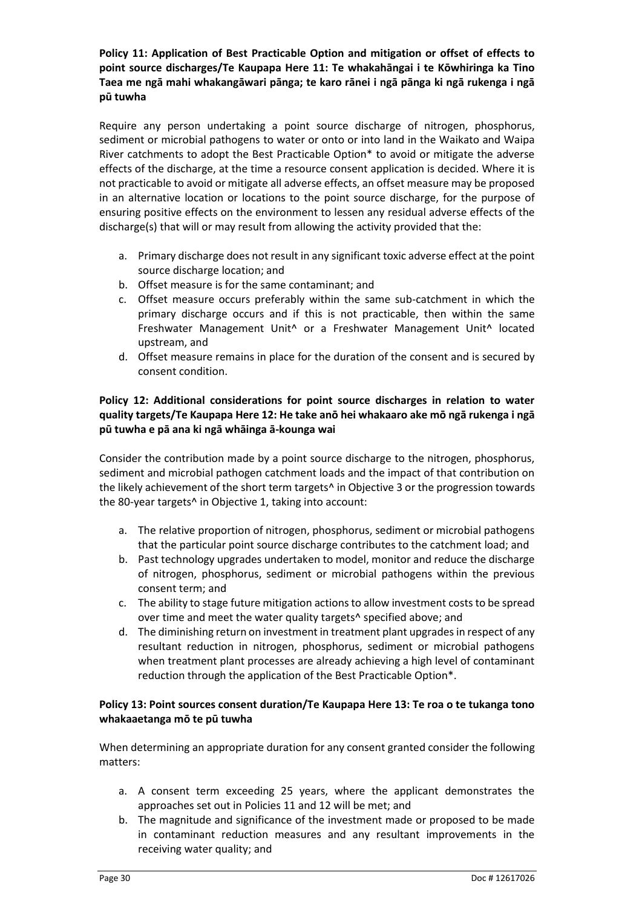#### **Policy 11: Application of Best Practicable Option and mitigation or offset of effects to point source discharges/Te Kaupapa Here 11: Te whakahāngai i te Kōwhiringa ka Tino Taea me ngā mahi whakangāwari pānga; te karo rānei i ngā pānga ki ngā rukenga i ngā pū tuwha**

Require any person undertaking a point source discharge of nitrogen, phosphorus, sediment or microbial pathogens to water or onto or into land in the Waikato and Waipa River catchments to adopt the Best Practicable Option\* to avoid or mitigate the adverse effects of the discharge, at the time a resource consent application is decided. Where it is not practicable to avoid or mitigate all adverse effects, an offset measure may be proposed in an alternative location or locations to the point source discharge, for the purpose of ensuring positive effects on the environment to lessen any residual adverse effects of the discharge(s) that will or may result from allowing the activity provided that the:

- a. Primary discharge does not result in any significant toxic adverse effect at the point source discharge location; and
- b. Offset measure is for the same contaminant; and
- c. Offset measure occurs preferably within the same sub-catchment in which the primary discharge occurs and if this is not practicable, then within the same Freshwater Management Unit^ or a Freshwater Management Unit^ located upstream, and
- d. Offset measure remains in place for the duration of the consent and is secured by consent condition.

#### **Policy 12: Additional considerations for point source discharges in relation to water quality targets/Te Kaupapa Here 12: He take anō hei whakaaro ake mō ngā rukenga i ngā pū tuwha e pā ana ki ngā whāinga ā-kounga wai**

Consider the contribution made by a point source discharge to the nitrogen, phosphorus, sediment and microbial pathogen catchment loads and the impact of that contribution on the likely achievement of the short term targets<sup>^</sup> in Objective 3 or the progression towards the 80-year targets^ in Objective 1, taking into account:

- a. The relative proportion of nitrogen, phosphorus, sediment or microbial pathogens that the particular point source discharge contributes to the catchment load; and
- b. Past technology upgrades undertaken to model, monitor and reduce the discharge of nitrogen, phosphorus, sediment or microbial pathogens within the previous consent term; and
- c. The ability to stage future mitigation actions to allow investment costs to be spread over time and meet the water quality targets^ specified above; and
- d. The diminishing return on investment in treatment plant upgrades in respect of any resultant reduction in nitrogen, phosphorus, sediment or microbial pathogens when treatment plant processes are already achieving a high level of contaminant reduction through the application of the Best Practicable Option\*.

#### **Policy 13: Point sources consent duration/Te Kaupapa Here 13: Te roa o te tukanga tono whakaaetanga mō te pū tuwha**

When determining an appropriate duration for any consent granted consider the following matters:

- a. A consent term exceeding 25 years, where the applicant demonstrates the approaches set out in Policies 11 and 12 will be met; and
- b. The magnitude and significance of the investment made or proposed to be made in contaminant reduction measures and any resultant improvements in the receiving water quality; and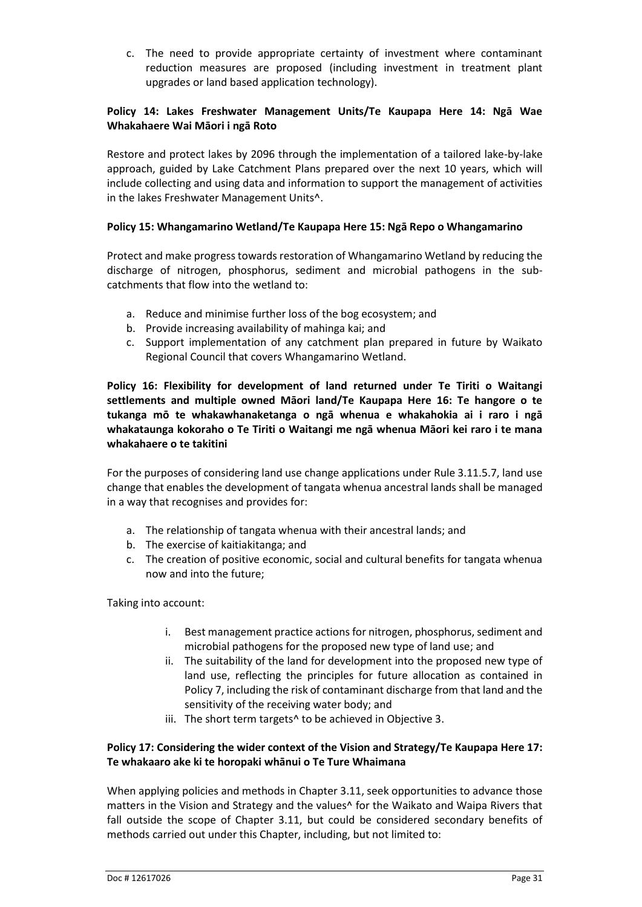c. The need to provide appropriate certainty of investment where contaminant reduction measures are proposed (including investment in treatment plant upgrades or land based application technology).

#### **Policy 14: Lakes Freshwater Management Units/Te Kaupapa Here 14: Ngā Wae Whakahaere Wai Māori i ngā Roto**

Restore and protect lakes by 2096 through the implementation of a tailored lake-by-lake approach, guided by Lake Catchment Plans prepared over the next 10 years, which will include collecting and using data and information to support the management of activities in the lakes Freshwater Management Units^.

#### **Policy 15: Whangamarino Wetland/Te Kaupapa Here 15: Ngā Repo o Whangamarino**

Protect and make progress towards restoration of Whangamarino Wetland by reducing the discharge of nitrogen, phosphorus, sediment and microbial pathogens in the subcatchments that flow into the wetland to:

- a. Reduce and minimise further loss of the bog ecosystem; and
- b. Provide increasing availability of mahinga kai; and
- c. Support implementation of any catchment plan prepared in future by Waikato Regional Council that covers Whangamarino Wetland.

**Policy 16: Flexibility for development of land returned under Te Tiriti o Waitangi settlements and multiple owned Māori land/Te Kaupapa Here 16: Te hangore o te tukanga mō te whakawhanaketanga o ngā whenua e whakahokia ai i raro i ngā whakataunga kokoraho o Te Tiriti o Waitangi me ngā whenua Māori kei raro i te mana whakahaere o te takitini**

For the purposes of considering land use change applications under Rule 3.11.5.7, land use change that enables the development of tangata whenua ancestral lands shall be managed in a way that recognises and provides for:

- a. The relationship of tangata whenua with their ancestral lands; and
- b. The exercise of kaitiakitanga; and
- c. The creation of positive economic, social and cultural benefits for tangata whenua now and into the future;

Taking into account:

- i. Best management practice actions for nitrogen, phosphorus, sediment and microbial pathogens for the proposed new type of land use; and
- ii. The suitability of the land for development into the proposed new type of land use, reflecting the principles for future allocation as contained in Policy 7, including the risk of contaminant discharge from that land and the sensitivity of the receiving water body; and
- iii. The short term targets^ to be achieved in Objective 3.

#### **Policy 17: Considering the wider context of the Vision and Strategy/Te Kaupapa Here 17: Te whakaaro ake ki te horopaki whānui o Te Ture Whaimana**

When applying policies and methods in Chapter 3.11, seek opportunities to advance those matters in the Vision and Strategy and the values^ for the Waikato and Waipa Rivers that fall outside the scope of Chapter 3.11, but could be considered secondary benefits of methods carried out under this Chapter, including, but not limited to: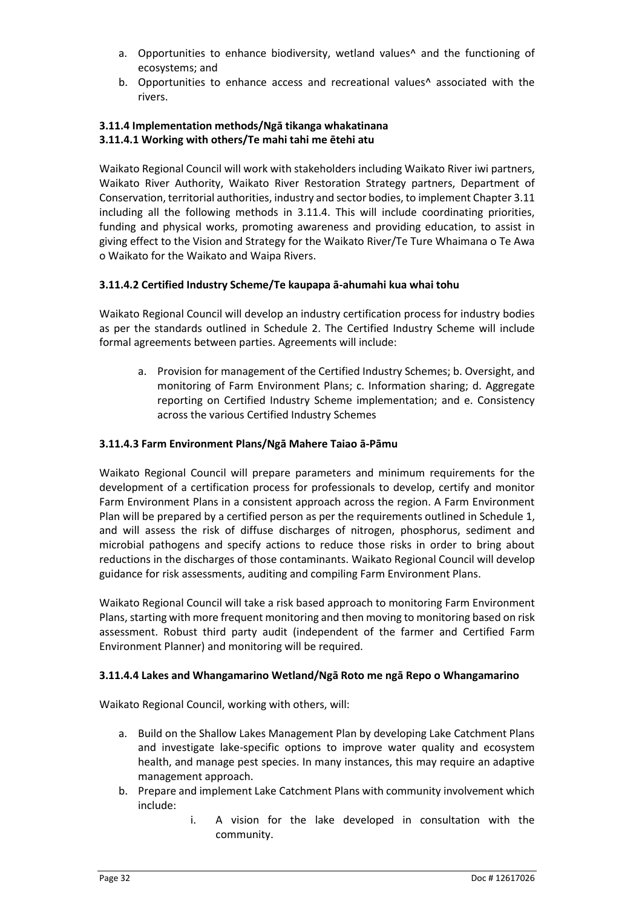- a. Opportunities to enhance biodiversity, wetland values^ and the functioning of ecosystems; and
- b. Opportunities to enhance access and recreational values^ associated with the rivers.

#### **3.11.4 Implementation methods/Ngā tikanga whakatinana 3.11.4.1 Working with others/Te mahi tahi me ētehi atu**

Waikato Regional Council will work with stakeholders including Waikato River iwi partners, Waikato River Authority, Waikato River Restoration Strategy partners, Department of Conservation, territorial authorities, industry and sector bodies, to implement Chapter 3.11 including all the following methods in 3.11.4. This will include coordinating priorities, funding and physical works, promoting awareness and providing education, to assist in giving effect to the Vision and Strategy for the Waikato River/Te Ture Whaimana o Te Awa o Waikato for the Waikato and Waipa Rivers.

#### **3.11.4.2 Certified Industry Scheme/Te kaupapa ā-ahumahi kua whai tohu**

Waikato Regional Council will develop an industry certification process for industry bodies as per the standards outlined in Schedule 2. The Certified Industry Scheme will include formal agreements between parties. Agreements will include:

a. Provision for management of the Certified Industry Schemes; b. Oversight, and monitoring of Farm Environment Plans; c. Information sharing; d. Aggregate reporting on Certified Industry Scheme implementation; and e. Consistency across the various Certified Industry Schemes

#### **3.11.4.3 Farm Environment Plans/Ngā Mahere Taiao ā-Pāmu**

Waikato Regional Council will prepare parameters and minimum requirements for the development of a certification process for professionals to develop, certify and monitor Farm Environment Plans in a consistent approach across the region. A Farm Environment Plan will be prepared by a certified person as per the requirements outlined in Schedule 1, and will assess the risk of diffuse discharges of nitrogen, phosphorus, sediment and microbial pathogens and specify actions to reduce those risks in order to bring about reductions in the discharges of those contaminants. Waikato Regional Council will develop guidance for risk assessments, auditing and compiling Farm Environment Plans.

Waikato Regional Council will take a risk based approach to monitoring Farm Environment Plans, starting with more frequent monitoring and then moving to monitoring based on risk assessment. Robust third party audit (independent of the farmer and Certified Farm Environment Planner) and monitoring will be required.

#### **3.11.4.4 Lakes and Whangamarino Wetland/Ngā Roto me ngā Repo o Whangamarino**

Waikato Regional Council, working with others, will:

- a. Build on the Shallow Lakes Management Plan by developing Lake Catchment Plans and investigate lake-specific options to improve water quality and ecosystem health, and manage pest species. In many instances, this may require an adaptive management approach.
- b. Prepare and implement Lake Catchment Plans with community involvement which include:
	- i. A vision for the lake developed in consultation with the community.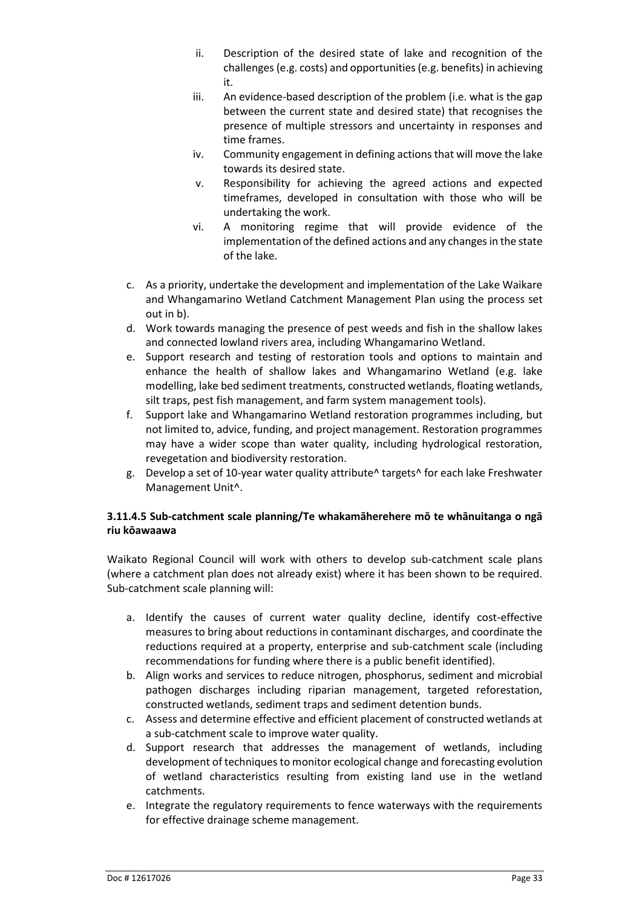- ii. Description of the desired state of lake and recognition of the challenges (e.g. costs) and opportunities (e.g. benefits) in achieving it.
- iii. An evidence-based description of the problem (i.e. what is the gap between the current state and desired state) that recognises the presence of multiple stressors and uncertainty in responses and time frames.
- iv. Community engagement in defining actions that will move the lake towards its desired state.
- v. Responsibility for achieving the agreed actions and expected timeframes, developed in consultation with those who will be undertaking the work.
- vi. A monitoring regime that will provide evidence of the implementation of the defined actions and any changes in the state of the lake.
- c. As a priority, undertake the development and implementation of the Lake Waikare and Whangamarino Wetland Catchment Management Plan using the process set out in b).
- d. Work towards managing the presence of pest weeds and fish in the shallow lakes and connected lowland rivers area, including Whangamarino Wetland.
- e. Support research and testing of restoration tools and options to maintain and enhance the health of shallow lakes and Whangamarino Wetland (e.g. lake modelling, lake bed sediment treatments, constructed wetlands, floating wetlands, silt traps, pest fish management, and farm system management tools).
- f. Support lake and Whangamarino Wetland restoration programmes including, but not limited to, advice, funding, and project management. Restoration programmes may have a wider scope than water quality, including hydrological restoration, revegetation and biodiversity restoration.
- g. Develop a set of 10-year water quality attribute^ targets^ for each lake Freshwater Management Unit^.

#### **3.11.4.5 Sub-catchment scale planning/Te whakamāherehere mō te whānuitanga o ngā riu kōawaawa**

Waikato Regional Council will work with others to develop sub-catchment scale plans (where a catchment plan does not already exist) where it has been shown to be required. Sub-catchment scale planning will:

- a. Identify the causes of current water quality decline, identify cost-effective measures to bring about reductions in contaminant discharges, and coordinate the reductions required at a property, enterprise and sub-catchment scale (including recommendations for funding where there is a public benefit identified).
- b. Align works and services to reduce nitrogen, phosphorus, sediment and microbial pathogen discharges including riparian management, targeted reforestation, constructed wetlands, sediment traps and sediment detention bunds.
- c. Assess and determine effective and efficient placement of constructed wetlands at a sub-catchment scale to improve water quality.
- d. Support research that addresses the management of wetlands, including development of techniques to monitor ecological change and forecasting evolution of wetland characteristics resulting from existing land use in the wetland catchments.
- e. Integrate the regulatory requirements to fence waterways with the requirements for effective drainage scheme management.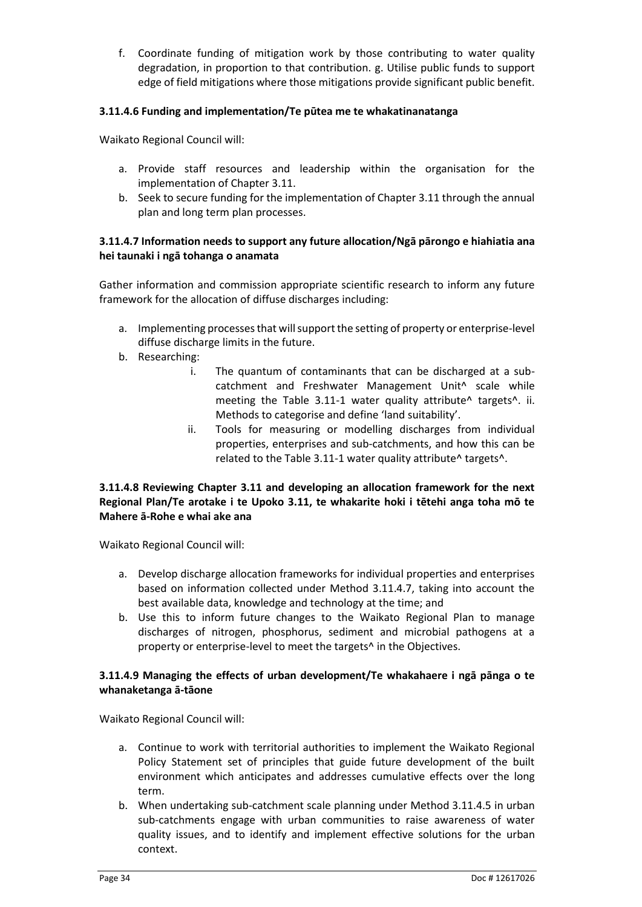f. Coordinate funding of mitigation work by those contributing to water quality degradation, in proportion to that contribution. g. Utilise public funds to support edge of field mitigations where those mitigations provide significant public benefit.

#### **3.11.4.6 Funding and implementation/Te pūtea me te whakatinanatanga**

Waikato Regional Council will:

- a. Provide staff resources and leadership within the organisation for the implementation of Chapter 3.11.
- b. Seek to secure funding for the implementation of Chapter 3.11 through the annual plan and long term plan processes.

#### **3.11.4.7 Information needs to support any future allocation/Ngā pārongo e hiahiatia ana hei taunaki i ngā tohanga o anamata**

Gather information and commission appropriate scientific research to inform any future framework for the allocation of diffuse discharges including:

- a. Implementing processes that will support the setting of property or enterprise-level diffuse discharge limits in the future.
- b. Researching:
	- i. The quantum of contaminants that can be discharged at a subcatchment and Freshwater Management Unit^ scale while meeting the Table 3.11-1 water quality attribute<sup>^</sup> targets<sup>^</sup>. ii. Methods to categorise and define 'land suitability'.
	- ii. Tools for measuring or modelling discharges from individual properties, enterprises and sub-catchments, and how this can be related to the Table 3.11-1 water quality attribute^ targets^.

#### **3.11.4.8 Reviewing Chapter 3.11 and developing an allocation framework for the next Regional Plan/Te arotake i te Upoko 3.11, te whakarite hoki i tētehi anga toha mō te Mahere ā-Rohe e whai ake ana**

Waikato Regional Council will:

- a. Develop discharge allocation frameworks for individual properties and enterprises based on information collected under Method 3.11.4.7, taking into account the best available data, knowledge and technology at the time; and
- b. Use this to inform future changes to the Waikato Regional Plan to manage discharges of nitrogen, phosphorus, sediment and microbial pathogens at a property or enterprise-level to meet the targets^ in the Objectives.

#### **3.11.4.9 Managing the effects of urban development/Te whakahaere i ngā pānga o te whanaketanga ā-tāone**

Waikato Regional Council will:

- a. Continue to work with territorial authorities to implement the Waikato Regional Policy Statement set of principles that guide future development of the built environment which anticipates and addresses cumulative effects over the long term.
- b. When undertaking sub-catchment scale planning under Method 3.11.4.5 in urban sub-catchments engage with urban communities to raise awareness of water quality issues, and to identify and implement effective solutions for the urban context.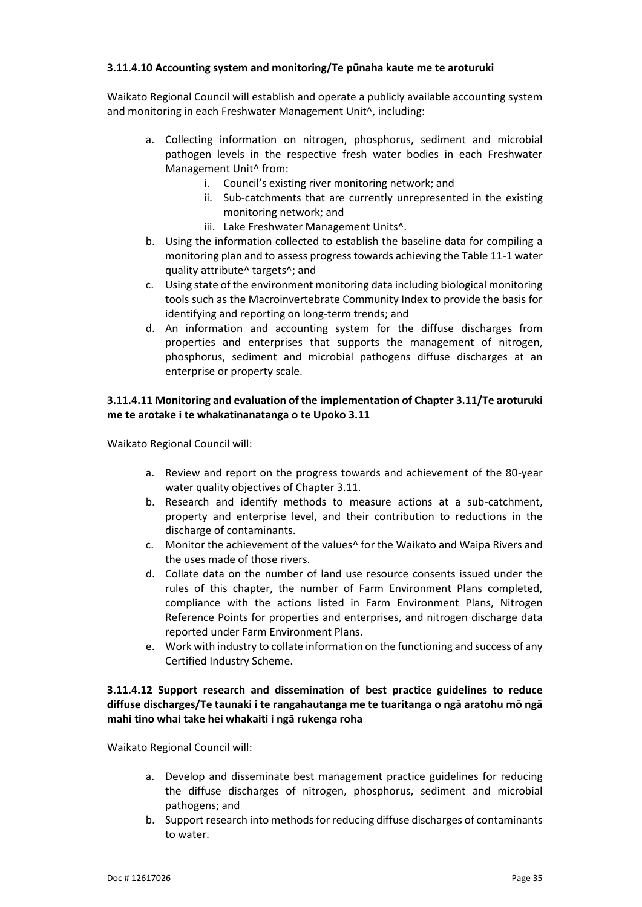#### **3.11.4.10 Accounting system and monitoring/Te pūnaha kaute me te aroturuki**

Waikato Regional Council will establish and operate a publicly available accounting system and monitoring in each Freshwater Management Unit^, including:

- a. Collecting information on nitrogen, phosphorus, sediment and microbial pathogen levels in the respective fresh water bodies in each Freshwater Management Unit^ from:
	- i. Council's existing river monitoring network; and
	- ii. Sub-catchments that are currently unrepresented in the existing monitoring network; and
	- iii. Lake Freshwater Management Units<sup>^</sup>.
- b. Using the information collected to establish the baseline data for compiling a monitoring plan and to assess progress towards achieving the Table 11-1 water quality attribute^ targets^; and
- c. Using state of the environment monitoring data including biological monitoring tools such as the Macroinvertebrate Community Index to provide the basis for identifying and reporting on long-term trends; and
- d. An information and accounting system for the diffuse discharges from properties and enterprises that supports the management of nitrogen, phosphorus, sediment and microbial pathogens diffuse discharges at an enterprise or property scale.

#### **3.11.4.11 Monitoring and evaluation of the implementation of Chapter 3.11/Te aroturuki me te arotake i te whakatinanatanga o te Upoko 3.11**

Waikato Regional Council will:

- a. Review and report on the progress towards and achievement of the 80-year water quality objectives of Chapter 3.11.
- b. Research and identify methods to measure actions at a sub-catchment, property and enterprise level, and their contribution to reductions in the discharge of contaminants.
- c. Monitor the achievement of the values^ for the Waikato and Waipa Rivers and the uses made of those rivers.
- d. Collate data on the number of land use resource consents issued under the rules of this chapter, the number of Farm Environment Plans completed, compliance with the actions listed in Farm Environment Plans, Nitrogen Reference Points for properties and enterprises, and nitrogen discharge data reported under Farm Environment Plans.
- e. Work with industry to collate information on the functioning and success of any Certified Industry Scheme.

#### **3.11.4.12 Support research and dissemination of best practice guidelines to reduce diffuse discharges/Te taunaki i te rangahautanga me te tuaritanga o ngā aratohu mō ngā mahi tino whai take hei whakaiti i ngā rukenga roha**

Waikato Regional Council will:

- a. Develop and disseminate best management practice guidelines for reducing the diffuse discharges of nitrogen, phosphorus, sediment and microbial pathogens; and
- b. Support research into methods for reducing diffuse discharges of contaminants to water.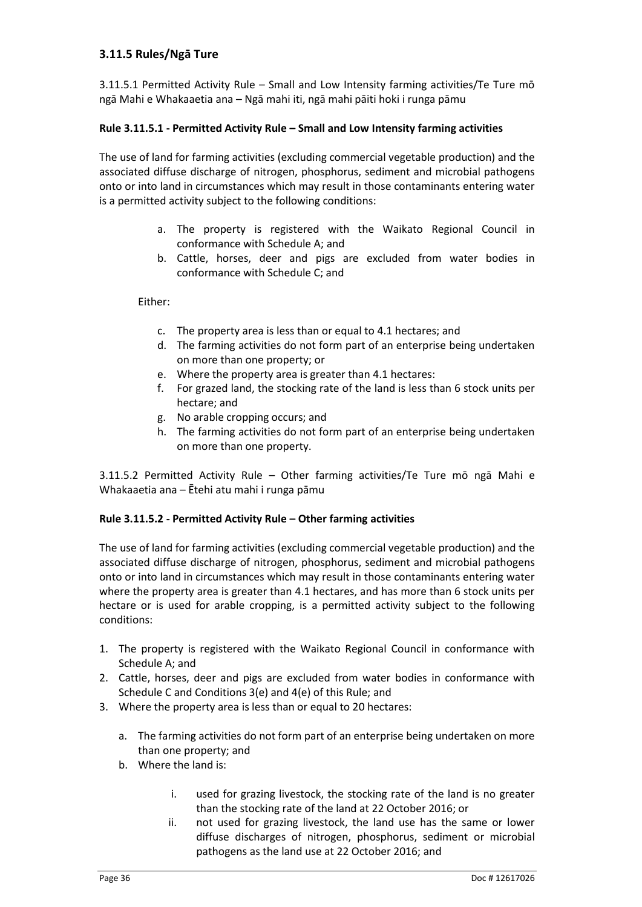#### **3.11.5 Rules/Ngā Ture**

3.11.5.1 Permitted Activity Rule – Small and Low Intensity farming activities/Te Ture mō ngā Mahi e Whakaaetia ana – Ngā mahi iti, ngā mahi pāiti hoki i runga pāmu

#### **Rule 3.11.5.1 - Permitted Activity Rule – Small and Low Intensity farming activities**

The use of land for farming activities (excluding commercial vegetable production) and the associated diffuse discharge of nitrogen, phosphorus, sediment and microbial pathogens onto or into land in circumstances which may result in those contaminants entering water is a permitted activity subject to the following conditions:

- a. The property is registered with the Waikato Regional Council in conformance with Schedule A; and
- b. Cattle, horses, deer and pigs are excluded from water bodies in conformance with Schedule C; and

Either:

- c. The property area is less than or equal to 4.1 hectares; and
- d. The farming activities do not form part of an enterprise being undertaken on more than one property; or
- e. Where the property area is greater than 4.1 hectares:
- f. For grazed land, the stocking rate of the land is less than 6 stock units per hectare; and
- g. No arable cropping occurs; and
- h. The farming activities do not form part of an enterprise being undertaken on more than one property.

3.11.5.2 Permitted Activity Rule – Other farming activities/Te Ture mō ngā Mahi e Whakaaetia ana – Ētehi atu mahi i runga pāmu

#### **Rule 3.11.5.2 - Permitted Activity Rule – Other farming activities**

The use of land for farming activities (excluding commercial vegetable production) and the associated diffuse discharge of nitrogen, phosphorus, sediment and microbial pathogens onto or into land in circumstances which may result in those contaminants entering water where the property area is greater than 4.1 hectares, and has more than 6 stock units per hectare or is used for arable cropping, is a permitted activity subject to the following conditions:

- 1. The property is registered with the Waikato Regional Council in conformance with Schedule A; and
- 2. Cattle, horses, deer and pigs are excluded from water bodies in conformance with Schedule C and Conditions 3(e) and 4(e) of this Rule; and
- 3. Where the property area is less than or equal to 20 hectares:
	- a. The farming activities do not form part of an enterprise being undertaken on more than one property; and
	- b. Where the land is:
		- i. used for grazing livestock, the stocking rate of the land is no greater than the stocking rate of the land at 22 October 2016; or
		- ii. not used for grazing livestock, the land use has the same or lower diffuse discharges of nitrogen, phosphorus, sediment or microbial pathogens as the land use at 22 October 2016; and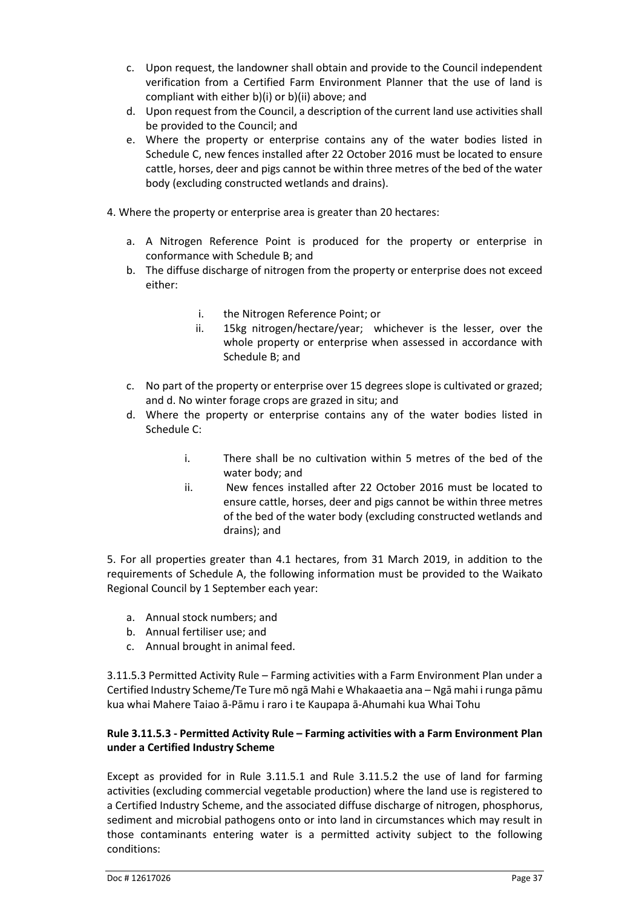- c. Upon request, the landowner shall obtain and provide to the Council independent verification from a Certified Farm Environment Planner that the use of land is compliant with either b)(i) or b)(ii) above; and
- d. Upon request from the Council, a description of the current land use activities shall be provided to the Council; and
- e. Where the property or enterprise contains any of the water bodies listed in Schedule C, new fences installed after 22 October 2016 must be located to ensure cattle, horses, deer and pigs cannot be within three metres of the bed of the water body (excluding constructed wetlands and drains).
- 4. Where the property or enterprise area is greater than 20 hectares:
	- a. A Nitrogen Reference Point is produced for the property or enterprise in conformance with Schedule B; and
	- b. The diffuse discharge of nitrogen from the property or enterprise does not exceed either:
		- i. the Nitrogen Reference Point; or
		- ii. 15kg nitrogen/hectare/year; whichever is the lesser, over the whole property or enterprise when assessed in accordance with Schedule B; and
	- c. No part of the property or enterprise over 15 degrees slope is cultivated or grazed; and d. No winter forage crops are grazed in situ; and
	- d. Where the property or enterprise contains any of the water bodies listed in Schedule C:
		- i. There shall be no cultivation within 5 metres of the bed of the water body; and
		- ii. New fences installed after 22 October 2016 must be located to ensure cattle, horses, deer and pigs cannot be within three metres of the bed of the water body (excluding constructed wetlands and drains); and

5. For all properties greater than 4.1 hectares, from 31 March 2019, in addition to the requirements of Schedule A, the following information must be provided to the Waikato Regional Council by 1 September each year:

- a. Annual stock numbers; and
- b. Annual fertiliser use; and
- c. Annual brought in animal feed.

3.11.5.3 Permitted Activity Rule – Farming activities with a Farm Environment Plan under a Certified Industry Scheme/Te Ture mō ngā Mahi e Whakaaetia ana – Ngā mahi i runga pāmu kua whai Mahere Taiao ā-Pāmu i raro i te Kaupapa ā-Ahumahi kua Whai Tohu

#### **Rule 3.11.5.3 - Permitted Activity Rule – Farming activities with a Farm Environment Plan under a Certified Industry Scheme**

Except as provided for in Rule 3.11.5.1 and Rule 3.11.5.2 the use of land for farming activities (excluding commercial vegetable production) where the land use is registered to a Certified Industry Scheme, and the associated diffuse discharge of nitrogen, phosphorus, sediment and microbial pathogens onto or into land in circumstances which may result in those contaminants entering water is a permitted activity subject to the following conditions: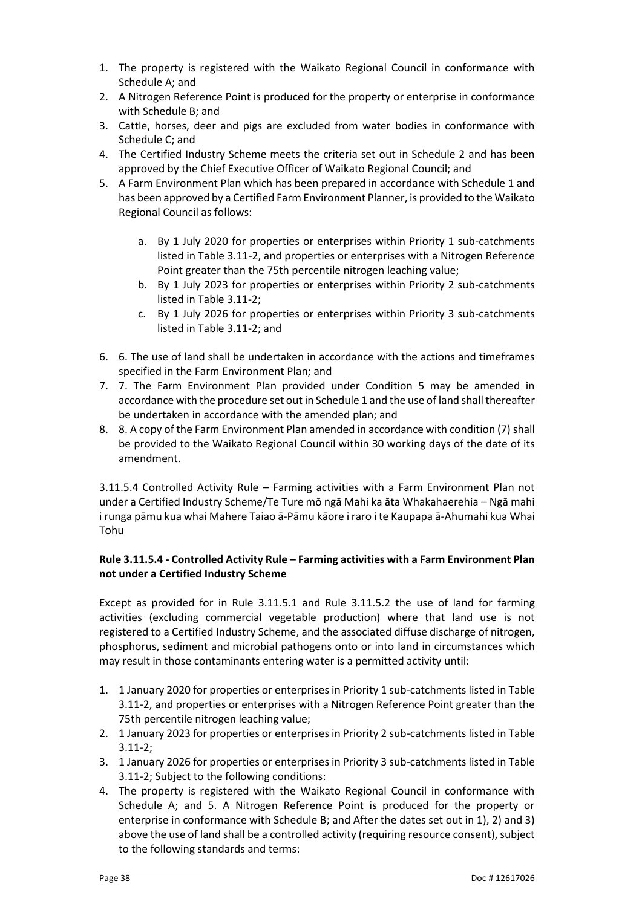- 1. The property is registered with the Waikato Regional Council in conformance with Schedule A; and
- 2. A Nitrogen Reference Point is produced for the property or enterprise in conformance with Schedule B; and
- 3. Cattle, horses, deer and pigs are excluded from water bodies in conformance with Schedule C; and
- 4. The Certified Industry Scheme meets the criteria set out in Schedule 2 and has been approved by the Chief Executive Officer of Waikato Regional Council; and
- 5. A Farm Environment Plan which has been prepared in accordance with Schedule 1 and has been approved by a Certified Farm Environment Planner, is provided to the Waikato Regional Council as follows:
	- a. By 1 July 2020 for properties or enterprises within Priority 1 sub-catchments listed in Table 3.11-2, and properties or enterprises with a Nitrogen Reference Point greater than the 75th percentile nitrogen leaching value;
	- b. By 1 July 2023 for properties or enterprises within Priority 2 sub-catchments listed in Table 3.11-2;
	- c. By 1 July 2026 for properties or enterprises within Priority 3 sub-catchments listed in Table 3.11-2; and
- 6. 6. The use of land shall be undertaken in accordance with the actions and timeframes specified in the Farm Environment Plan; and
- 7. 7. The Farm Environment Plan provided under Condition 5 may be amended in accordance with the procedure set out in Schedule 1 and the use of land shall thereafter be undertaken in accordance with the amended plan; and
- 8. 8. A copy of the Farm Environment Plan amended in accordance with condition (7) shall be provided to the Waikato Regional Council within 30 working days of the date of its amendment.

3.11.5.4 Controlled Activity Rule – Farming activities with a Farm Environment Plan not under a Certified Industry Scheme/Te Ture mō ngā Mahi ka āta Whakahaerehia – Ngā mahi i runga pāmu kua whai Mahere Taiao ā-Pāmu kāore i raro i te Kaupapa ā-Ahumahi kua Whai Tohu

#### **Rule 3.11.5.4 - Controlled Activity Rule – Farming activities with a Farm Environment Plan not under a Certified Industry Scheme**

Except as provided for in Rule 3.11.5.1 and Rule 3.11.5.2 the use of land for farming activities (excluding commercial vegetable production) where that land use is not registered to a Certified Industry Scheme, and the associated diffuse discharge of nitrogen, phosphorus, sediment and microbial pathogens onto or into land in circumstances which may result in those contaminants entering water is a permitted activity until:

- 1. 1 January 2020 for properties or enterprises in Priority 1 sub-catchments listed in Table 3.11-2, and properties or enterprises with a Nitrogen Reference Point greater than the 75th percentile nitrogen leaching value;
- 2. 1 January 2023 for properties or enterprises in Priority 2 sub-catchments listed in Table 3.11-2;
- 3. 1 January 2026 for properties or enterprises in Priority 3 sub-catchments listed in Table 3.11-2; Subject to the following conditions:
- 4. The property is registered with the Waikato Regional Council in conformance with Schedule A; and 5. A Nitrogen Reference Point is produced for the property or enterprise in conformance with Schedule B; and After the dates set out in 1), 2) and 3) above the use of land shall be a controlled activity (requiring resource consent), subject to the following standards and terms: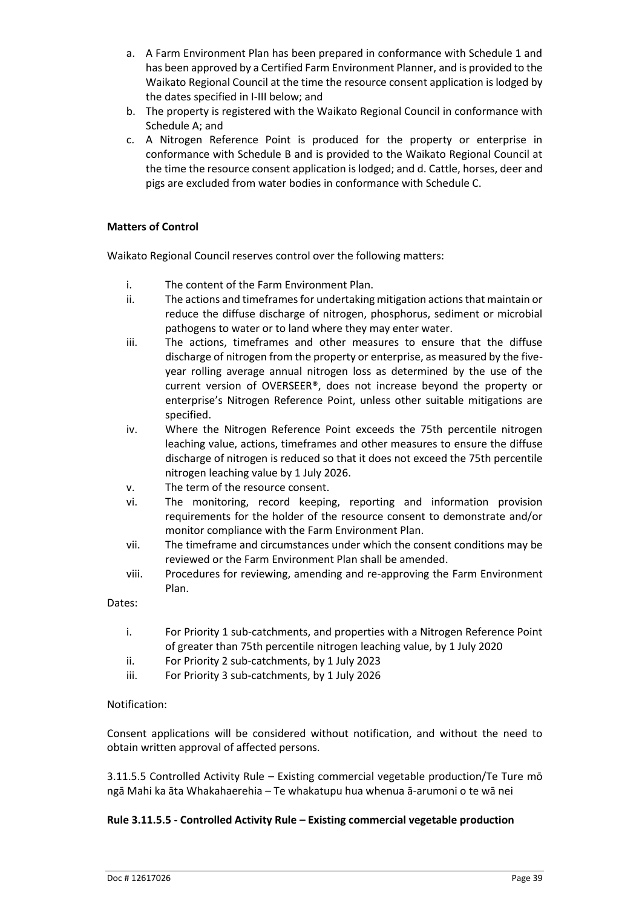- a. A Farm Environment Plan has been prepared in conformance with Schedule 1 and has been approved by a Certified Farm Environment Planner, and is provided to the Waikato Regional Council at the time the resource consent application is lodged by the dates specified in I-III below; and
- b. The property is registered with the Waikato Regional Council in conformance with Schedule A; and
- c. A Nitrogen Reference Point is produced for the property or enterprise in conformance with Schedule B and is provided to the Waikato Regional Council at the time the resource consent application is lodged; and d. Cattle, horses, deer and pigs are excluded from water bodies in conformance with Schedule C.

#### **Matters of Control**

Waikato Regional Council reserves control over the following matters:

- i. The content of the Farm Environment Plan.
- ii. The actions and timeframes for undertaking mitigation actions that maintain or reduce the diffuse discharge of nitrogen, phosphorus, sediment or microbial pathogens to water or to land where they may enter water.
- iii. The actions, timeframes and other measures to ensure that the diffuse discharge of nitrogen from the property or enterprise, as measured by the fiveyear rolling average annual nitrogen loss as determined by the use of the current version of OVERSEER®, does not increase beyond the property or enterprise's Nitrogen Reference Point, unless other suitable mitigations are specified.
- iv. Where the Nitrogen Reference Point exceeds the 75th percentile nitrogen leaching value, actions, timeframes and other measures to ensure the diffuse discharge of nitrogen is reduced so that it does not exceed the 75th percentile nitrogen leaching value by 1 July 2026.
- v. The term of the resource consent.
- vi. The monitoring, record keeping, reporting and information provision requirements for the holder of the resource consent to demonstrate and/or monitor compliance with the Farm Environment Plan.
- vii. The timeframe and circumstances under which the consent conditions may be reviewed or the Farm Environment Plan shall be amended.
- viii. Procedures for reviewing, amending and re-approving the Farm Environment Plan.

Dates:

- i. For Priority 1 sub-catchments, and properties with a Nitrogen Reference Point of greater than 75th percentile nitrogen leaching value, by 1 July 2020
- ii. For Priority 2 sub-catchments, by 1 July 2023
- iii. For Priority 3 sub-catchments, by 1 July 2026

#### Notification:

Consent applications will be considered without notification, and without the need to obtain written approval of affected persons.

3.11.5.5 Controlled Activity Rule – Existing commercial vegetable production/Te Ture mō ngā Mahi ka āta Whakahaerehia – Te whakatupu hua whenua ā-arumoni o te wā nei

#### **Rule 3.11.5.5 - Controlled Activity Rule – Existing commercial vegetable production**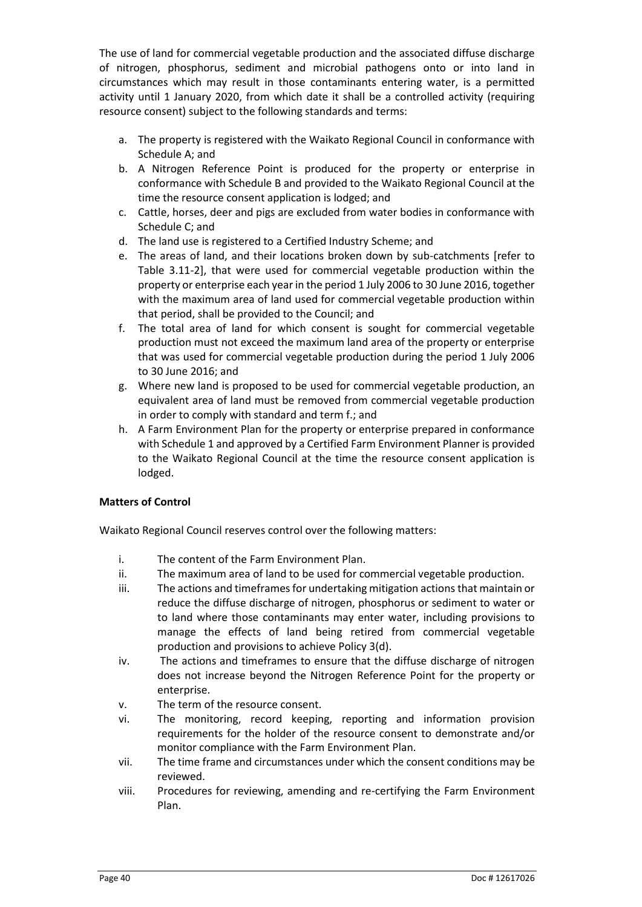The use of land for commercial vegetable production and the associated diffuse discharge of nitrogen, phosphorus, sediment and microbial pathogens onto or into land in circumstances which may result in those contaminants entering water, is a permitted activity until 1 January 2020, from which date it shall be a controlled activity (requiring resource consent) subject to the following standards and terms:

- a. The property is registered with the Waikato Regional Council in conformance with Schedule A; and
- b. A Nitrogen Reference Point is produced for the property or enterprise in conformance with Schedule B and provided to the Waikato Regional Council at the time the resource consent application is lodged; and
- c. Cattle, horses, deer and pigs are excluded from water bodies in conformance with Schedule C; and
- d. The land use is registered to a Certified Industry Scheme; and
- e. The areas of land, and their locations broken down by sub-catchments [refer to Table 3.11-2], that were used for commercial vegetable production within the property or enterprise each year in the period 1 July 2006 to 30 June 2016, together with the maximum area of land used for commercial vegetable production within that period, shall be provided to the Council; and
- f. The total area of land for which consent is sought for commercial vegetable production must not exceed the maximum land area of the property or enterprise that was used for commercial vegetable production during the period 1 July 2006 to 30 June 2016; and
- g. Where new land is proposed to be used for commercial vegetable production, an equivalent area of land must be removed from commercial vegetable production in order to comply with standard and term f.; and
- h. A Farm Environment Plan for the property or enterprise prepared in conformance with Schedule 1 and approved by a Certified Farm Environment Planner is provided to the Waikato Regional Council at the time the resource consent application is lodged.

#### **Matters of Control**

Waikato Regional Council reserves control over the following matters:

- i. The content of the Farm Environment Plan.
- ii. The maximum area of land to be used for commercial vegetable production.
- iii. The actions and timeframes for undertaking mitigation actions that maintain or reduce the diffuse discharge of nitrogen, phosphorus or sediment to water or to land where those contaminants may enter water, including provisions to manage the effects of land being retired from commercial vegetable production and provisions to achieve Policy 3(d).
- iv. The actions and timeframes to ensure that the diffuse discharge of nitrogen does not increase beyond the Nitrogen Reference Point for the property or enterprise.
- v. The term of the resource consent.
- vi. The monitoring, record keeping, reporting and information provision requirements for the holder of the resource consent to demonstrate and/or monitor compliance with the Farm Environment Plan.
- vii. The time frame and circumstances under which the consent conditions may be reviewed.
- viii. Procedures for reviewing, amending and re-certifying the Farm Environment Plan.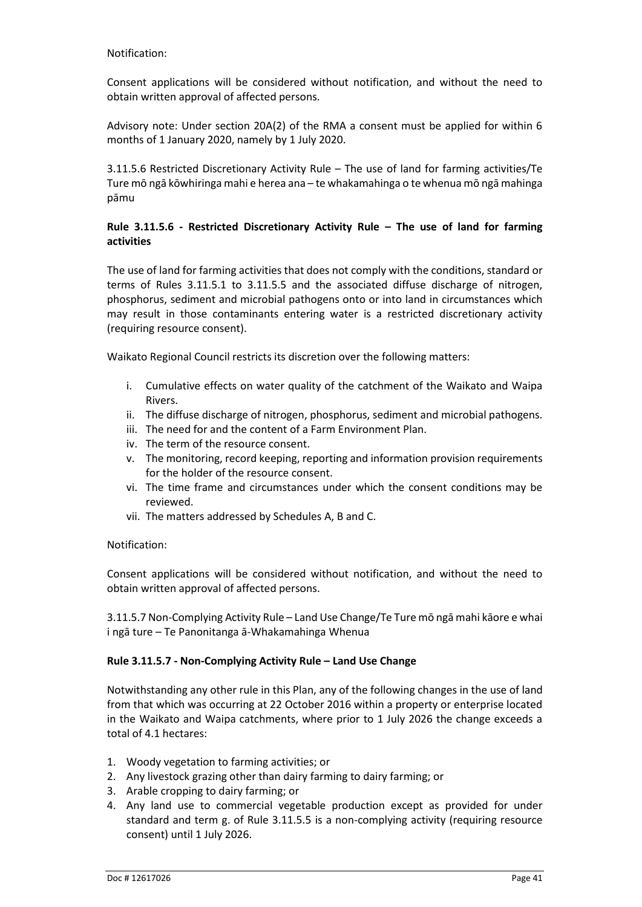#### Notification:

Consent applications will be considered without notification, and without the need to obtain written approval of affected persons.

Advisory note: Under section 20A(2) of the RMA a consent must be applied for within 6 months of 1 January 2020, namely by 1 July 2020.

3.11.5.6 Restricted Discretionary Activity Rule – The use of land for farming activities/Te Ture mō ngā kōwhiringa mahi e herea ana – te whakamahinga o te whenua mō ngā mahinga pāmu

#### **Rule 3.11.5.6 - Restricted Discretionary Activity Rule – The use of land for farming activities**

The use of land for farming activities that does not comply with the conditions, standard or terms of Rules 3.11.5.1 to 3.11.5.5 and the associated diffuse discharge of nitrogen, phosphorus, sediment and microbial pathogens onto or into land in circumstances which may result in those contaminants entering water is a restricted discretionary activity (requiring resource consent).

Waikato Regional Council restricts its discretion over the following matters:

- i. Cumulative effects on water quality of the catchment of the Waikato and Waipa Rivers.
- ii. The diffuse discharge of nitrogen, phosphorus, sediment and microbial pathogens.
- iii. The need for and the content of a Farm Environment Plan.
- iv. The term of the resource consent.
- v. The monitoring, record keeping, reporting and information provision requirements for the holder of the resource consent.
- vi. The time frame and circumstances under which the consent conditions may be reviewed.
- vii. The matters addressed by Schedules A, B and C.

#### Notification:

Consent applications will be considered without notification, and without the need to obtain written approval of affected persons.

3.11.5.7 Non-Complying Activity Rule – Land Use Change/Te Ture mō ngā mahi kāore e whai i ngā ture – Te Panonitanga ā-Whakamahinga Whenua

#### **Rule 3.11.5.7 - Non-Complying Activity Rule – Land Use Change**

Notwithstanding any other rule in this Plan, any of the following changes in the use of land from that which was occurring at 22 October 2016 within a property or enterprise located in the Waikato and Waipa catchments, where prior to 1 July 2026 the change exceeds a total of 4.1 hectares:

- 1. Woody vegetation to farming activities; or
- 2. Any livestock grazing other than dairy farming to dairy farming; or
- 3. Arable cropping to dairy farming; or
- 4. Any land use to commercial vegetable production except as provided for under standard and term g. of Rule 3.11.5.5 is a non-complying activity (requiring resource consent) until 1 July 2026.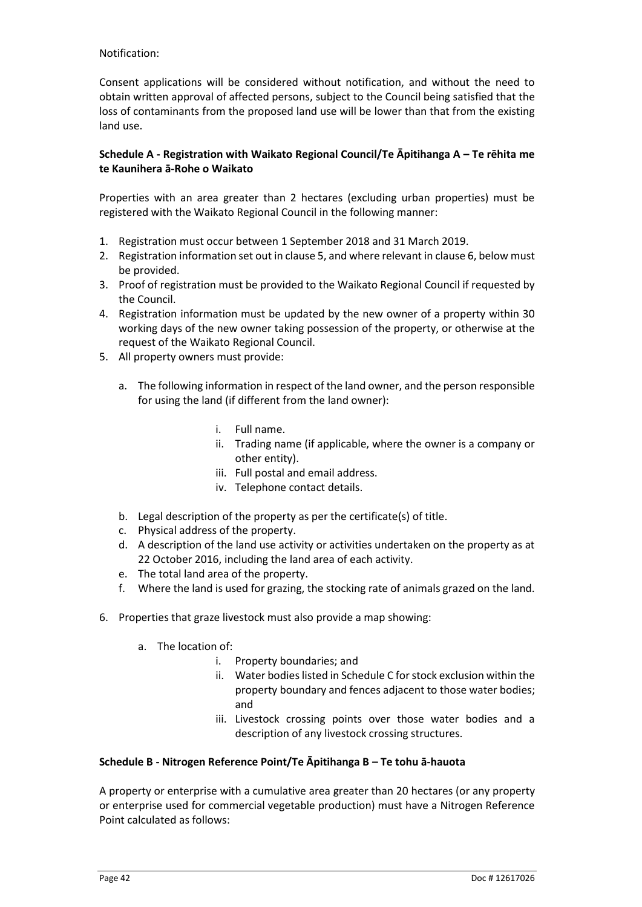#### Notification:

Consent applications will be considered without notification, and without the need to obtain written approval of affected persons, subject to the Council being satisfied that the loss of contaminants from the proposed land use will be lower than that from the existing land use.

#### **Schedule A - Registration with Waikato Regional Council/Te Āpitihanga A – Te rēhita me te Kaunihera ā-Rohe o Waikato**

Properties with an area greater than 2 hectares (excluding urban properties) must be registered with the Waikato Regional Council in the following manner:

- 1. Registration must occur between 1 September 2018 and 31 March 2019.
- 2. Registration information set out in clause 5, and where relevant in clause 6, below must be provided.
- 3. Proof of registration must be provided to the Waikato Regional Council if requested by the Council.
- 4. Registration information must be updated by the new owner of a property within 30 working days of the new owner taking possession of the property, or otherwise at the request of the Waikato Regional Council.
- 5. All property owners must provide:
	- a. The following information in respect of the land owner, and the person responsible for using the land (if different from the land owner):
		- i. Full name.
		- ii. Trading name (if applicable, where the owner is a company or other entity).
		- iii. Full postal and email address.
		- iv. Telephone contact details.
	- b. Legal description of the property as per the certificate(s) of title.
	- c. Physical address of the property.
	- d. A description of the land use activity or activities undertaken on the property as at 22 October 2016, including the land area of each activity.
	- e. The total land area of the property.
	- f. Where the land is used for grazing, the stocking rate of animals grazed on the land.
- 6. Properties that graze livestock must also provide a map showing:
	- a. The location of:
		- i. Property boundaries; and
		- ii. Water bodies listed in Schedule C for stock exclusion within the property boundary and fences adjacent to those water bodies; and
		- iii. Livestock crossing points over those water bodies and a description of any livestock crossing structures.

#### **Schedule B - Nitrogen Reference Point/Te Āpitihanga B – Te tohu ā-hauota**

A property or enterprise with a cumulative area greater than 20 hectares (or any property or enterprise used for commercial vegetable production) must have a Nitrogen Reference Point calculated as follows: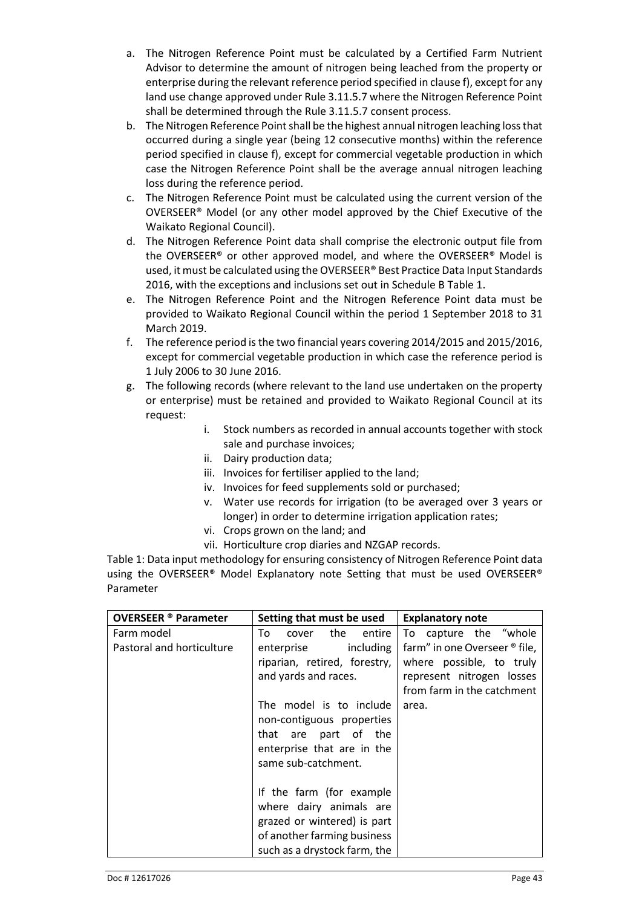- a. The Nitrogen Reference Point must be calculated by a Certified Farm Nutrient Advisor to determine the amount of nitrogen being leached from the property or enterprise during the relevant reference period specified in clause f), except for any land use change approved under Rule 3.11.5.7 where the Nitrogen Reference Point shall be determined through the Rule 3.11.5.7 consent process.
- b. The Nitrogen Reference Point shall be the highest annual nitrogen leaching loss that occurred during a single year (being 12 consecutive months) within the reference period specified in clause f), except for commercial vegetable production in which case the Nitrogen Reference Point shall be the average annual nitrogen leaching loss during the reference period.
- c. The Nitrogen Reference Point must be calculated using the current version of the OVERSEER® Model (or any other model approved by the Chief Executive of the Waikato Regional Council).
- d. The Nitrogen Reference Point data shall comprise the electronic output file from the OVERSEER® or other approved model, and where the OVERSEER® Model is used, it must be calculated using the OVERSEER® Best Practice Data Input Standards 2016, with the exceptions and inclusions set out in Schedule B Table 1.
- e. The Nitrogen Reference Point and the Nitrogen Reference Point data must be provided to Waikato Regional Council within the period 1 September 2018 to 31 March 2019.
- f. The reference period is the two financial years covering 2014/2015 and 2015/2016, except for commercial vegetable production in which case the reference period is 1 July 2006 to 30 June 2016.
- g. The following records (where relevant to the land use undertaken on the property or enterprise) must be retained and provided to Waikato Regional Council at its request:
	- i. Stock numbers as recorded in annual accounts together with stock sale and purchase invoices;
	- ii. Dairy production data;
	- iii. Invoices for fertiliser applied to the land;
	- iv. Invoices for feed supplements sold or purchased;
	- v. Water use records for irrigation (to be averaged over 3 years or longer) in order to determine irrigation application rates;
	- vi. Crops grown on the land; and
	- vii. Horticulture crop diaries and NZGAP records.

Table 1: Data input methodology for ensuring consistency of Nitrogen Reference Point data using the OVERSEER® Model Explanatory note Setting that must be used OVERSEER® Parameter

| <b>OVERSEER</b> ® Parameter | Setting that must be used    | <b>Explanatory note</b>       |
|-----------------------------|------------------------------|-------------------------------|
| Farm model                  | cover the<br>To<br>entire    | To capture the "whole         |
| Pastoral and horticulture   | enterprise including         | farm" in one Overseer ® file, |
|                             | riparian, retired, forestry, | where possible, to truly      |
|                             | and yards and races.         | represent nitrogen losses     |
|                             |                              | from farm in the catchment    |
|                             | The model is to include      | area.                         |
|                             | non-contiguous properties    |                               |
|                             | that are part of the         |                               |
|                             | enterprise that are in the   |                               |
|                             | same sub-catchment.          |                               |
|                             |                              |                               |
|                             | If the farm (for example     |                               |
|                             | where dairy animals are      |                               |
|                             | grazed or wintered) is part  |                               |
|                             | of another farming business  |                               |
|                             | such as a drystock farm, the |                               |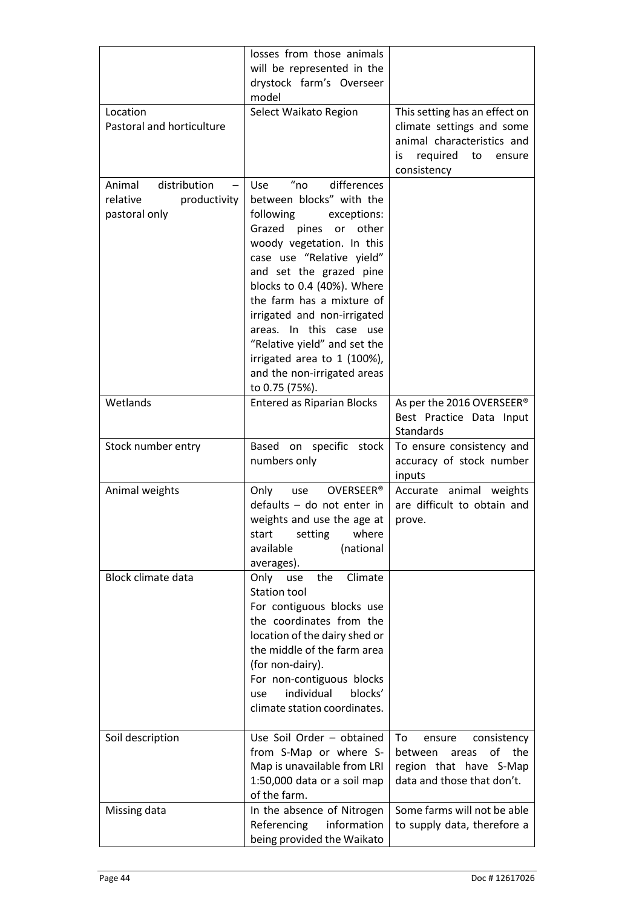| Location<br>Pastoral and horticulture                               | losses from those animals<br>will be represented in the<br>drystock farm's Overseer<br>model<br>Select Waikato Region                                                                                                                                                                                                                                                                                                                                          | This setting has an effect on<br>climate settings and some<br>animal characteristics and<br>required<br>to<br>is<br>ensure |
|---------------------------------------------------------------------|----------------------------------------------------------------------------------------------------------------------------------------------------------------------------------------------------------------------------------------------------------------------------------------------------------------------------------------------------------------------------------------------------------------------------------------------------------------|----------------------------------------------------------------------------------------------------------------------------|
| distribution<br>Animal<br>relative<br>productivity<br>pastoral only | $^{\prime\prime}$ no<br>differences<br>Use<br>between blocks" with the<br>following<br>exceptions:<br>Grazed<br>pines<br>other<br>or<br>woody vegetation. In this<br>case use "Relative yield"<br>and set the grazed pine<br>blocks to 0.4 (40%). Where<br>the farm has a mixture of<br>irrigated and non-irrigated<br>areas. In this case use<br>"Relative yield" and set the<br>irrigated area to 1 (100%),<br>and the non-irrigated areas<br>to 0.75 (75%). | consistency                                                                                                                |
| Wetlands                                                            | <b>Entered as Riparian Blocks</b>                                                                                                                                                                                                                                                                                                                                                                                                                              | As per the 2016 OVERSEER®<br>Best Practice Data Input<br>Standards                                                         |
| Stock number entry                                                  | Based on specific stock<br>numbers only                                                                                                                                                                                                                                                                                                                                                                                                                        | To ensure consistency and<br>accuracy of stock number<br>inputs                                                            |
| Animal weights                                                      | Only<br>OVERSEER <sup>®</sup><br>use<br>defaults - do not enter in<br>weights and use the age at<br>where<br>start<br>setting<br>available<br>(national<br>averages).                                                                                                                                                                                                                                                                                          | Accurate animal weights<br>are difficult to obtain and<br>prove.                                                           |
| <b>Block climate data</b>                                           | Climate<br>the<br>Only<br>use<br><b>Station tool</b><br>For contiguous blocks use<br>the coordinates from the<br>location of the dairy shed or<br>the middle of the farm area<br>(for non-dairy).<br>For non-contiguous blocks<br>individual<br>blocks'<br>use<br>climate station coordinates.                                                                                                                                                                 |                                                                                                                            |
| Soil description                                                    | Use Soil Order - obtained<br>from S-Map or where S-<br>Map is unavailable from LRI<br>1:50,000 data or a soil map<br>of the farm.                                                                                                                                                                                                                                                                                                                              | To<br>consistency<br>ensure<br>οf<br>the<br>between<br>areas<br>region that have S-Map<br>data and those that don't.       |
| Missing data                                                        | In the absence of Nitrogen<br>Referencing<br>information<br>being provided the Waikato                                                                                                                                                                                                                                                                                                                                                                         | Some farms will not be able<br>to supply data, therefore a                                                                 |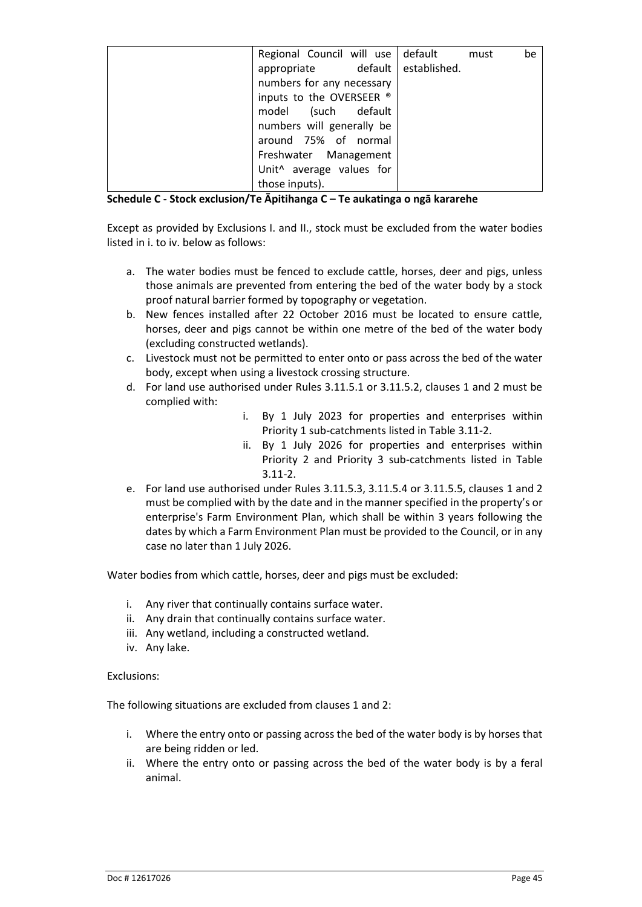| Regional Council will use default must |  | be |
|----------------------------------------|--|----|
| appropriate default established.       |  |    |
| numbers for any necessary              |  |    |
| inputs to the OVERSEER ®               |  |    |
| model (such default                    |  |    |
| numbers will generally be              |  |    |
| around 75% of normal                   |  |    |
| Freshwater Management                  |  |    |
| Unit <sup>^</sup> average values for   |  |    |
| those inputs).                         |  |    |

**Schedule C - Stock exclusion/Te Āpitihanga C – Te aukatinga o ngā kararehe**

Except as provided by Exclusions I. and II., stock must be excluded from the water bodies listed in i. to iv. below as follows:

- a. The water bodies must be fenced to exclude cattle, horses, deer and pigs, unless those animals are prevented from entering the bed of the water body by a stock proof natural barrier formed by topography or vegetation.
- b. New fences installed after 22 October 2016 must be located to ensure cattle, horses, deer and pigs cannot be within one metre of the bed of the water body (excluding constructed wetlands).
- c. Livestock must not be permitted to enter onto or pass across the bed of the water body, except when using a livestock crossing structure.
- d. For land use authorised under Rules 3.11.5.1 or 3.11.5.2, clauses 1 and 2 must be complied with:
	- i. By 1 July 2023 for properties and enterprises within Priority 1 sub-catchments listed in Table 3.11-2.
	- ii. By 1 July 2026 for properties and enterprises within Priority 2 and Priority 3 sub-catchments listed in Table 3.11-2.
- e. For land use authorised under Rules 3.11.5.3, 3.11.5.4 or 3.11.5.5, clauses 1 and 2 must be complied with by the date and in the manner specified in the property's or enterprise's Farm Environment Plan, which shall be within 3 years following the dates by which a Farm Environment Plan must be provided to the Council, or in any case no later than 1 July 2026.

Water bodies from which cattle, horses, deer and pigs must be excluded:

- i. Any river that continually contains surface water.
- ii. Any drain that continually contains surface water.
- iii. Any wetland, including a constructed wetland.
- iv. Any lake.

#### Exclusions:

The following situations are excluded from clauses 1 and 2:

- i. Where the entry onto or passing across the bed of the water body is by horses that are being ridden or led.
- ii. Where the entry onto or passing across the bed of the water body is by a feral animal.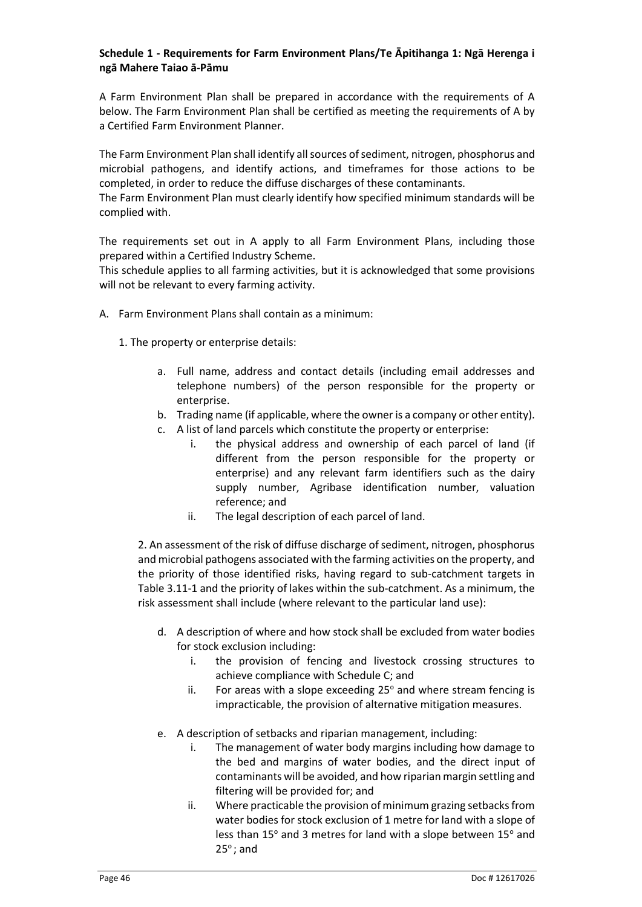#### **Schedule 1 - Requirements for Farm Environment Plans/Te Āpitihanga 1: Ngā Herenga i ngā Mahere Taiao ā-Pāmu**

A Farm Environment Plan shall be prepared in accordance with the requirements of A below. The Farm Environment Plan shall be certified as meeting the requirements of A by a Certified Farm Environment Planner.

The Farm Environment Plan shall identify all sources of sediment, nitrogen, phosphorus and microbial pathogens, and identify actions, and timeframes for those actions to be completed, in order to reduce the diffuse discharges of these contaminants.

The Farm Environment Plan must clearly identify how specified minimum standards will be complied with.

The requirements set out in A apply to all Farm Environment Plans, including those prepared within a Certified Industry Scheme.

This schedule applies to all farming activities, but it is acknowledged that some provisions will not be relevant to every farming activity.

- A. Farm Environment Plans shall contain as a minimum:
	- 1. The property or enterprise details:
		- a. Full name, address and contact details (including email addresses and telephone numbers) of the person responsible for the property or enterprise.
		- b. Trading name (if applicable, where the owner is a company or other entity).
		- c. A list of land parcels which constitute the property or enterprise:
			- i. the physical address and ownership of each parcel of land (if different from the person responsible for the property or enterprise) and any relevant farm identifiers such as the dairy supply number, Agribase identification number, valuation reference; and
			- ii. The legal description of each parcel of land.

2. An assessment of the risk of diffuse discharge of sediment, nitrogen, phosphorus and microbial pathogens associated with the farming activities on the property, and the priority of those identified risks, having regard to sub-catchment targets in Table 3.11-1 and the priority of lakes within the sub-catchment. As a minimum, the risk assessment shall include (where relevant to the particular land use):

- d. A description of where and how stock shall be excluded from water bodies for stock exclusion including:
	- i. the provision of fencing and livestock crossing structures to achieve compliance with Schedule C; and
	- ii. For areas with a slope exceeding  $25^\circ$  and where stream fencing is impracticable, the provision of alternative mitigation measures.
- e. A description of setbacks and riparian management, including:
	- i. The management of water body margins including how damage to the bed and margins of water bodies, and the direct input of contaminants will be avoided, and how riparian margin settling and filtering will be provided for; and
	- ii. Where practicable the provision of minimum grazing setbacks from water bodies for stock exclusion of 1 metre for land with a slope of less than 15° and 3 metres for land with a slope between 15° and  $25^\circ$ ; and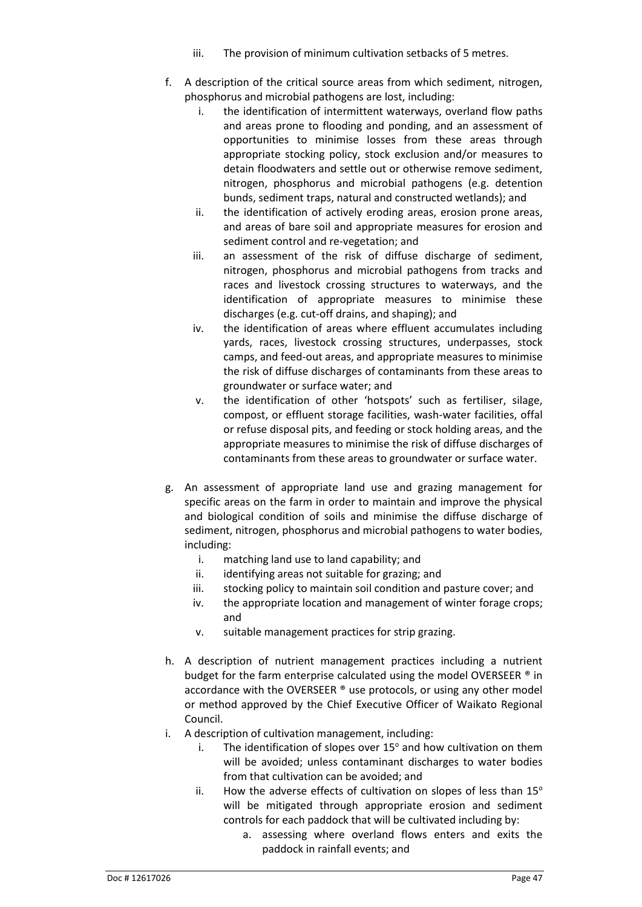- iii. The provision of minimum cultivation setbacks of 5 metres.
- f. A description of the critical source areas from which sediment, nitrogen, phosphorus and microbial pathogens are lost, including:
	- i. the identification of intermittent waterways, overland flow paths and areas prone to flooding and ponding, and an assessment of opportunities to minimise losses from these areas through appropriate stocking policy, stock exclusion and/or measures to detain floodwaters and settle out or otherwise remove sediment, nitrogen, phosphorus and microbial pathogens (e.g. detention bunds, sediment traps, natural and constructed wetlands); and
	- ii. the identification of actively eroding areas, erosion prone areas, and areas of bare soil and appropriate measures for erosion and sediment control and re-vegetation; and
	- iii. an assessment of the risk of diffuse discharge of sediment, nitrogen, phosphorus and microbial pathogens from tracks and races and livestock crossing structures to waterways, and the identification of appropriate measures to minimise these discharges (e.g. cut-off drains, and shaping); and
	- iv. the identification of areas where effluent accumulates including yards, races, livestock crossing structures, underpasses, stock camps, and feed-out areas, and appropriate measures to minimise the risk of diffuse discharges of contaminants from these areas to groundwater or surface water; and
	- v. the identification of other 'hotspots' such as fertiliser, silage, compost, or effluent storage facilities, wash-water facilities, offal or refuse disposal pits, and feeding or stock holding areas, and the appropriate measures to minimise the risk of diffuse discharges of contaminants from these areas to groundwater or surface water.
- g. An assessment of appropriate land use and grazing management for specific areas on the farm in order to maintain and improve the physical and biological condition of soils and minimise the diffuse discharge of sediment, nitrogen, phosphorus and microbial pathogens to water bodies, including:
	- i. matching land use to land capability; and
	- ii. identifying areas not suitable for grazing; and
	- iii. stocking policy to maintain soil condition and pasture cover; and
	- iv. the appropriate location and management of winter forage crops; and
	- v. suitable management practices for strip grazing.
- h. A description of nutrient management practices including a nutrient budget for the farm enterprise calculated using the model OVERSEER ® in accordance with the OVERSEER ® use protocols, or using any other model or method approved by the Chief Executive Officer of Waikato Regional Council.
- i. A description of cultivation management, including:
	- i. The identification of slopes over  $15^{\circ}$  and how cultivation on them will be avoided; unless contaminant discharges to water bodies from that cultivation can be avoided; and
	- ii. How the adverse effects of cultivation on slopes of less than  $15^{\circ}$ will be mitigated through appropriate erosion and sediment controls for each paddock that will be cultivated including by:
		- a. assessing where overland flows enters and exits the paddock in rainfall events; and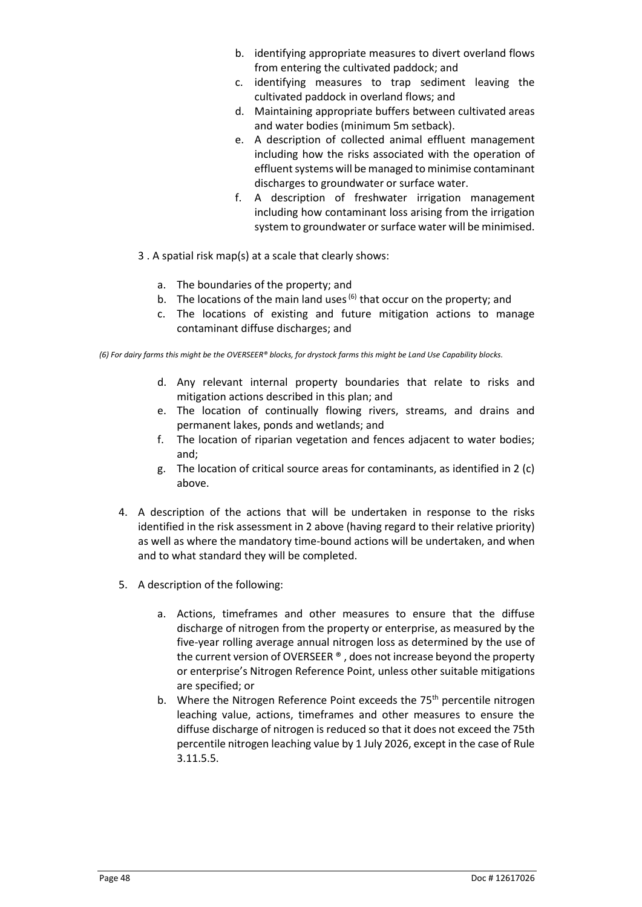- b. identifying appropriate measures to divert overland flows from entering the cultivated paddock; and
- c. identifying measures to trap sediment leaving the cultivated paddock in overland flows; and
- d. Maintaining appropriate buffers between cultivated areas and water bodies (minimum 5m setback).
- e. A description of collected animal effluent management including how the risks associated with the operation of effluent systems will be managed to minimise contaminant discharges to groundwater or surface water.
- f. A description of freshwater irrigation management including how contaminant loss arising from the irrigation system to groundwater or surface water will be minimised.
- 3 . A spatial risk map(s) at a scale that clearly shows:
	- a. The boundaries of the property; and
	- b. The locations of the main land uses  $^{(6)}$  that occur on the property; and
	- c. The locations of existing and future mitigation actions to manage contaminant diffuse discharges; and

*(6) For dairy farms this might be the OVERSEER® blocks, for drystock farms this might be Land Use Capability blocks.*

- d. Any relevant internal property boundaries that relate to risks and mitigation actions described in this plan; and
- e. The location of continually flowing rivers, streams, and drains and permanent lakes, ponds and wetlands; and
- f. The location of riparian vegetation and fences adjacent to water bodies; and;
- g. The location of critical source areas for contaminants, as identified in 2 (c) above.
- 4. A description of the actions that will be undertaken in response to the risks identified in the risk assessment in 2 above (having regard to their relative priority) as well as where the mandatory time-bound actions will be undertaken, and when and to what standard they will be completed.
- 5. A description of the following:
	- a. Actions, timeframes and other measures to ensure that the diffuse discharge of nitrogen from the property or enterprise, as measured by the five-year rolling average annual nitrogen loss as determined by the use of the current version of OVERSEER ® , does not increase beyond the property or enterprise's Nitrogen Reference Point, unless other suitable mitigations are specified; or
	- b. Where the Nitrogen Reference Point exceeds the 75<sup>th</sup> percentile nitrogen leaching value, actions, timeframes and other measures to ensure the diffuse discharge of nitrogen is reduced so that it does not exceed the 75th percentile nitrogen leaching value by 1 July 2026, except in the case of Rule 3.11.5.5.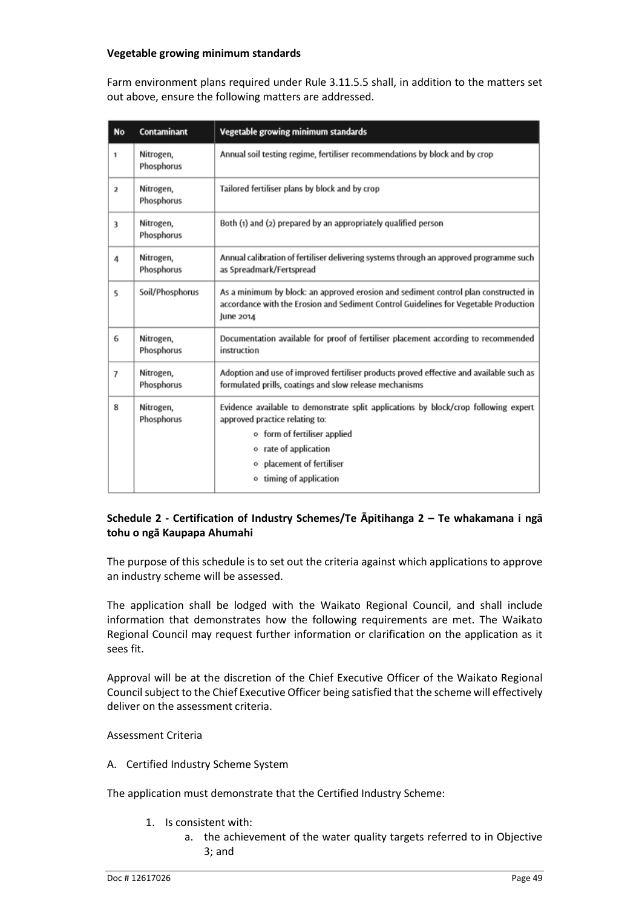#### **Vegetable growing minimum standards**

Farm environment plans required under Rule 3.11.5.5 shall, in addition to the matters set out above, ensure the following matters are addressed.

| <b>No</b>      | Contaminant             | Vegetable growing minimum standards                                                                                                                                                                                                             |
|----------------|-------------------------|-------------------------------------------------------------------------------------------------------------------------------------------------------------------------------------------------------------------------------------------------|
| 1              | Nitrogen,<br>Phosphorus | Annual soil testing regime, fertiliser recommendations by block and by crop                                                                                                                                                                     |
| $\overline{2}$ | Nitrogen,<br>Phosphorus | Tailored fertiliser plans by block and by crop                                                                                                                                                                                                  |
| 3              | Nitrogen,<br>Phosphorus | Both (1) and (2) prepared by an appropriately qualified person                                                                                                                                                                                  |
| 4              | Nitrogen,<br>Phosphorus | Annual calibration of fertiliser delivering systems through an approved programme such<br>as Spreadmark/Fertspread                                                                                                                              |
| 5              | Soil/Phosphorus         | As a minimum by block: an approved erosion and sediment control plan constructed in<br>accordance with the Erosion and Sediment Control Guidelines for Vegetable Production<br>June 2014                                                        |
| 6              | Nitrogen,<br>Phosphorus | Documentation available for proof of fertiliser placement according to recommended<br>instruction                                                                                                                                               |
| 7              | Nitrogen,<br>Phosphorus | Adoption and use of improved fertiliser products proved effective and available such as<br>formulated prills, coatings and slow release mechanisms                                                                                              |
| 8              | Nitrogen,<br>Phosphorus | Evidence available to demonstrate split applications by block/crop following expert<br>approved practice relating to:<br>o form of fertiliser applied<br>rate of application<br>۰<br>placement of fertiliser<br>۰<br>timing of application<br>۰ |

#### **Schedule 2 - Certification of Industry Schemes/Te Āpitihanga 2 – Te whakamana i ngā tohu o ngā Kaupapa Ahumahi**

The purpose of this schedule is to set out the criteria against which applications to approve an industry scheme will be assessed.

The application shall be lodged with the Waikato Regional Council, and shall include information that demonstrates how the following requirements are met. The Waikato Regional Council may request further information or clarification on the application as it sees fit.

Approval will be at the discretion of the Chief Executive Officer of the Waikato Regional Council subject to the Chief Executive Officer being satisfied that the scheme will effectively deliver on the assessment criteria.

#### Assessment Criteria

A. Certified Industry Scheme System

The application must demonstrate that the Certified Industry Scheme:

- 1. Is consistent with:
	- a. the achievement of the water quality targets referred to in Objective 3; and